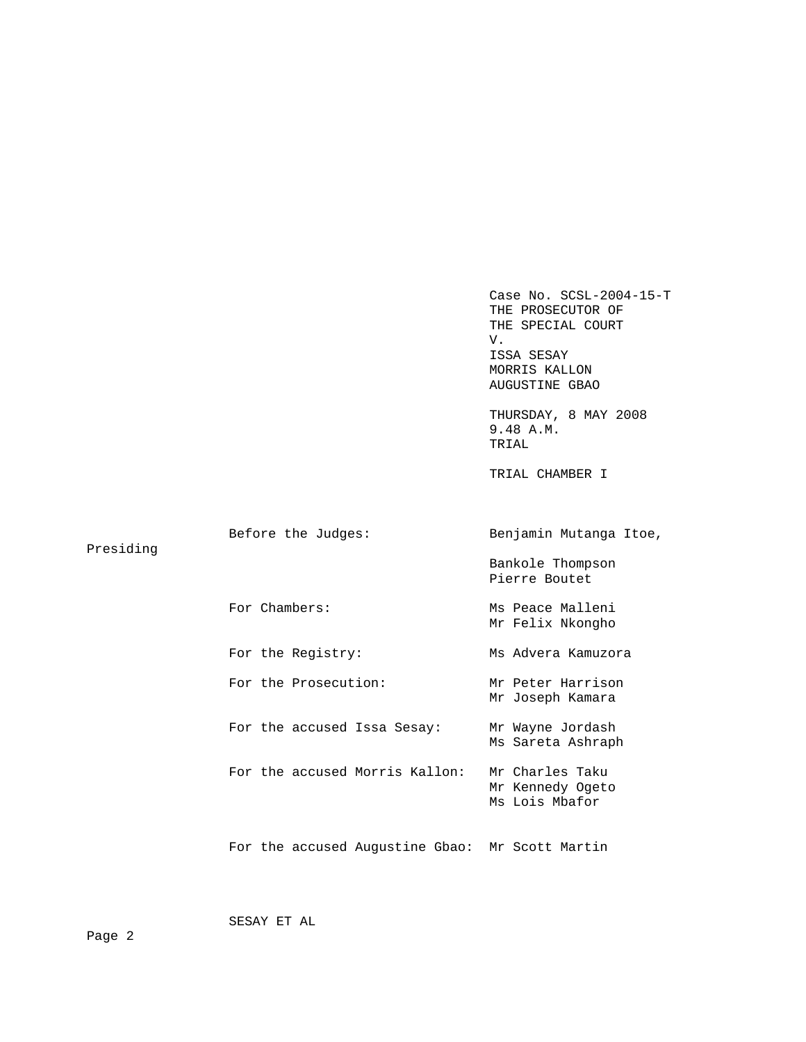Case No. SCSL-2004-15-T THE PROSECUTOR OF THE SPECIAL COURT V. ISSA SESAY MORRIS KALLON AUGUSTINE GBAO THURSDAY, 8 MAY 2008 9.48 A.M. TRIAL TRIAL CHAMBER I Before the Judges: Benjamin Mutanga Itoe, Presiding Bankole Thompson Pierre Boutet For Chambers: Ms Peace Malleni Mr Felix Nkongho For the Registry: Ms Advera Kamuzora For the Prosecution: Mr Peter Harrison Mr Joseph Kamara For the accused Issa Sesay: Mr Wayne Jordash Ms Sareta Ashraph For the accused Morris Kallon: Mr Charles Taku Mr Kennedy Ogeto Ms Lois Mbafor For the accused Augustine Gbao: Mr Scott Martin

SESAY ET AL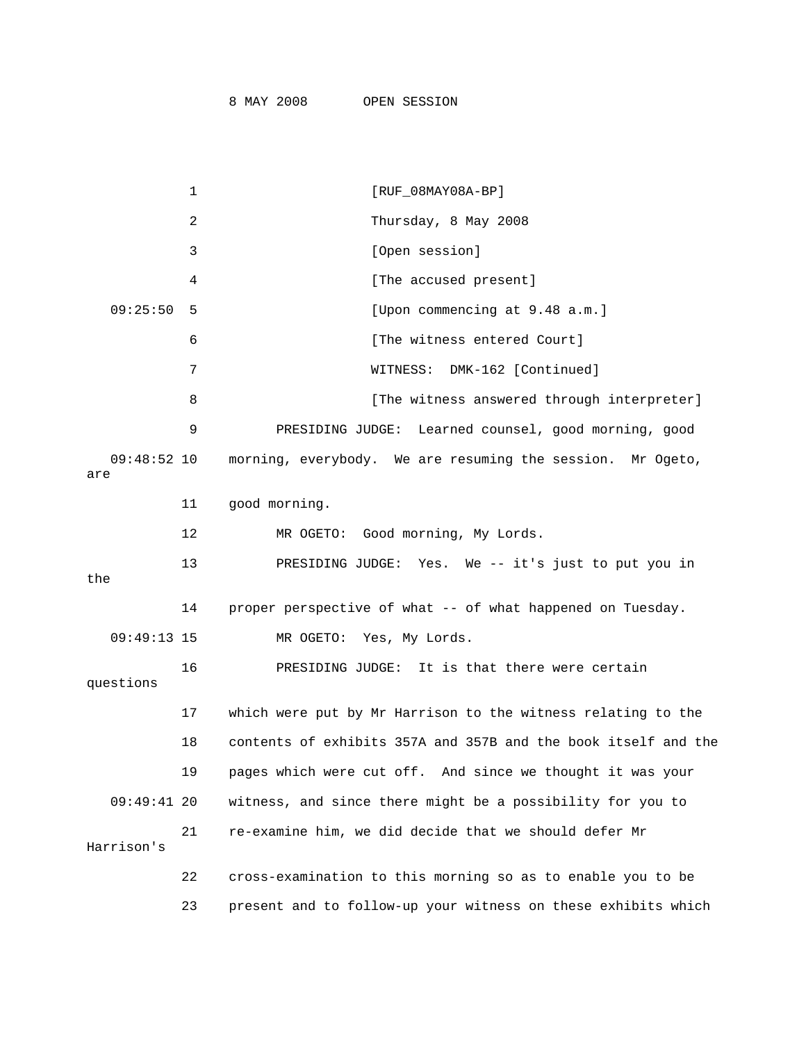|                      | 1   | $[RUF_08MAY08A-BP]$                                            |
|----------------------|-----|----------------------------------------------------------------|
|                      | 2   | Thursday, 8 May 2008                                           |
|                      | 3   | [Open session]                                                 |
|                      | 4   | [The accused present]                                          |
| 09:25:50             | - 5 | [Upon commencing at 9.48 a.m.]                                 |
|                      | 6   | [The witness entered Court]                                    |
|                      | 7   | DMK-162 [Continued]<br>WITNESS:                                |
|                      | 8   | [The witness answered through interpreter]                     |
|                      | 9   | PRESIDING JUDGE: Learned counsel, good morning, good           |
| $09:48:52$ 10<br>are |     | morning, everybody. We are resuming the session. Mr Ogeto,     |
|                      | 11  | good morning.                                                  |
|                      | 12  | MR OGETO: Good morning, My Lords.                              |
| the                  | 13  | PRESIDING JUDGE: Yes. We -- it's just to put you in            |
|                      | 14  | proper perspective of what -- of what happened on Tuesday.     |
| 09:49:13 15          |     | MR OGETO: Yes, My Lords.                                       |
| questions            | 16  | PRESIDING JUDGE: It is that there were certain                 |
|                      | 17  | which were put by Mr Harrison to the witness relating to the   |
|                      | 18  | contents of exhibits 357A and 357B and the book itself and the |
|                      | 19  | pages which were cut off. And since we thought it was your     |
| $09:49:41$ 20        |     | witness, and since there might be a possibility for you to     |
| Harrison's           | 21  | re-examine him, we did decide that we should defer Mr          |
|                      | 22  | cross-examination to this morning so as to enable you to be    |
|                      | 23  | present and to follow-up your witness on these exhibits which  |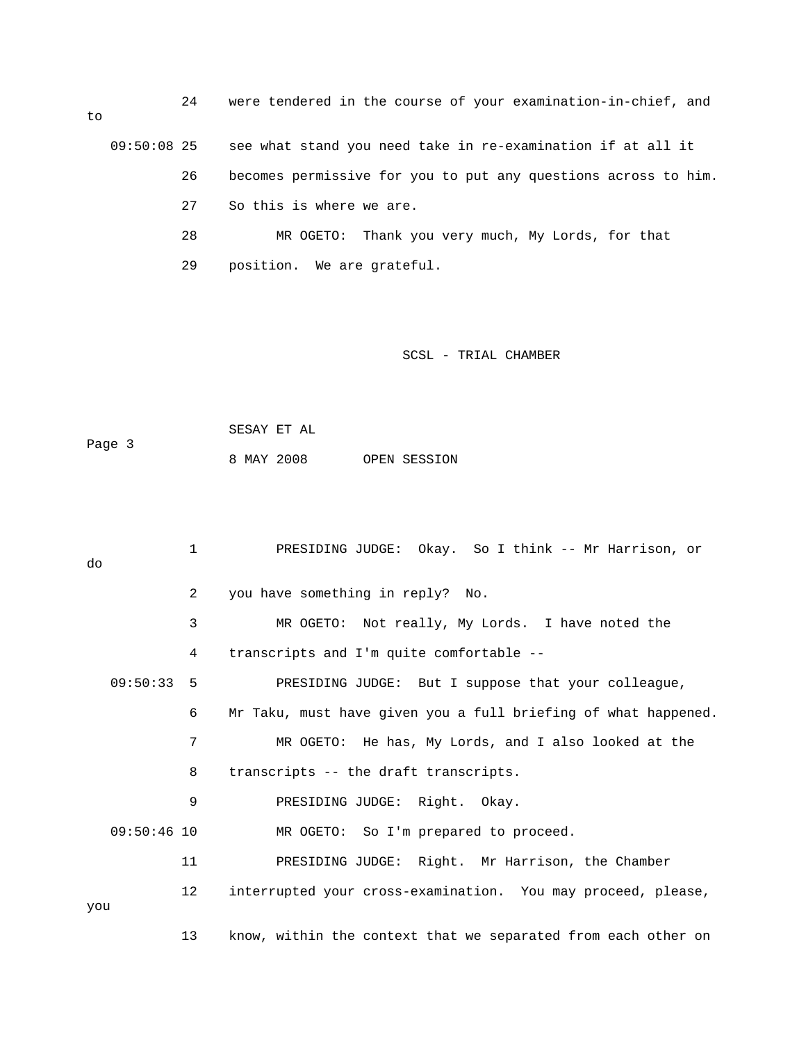24 were tendered in the course of your examination-in-chief, and to 09:50:08 25 see what stand you need take in re-examination if at all it 26 becomes permissive for you to put any questions across to him. 27 So this is where we are. 28 MR OGETO: Thank you very much, My Lords, for that 29 position. We are grateful.

SCSL - TRIAL CHAMBER

 SESAY ET AL Page 3 8 MAY 2008 OPEN SESSION

 1 PRESIDING JUDGE: Okay. So I think -- Mr Harrison, or do 2 you have something in reply? No. 3 MR OGETO: Not really, My Lords. I have noted the 4 transcripts and I'm quite comfortable -- 09:50:33 5 PRESIDING JUDGE: But I suppose that your colleague, 6 Mr Taku, must have given you a full briefing of what happened. 7 MR OGETO: He has, My Lords, and I also looked at the 8 transcripts -- the draft transcripts. 9 PRESIDING JUDGE: Right. Okay. 09:50:46 10 MR OGETO: So I'm prepared to proceed. 11 PRESIDING JUDGE: Right. Mr Harrison, the Chamber 12 interrupted your cross-examination. You may proceed, please, you 13 know, within the context that we separated from each other on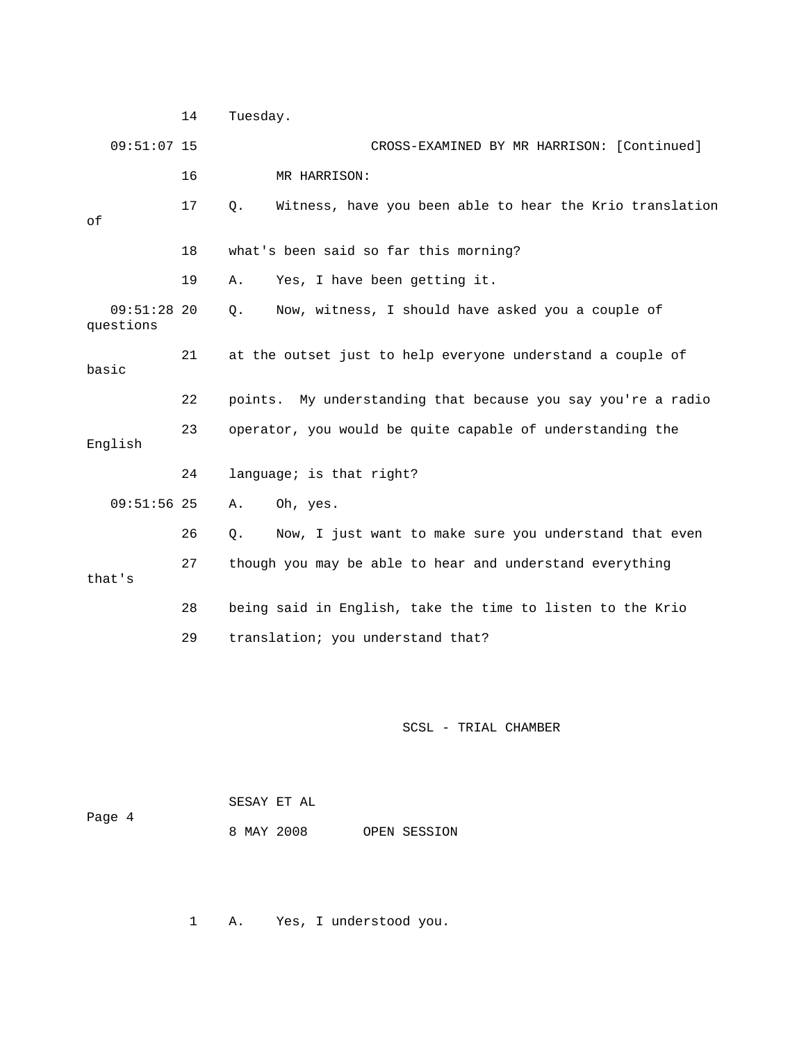14 Tuesday. 09:51:07 15 CROSS-EXAMINED BY MR HARRISON: [Continued] 16 MR HARRISON: 17 Q. Witness, have you been able to hear the Krio translation of 18 what's been said so far this morning? 19 A. Yes, I have been getting it. 09:51:28 20 Q. Now, witness, I should have asked you a couple of questions 21 at the outset just to help everyone understand a couple of basic 22 points. My understanding that because you say you're a radio 23 operator, you would be quite capable of understanding the English 24 language; is that right? 09:51:56 25 A. Oh, yes. 26 Q. Now, I just want to make sure you understand that even 27 though you may be able to hear and understand everything that's 28 being said in English, take the time to listen to the Krio 29 translation; you understand that?

### SCSL - TRIAL CHAMBER

|        | SESAY ET AL |  |              |
|--------|-------------|--|--------------|
| Page 4 |             |  |              |
|        | 8 MAY 2008  |  | OPEN SESSION |

1 A. Yes, I understood you.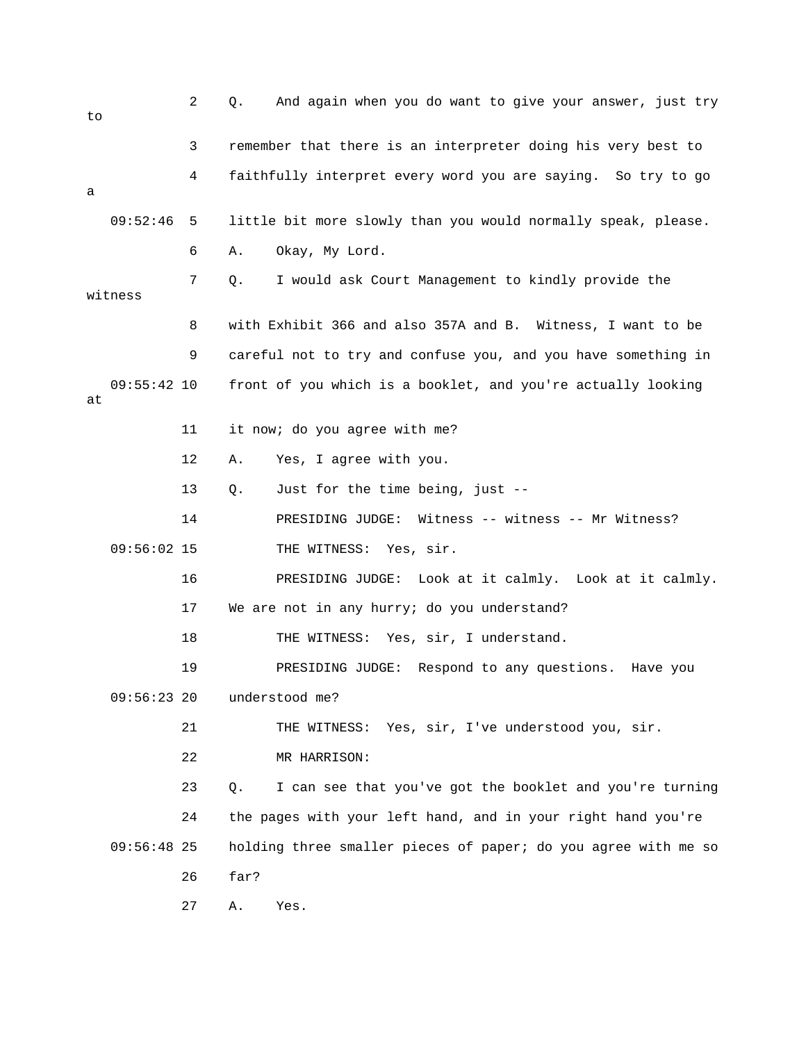| to |               | 2  | Q.   | And again when you do want to give your answer, just try       |
|----|---------------|----|------|----------------------------------------------------------------|
|    |               | 3  |      | remember that there is an interpreter doing his very best to   |
| а  |               | 4  |      | faithfully interpret every word you are saying. So try to go   |
|    | 09:52:46      | 5  |      | little bit more slowly than you would normally speak, please.  |
|    |               | 6  | Α.   | Okay, My Lord.                                                 |
|    | witness       | 7  | Q.   | I would ask Court Management to kindly provide the             |
|    |               | 8  |      | with Exhibit 366 and also 357A and B. Witness, I want to be    |
|    |               | 9  |      | careful not to try and confuse you, and you have something in  |
| at | $09:55:42$ 10 |    |      | front of you which is a booklet, and you're actually looking   |
|    |               | 11 |      | it now; do you agree with me?                                  |
|    |               | 12 | Α.   | Yes, I agree with you.                                         |
|    |               | 13 | Q.   | Just for the time being, just --                               |
|    |               | 14 |      | PRESIDING JUDGE: Witness -- witness -- Mr Witness?             |
|    | $09:56:02$ 15 |    |      | THE WITNESS: Yes, sir.                                         |
|    |               | 16 |      | PRESIDING JUDGE: Look at it calmly. Look at it calmly.         |
|    |               | 17 |      | We are not in any hurry; do you understand?                    |
|    |               | 18 |      | THE WITNESS: Yes, sir, I understand.                           |
|    |               | 19 |      | PRESIDING JUDGE: Respond to any questions.<br>Have you         |
|    | $09:56:23$ 20 |    |      | understood me?                                                 |
|    |               | 21 |      | THE WITNESS: Yes, sir, I've understood you, sir.               |
|    |               | 22 |      | MR HARRISON:                                                   |
|    |               | 23 | О.   | I can see that you've got the booklet and you're turning       |
|    |               | 24 |      | the pages with your left hand, and in your right hand you're   |
|    | $09:56:48$ 25 |    |      | holding three smaller pieces of paper; do you agree with me so |
|    |               | 26 | far? |                                                                |
|    |               | 27 | Α.   | Yes.                                                           |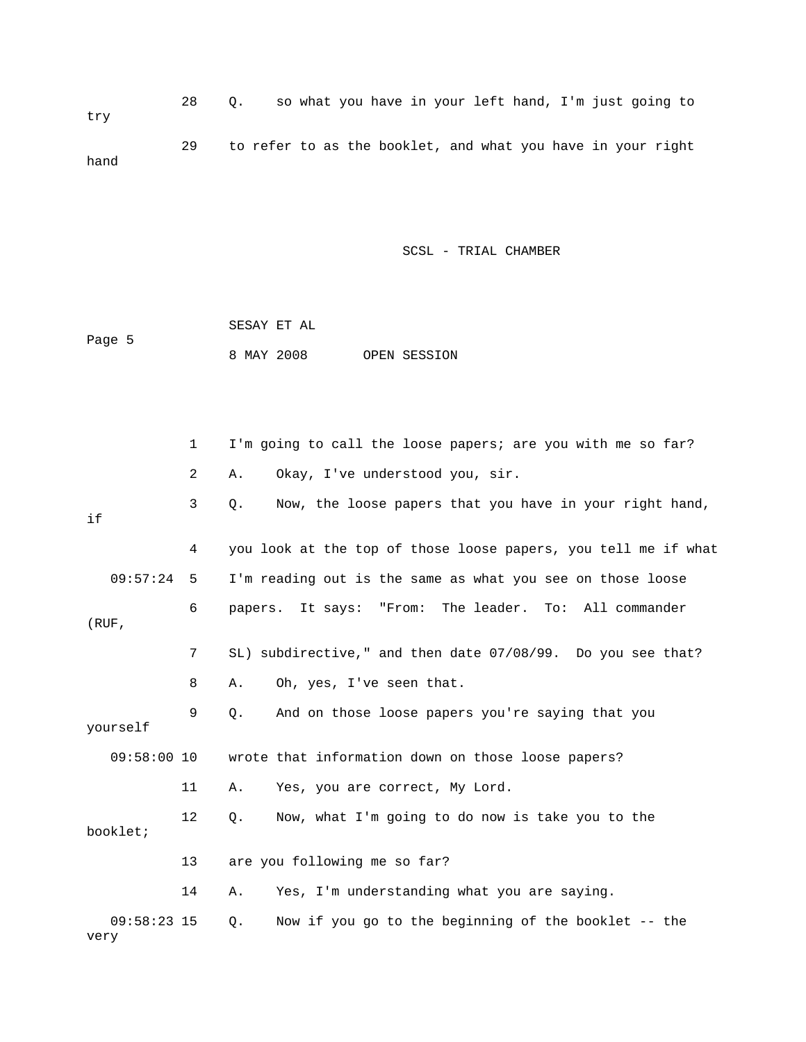28 Q. so what you have in your left hand, I'm just going to try 29 to refer to as the booklet, and what you have in your right hand

|        | SESAY ET AL |  |              |
|--------|-------------|--|--------------|
| Page 5 |             |  |              |
|        | 8 MAY 2008  |  | OPEN SESSION |

|       |               | $\mathbf 1$ | I'm going to call the loose papers; are you with me so far?    |
|-------|---------------|-------------|----------------------------------------------------------------|
|       |               | 2           | Okay, I've understood you, sir.<br>Α.                          |
| if    |               | 3           | Now, the loose papers that you have in your right hand,<br>Q.  |
|       |               | 4           | you look at the top of those loose papers, you tell me if what |
|       | 09:57:24      | 5           | I'm reading out is the same as what you see on those loose     |
| (RUF, |               | 6           | The leader. To: All commander<br>"From:<br>papers. It says:    |
|       |               | 7           | SL) subdirective," and then date 07/08/99. Do you see that?    |
|       |               | 8           | Oh, yes, I've seen that.<br>Α.                                 |
|       | yourself      | 9           | And on those loose papers you're saying that you<br>Q.         |
|       | $09:58:00$ 10 |             | wrote that information down on those loose papers?             |
|       |               | 11          | Yes, you are correct, My Lord.<br>Α.                           |
|       | booklet;      | 12          | Now, what I'm going to do now is take you to the<br>Q.         |
|       |               | 13          | are you following me so far?                                   |
|       |               | 14          | Yes, I'm understanding what you are saying.<br>Α.              |
| very  | $09:58:23$ 15 |             | Now if you go to the beginning of the booklet -- the<br>Q.     |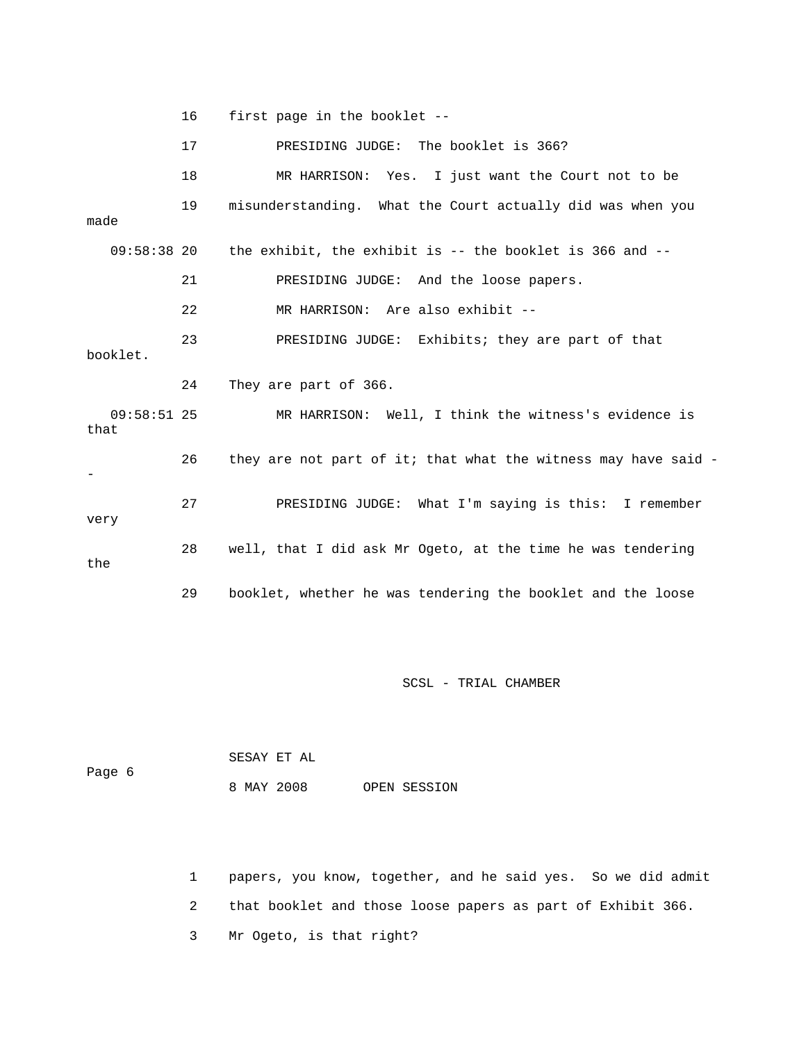16 first page in the booklet -- 17 PRESIDING JUDGE: The booklet is 366? 18 MR HARRISON: Yes. I just want the Court not to be 19 misunderstanding. What the Court actually did was when you made 09:58:38 20 the exhibit, the exhibit is -- the booklet is 366 and -- 21 PRESIDING JUDGE: And the loose papers. 22 MR HARRISON: Are also exhibit -- 23 PRESIDING JUDGE: Exhibits; they are part of that booklet. 24 They are part of 366. 09:58:51 25 MR HARRISON: Well, I think the witness's evidence is that 26 they are not part of it; that what the witness may have said - - 27 PRESIDING JUDGE: What I'm saying is this: I remember very 28 well, that I did ask Mr Ogeto, at the time he was tendering the 29 booklet, whether he was tendering the booklet and the loose

SCSL - TRIAL CHAMBER

 SESAY ET AL Page 6 8 MAY 2008 OPEN SESSION

1 papers, you know, together, and he said yes. So we did admit

2 that booklet and those loose papers as part of Exhibit 366.

3 Mr Ogeto, is that right?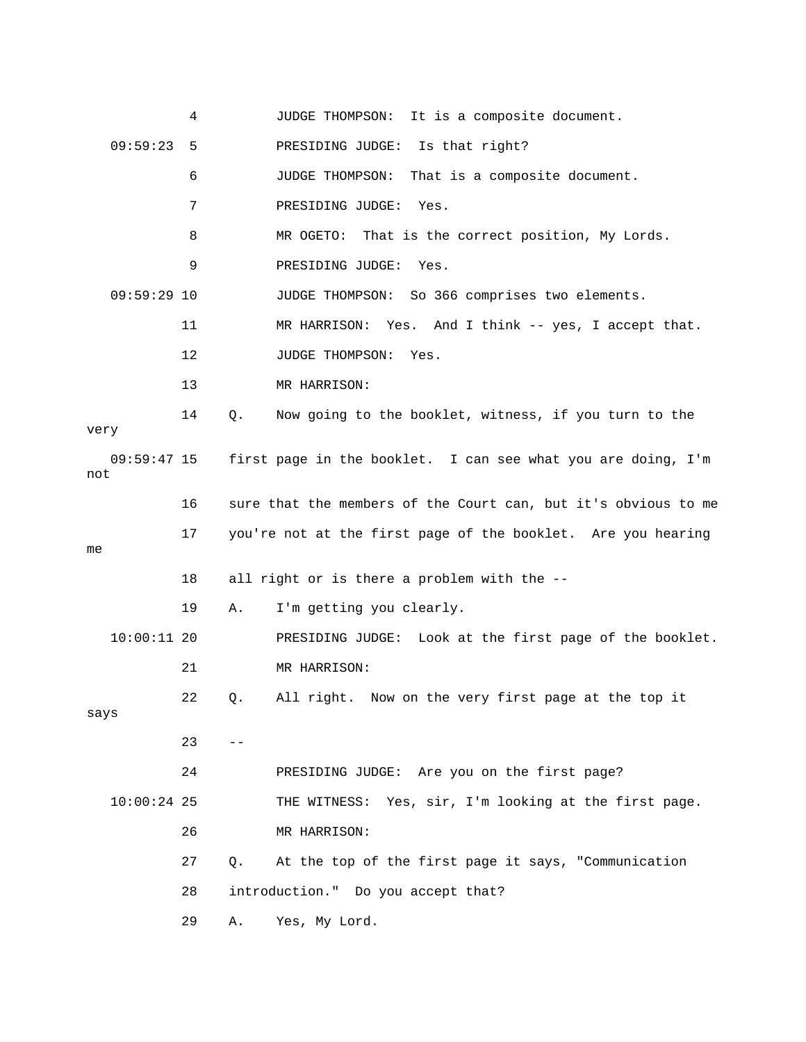|                      | 4  |       | It is a composite document.<br>JUDGE THOMPSON:                 |
|----------------------|----|-------|----------------------------------------------------------------|
| 09:59:23             | 5  |       | PRESIDING JUDGE: Is that right?                                |
|                      | 6  |       | JUDGE THOMPSON:<br>That is a composite document.               |
|                      | 7  |       | PRESIDING JUDGE:<br>Yes.                                       |
|                      | 8  |       | MR OGETO: That is the correct position, My Lords.              |
|                      | 9  |       | PRESIDING JUDGE:<br>Yes.                                       |
| $09:59:29$ 10        |    |       | JUDGE THOMPSON: So 366 comprises two elements.                 |
|                      | 11 |       | MR HARRISON: Yes. And I think -- yes, I accept that.           |
|                      | 12 |       | JUDGE THOMPSON:<br>Yes.                                        |
|                      | 13 |       | MR HARRISON:                                                   |
| very                 | 14 | Q.    | Now going to the booklet, witness, if you turn to the          |
| $09:59:47$ 15<br>not |    |       | first page in the booklet. I can see what you are doing, I'm   |
|                      | 16 |       | sure that the members of the Court can, but it's obvious to me |
|                      |    |       |                                                                |
| me                   | 17 |       | you're not at the first page of the booklet. Are you hearing   |
|                      | 18 |       | all right or is there a problem with the --                    |
|                      | 19 | Α.    | I'm getting you clearly.                                       |
| $10:00:11$ 20        |    |       | PRESIDING JUDGE: Look at the first page of the booklet.        |
|                      | 21 |       | MR HARRISON:                                                   |
| says                 | 22 | Q.    | All right. Now on the very first page at the top it            |
|                      | 23 | $- -$ |                                                                |
|                      | 24 |       | PRESIDING JUDGE: Are you on the first page?                    |
| $10:00:24$ 25        |    |       | THE WITNESS: Yes, sir, I'm looking at the first page.          |
|                      | 26 |       | MR HARRISON:                                                   |
|                      | 27 | $Q$ . | At the top of the first page it says, "Communication           |
|                      | 28 |       | introduction." Do you accept that?                             |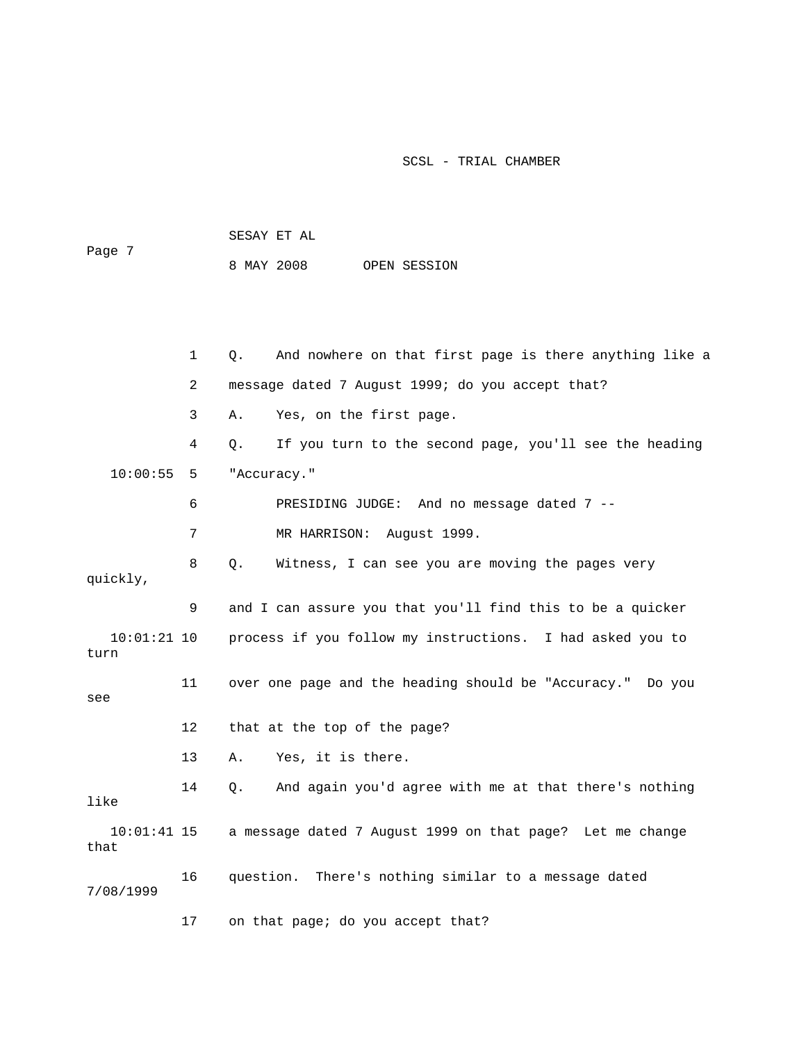|        | SESAY ET AL |  |              |
|--------|-------------|--|--------------|
| Page 7 |             |  |              |
|        | 8 MAY 2008  |  | OPEN SESSION |

 1 Q. And nowhere on that first page is there anything like a 2 message dated 7 August 1999; do you accept that? 3 A. Yes, on the first page. 4 Q. If you turn to the second page, you'll see the heading 10:00:55 5 "Accuracy." 6 PRESIDING JUDGE: And no message dated 7 -- 7 MR HARRISON: August 1999. 8 Q. Witness, I can see you are moving the pages very quickly, 9 and I can assure you that you'll find this to be a quicker 10:01:21 10 process if you follow my instructions. I had asked you to turn 11 over one page and the heading should be "Accuracy." Do you see 12 that at the top of the page? 13 A. Yes, it is there. 14 Q. And again you'd agree with me at that there's nothing like 10:01:41 15 a message dated 7 August 1999 on that page? Let me change that 16 question. There's nothing similar to a message dated 7/08/1999 17 on that page; do you accept that?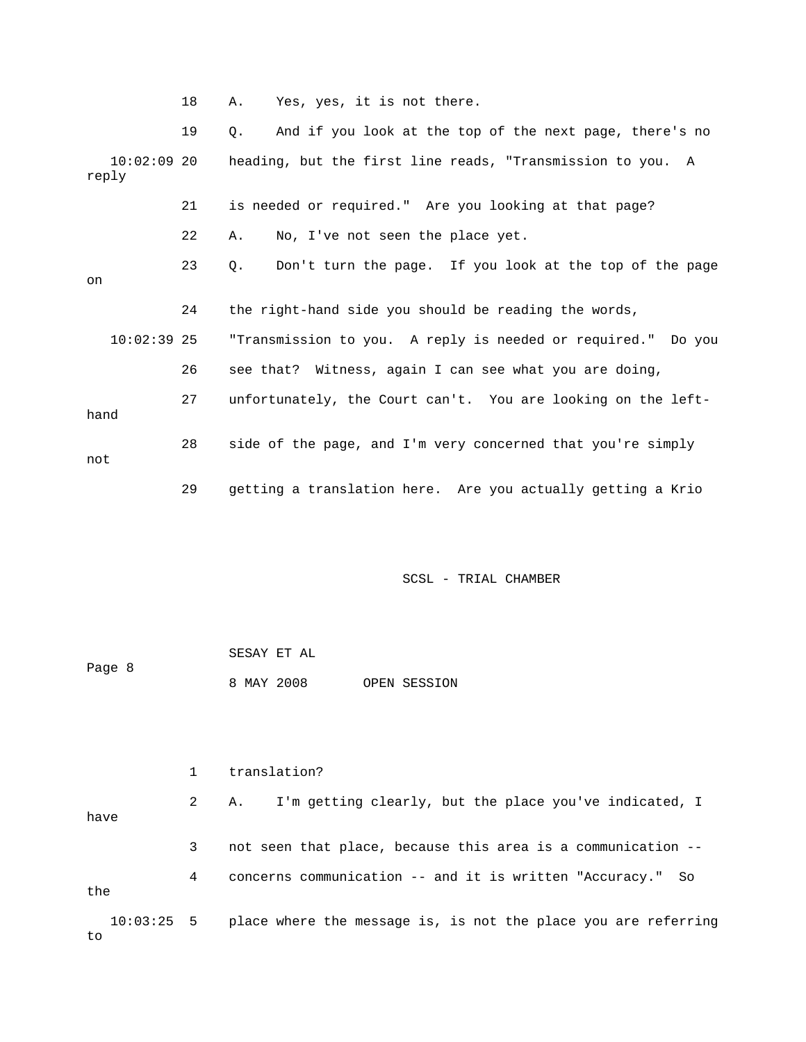18 A. Yes, yes, it is not there.

 19 Q. And if you look at the top of the next page, there's no 10:02:09 20 heading, but the first line reads, "Transmission to you. A reply 21 is needed or required." Are you looking at that page? 22 A. No, I've not seen the place yet. 23 Q. Don't turn the page. If you look at the top of the page on 24 the right-hand side you should be reading the words, 10:02:39 25 "Transmission to you. A reply is needed or required." Do you 26 see that? Witness, again I can see what you are doing, 27 unfortunately, the Court can't. You are looking on the lefthand 28 side of the page, and I'm very concerned that you're simply not 29 getting a translation here. Are you actually getting a Krio

SCSL - TRIAL CHAMBER

 SESAY ET AL Page 8 8 MAY 2008 OPEN SESSION

 1 translation? 2 A. I'm getting clearly, but the place you've indicated, I have 3 not seen that place, because this area is a communication -- 4 concerns communication -- and it is written "Accuracy." So the 10:03:25 5 place where the message is, is not the place you are referring to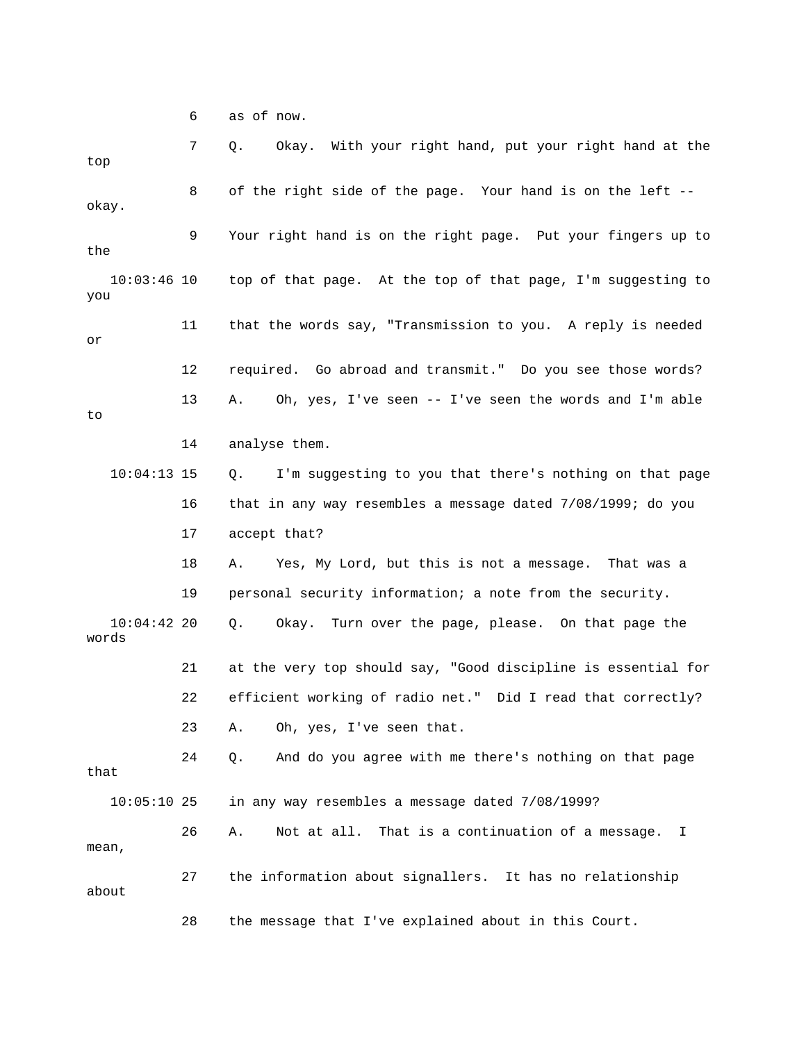6 as of now.

| top                    | 7  | Okay. With your right hand, put your right hand at the<br>Q.  |
|------------------------|----|---------------------------------------------------------------|
| okay.                  | 8  | of the right side of the page. Your hand is on the left --    |
| the                    | 9  | Your right hand is on the right page. Put your fingers up to  |
| $10:03:46$ 10<br>you   |    | top of that page. At the top of that page, I'm suggesting to  |
| or                     | 11 | that the words say, "Transmission to you. A reply is needed   |
|                        | 12 | required. Go abroad and transmit." Do you see those words?    |
| to                     | 13 | Oh, yes, I've seen -- I've seen the words and I'm able<br>Α.  |
|                        | 14 | analyse them.                                                 |
| $10:04:13$ 15          |    | I'm suggesting to you that there's nothing on that page<br>Q. |
|                        | 16 | that in any way resembles a message dated 7/08/1999; do you   |
|                        | 17 | accept that?                                                  |
|                        | 18 | Yes, My Lord, but this is not a message. That was a<br>Α.     |
|                        | 19 | personal security information; a note from the security.      |
| $10:04:42$ 20<br>words |    | Okay. Turn over the page, please. On that page the<br>Q.      |
|                        | 21 | at the very top should say, "Good discipline is essential for |
|                        | 22 | efficient working of radio net." Did I read that correctly?   |
|                        | 23 | A. Oh, yes, I've seen that.                                   |
| that                   | 24 | And do you agree with me there's nothing on that page<br>Q.   |
| $10:05:10$ 25          |    | in any way resembles a message dated 7/08/1999?               |
| mean,                  | 26 | Not at all. That is a continuation of a message.<br>Α.<br>I   |
| about                  | 27 | the information about signallers. It has no relationship      |
|                        | 28 | the message that I've explained about in this Court.          |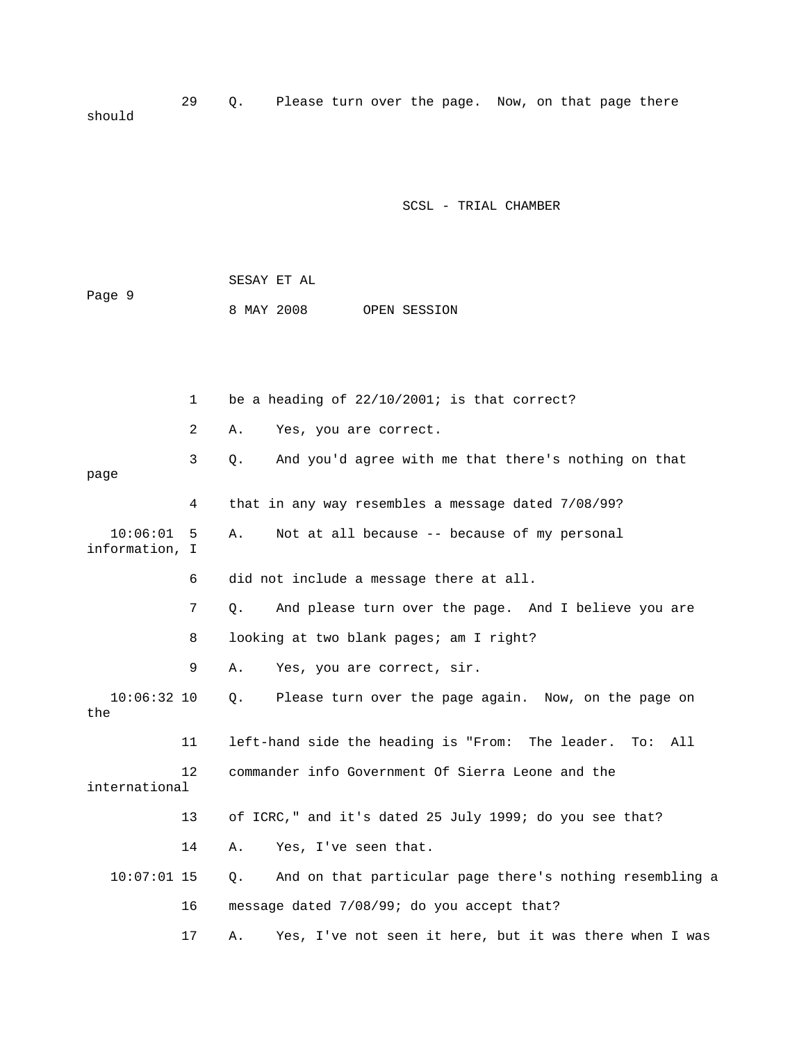29 Q. Please turn over the page. Now, on that page there should

SCSL - TRIAL CHAMBER

|        | SESAY ET AL |  |              |
|--------|-------------|--|--------------|
| Page 9 |             |  |              |
|        | 8 MAY 2008  |  | OPEN SESSION |

 1 be a heading of 22/10/2001; is that correct? 2 A. Yes, you are correct. 3 Q. And you'd agree with me that there's nothing on that page 4 that in any way resembles a message dated 7/08/99? 10:06:01 5 A. Not at all because -- because of my personal information, I 6 did not include a message there at all. 7 Q. And please turn over the page. And I believe you are 8 looking at two blank pages; am I right? 9 A. Yes, you are correct, sir. 10:06:32 10 Q. Please turn over the page again. Now, on the page on the 11 left-hand side the heading is "From: The leader. To: All 12 commander info Government Of Sierra Leone and the international 13 of ICRC," and it's dated 25 July 1999; do you see that? 14 A. Yes, I've seen that. 10:07:01 15 Q. And on that particular page there's nothing resembling a 16 message dated 7/08/99; do you accept that? 17 A. Yes, I've not seen it here, but it was there when I was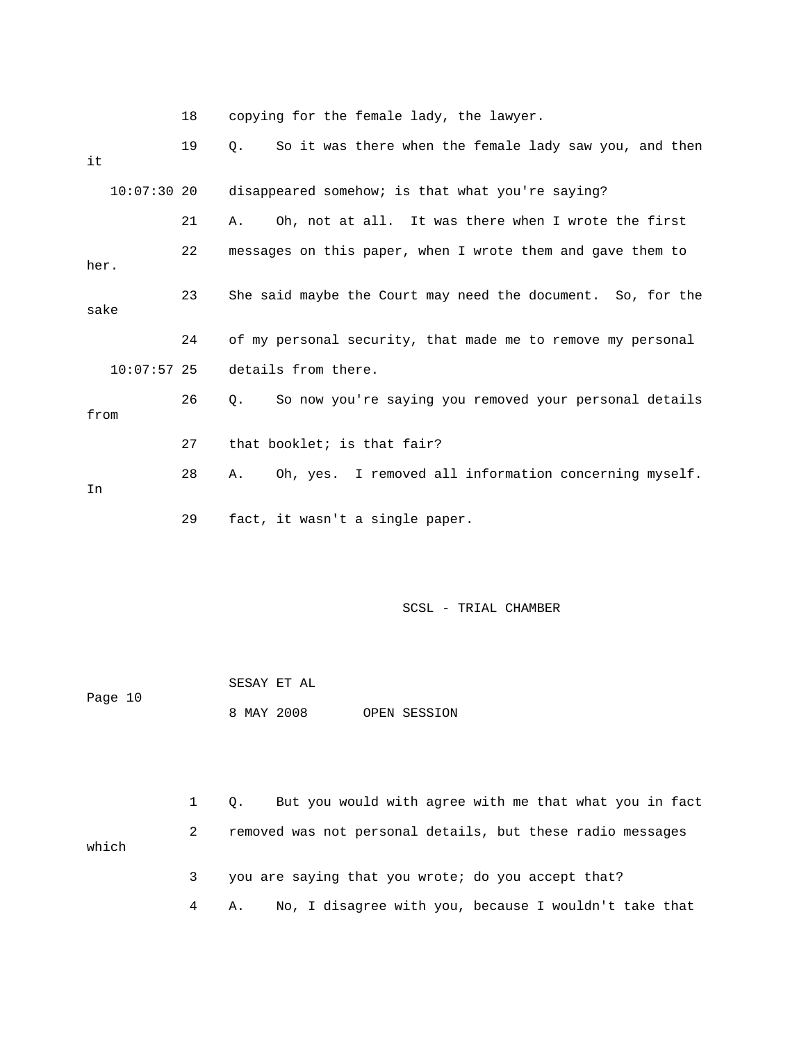18 copying for the female lady, the lawyer.

| it            | 19 | So it was there when the female lady saw you, and then<br>О. |
|---------------|----|--------------------------------------------------------------|
| $10:07:30$ 20 |    | disappeared somehow; is that what you're saying?             |
|               | 21 | Oh, not at all. It was there when I wrote the first<br>Α.    |
| her.          | 22 | messages on this paper, when I wrote them and gave them to   |
| sake          | 23 | She said maybe the Court may need the document. So, for the  |
|               | 24 | of my personal security, that made me to remove my personal  |
| $10:07:57$ 25 |    | details from there.                                          |
| from          | 26 | So now you're saying you removed your personal details<br>0. |
|               | 27 | that booklet; is that fair?                                  |
| In            | 28 | Oh, yes. I removed all information concerning myself.<br>A., |
|               | 29 | fact, it wasn't a single paper.                              |

| Page 10 | SESAY ET AL |  |              |
|---------|-------------|--|--------------|
|         | 8 MAY 2008  |  | OPEN SESSION |

|       | But you would with agree with me that what you in fact<br>$\Omega$ . |
|-------|----------------------------------------------------------------------|
| which | removed was not personal details, but these radio messages           |
|       | you are saying that you wrote; do you accept that?                   |
|       | A. No, I disagree with you, because I wouldn't take that             |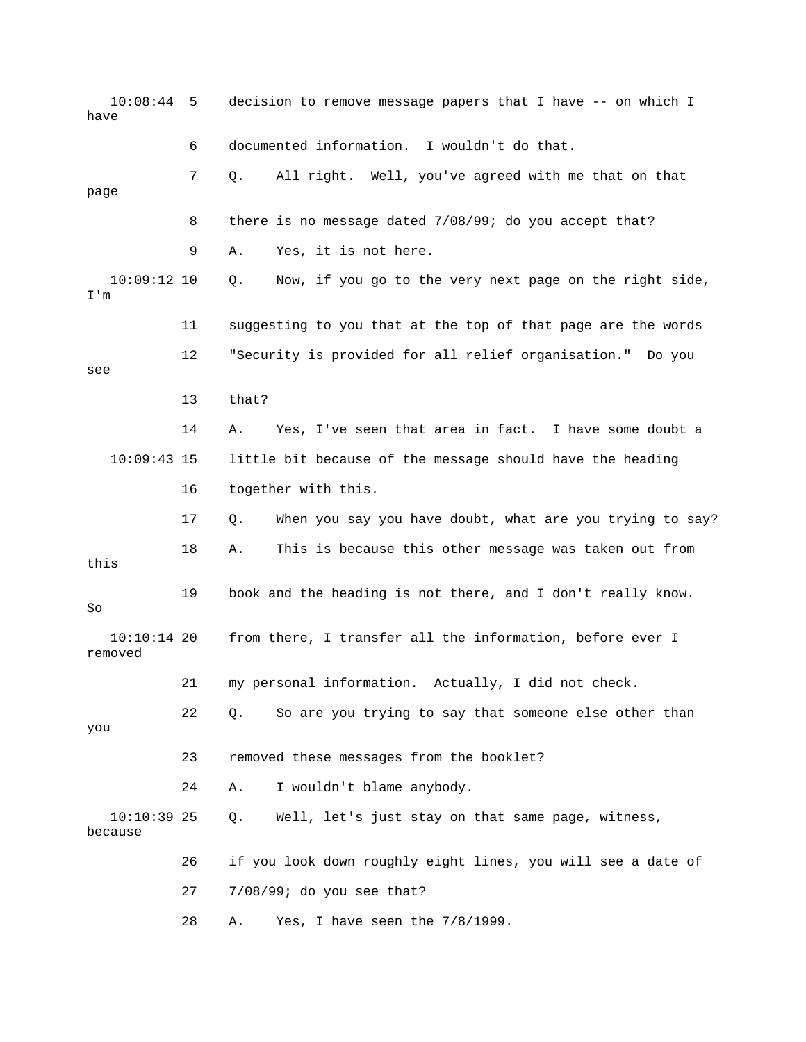10:08:44 5 decision to remove message papers that I have -- on which I have 6 documented information. I wouldn't do that. 7 Q. All right. Well, you've agreed with me that on that page 8 there is no message dated 7/08/99; do you accept that? 9 A. Yes, it is not here. 10:09:12 10 Q. Now, if you go to the very next page on the right side, I'm 11 suggesting to you that at the top of that page are the words 12 "Security is provided for all relief organisation." Do you see 13 that? 14 A. Yes, I've seen that area in fact. I have some doubt a 10:09:43 15 little bit because of the message should have the heading 16 together with this. 17 Q. When you say you have doubt, what are you trying to say? 18 A. This is because this other message was taken out from this 19 book and the heading is not there, and I don't really know. So 10:10:14 20 from there, I transfer all the information, before ever I removed 21 my personal information. Actually, I did not check. 22 Q. So are you trying to say that someone else other than you 23 removed these messages from the booklet? 24 A. I wouldn't blame anybody. 10:10:39 25 Q. Well, let's just stay on that same page, witness, because 26 if you look down roughly eight lines, you will see a date of 27 7/08/99; do you see that? 28 A. Yes, I have seen the 7/8/1999.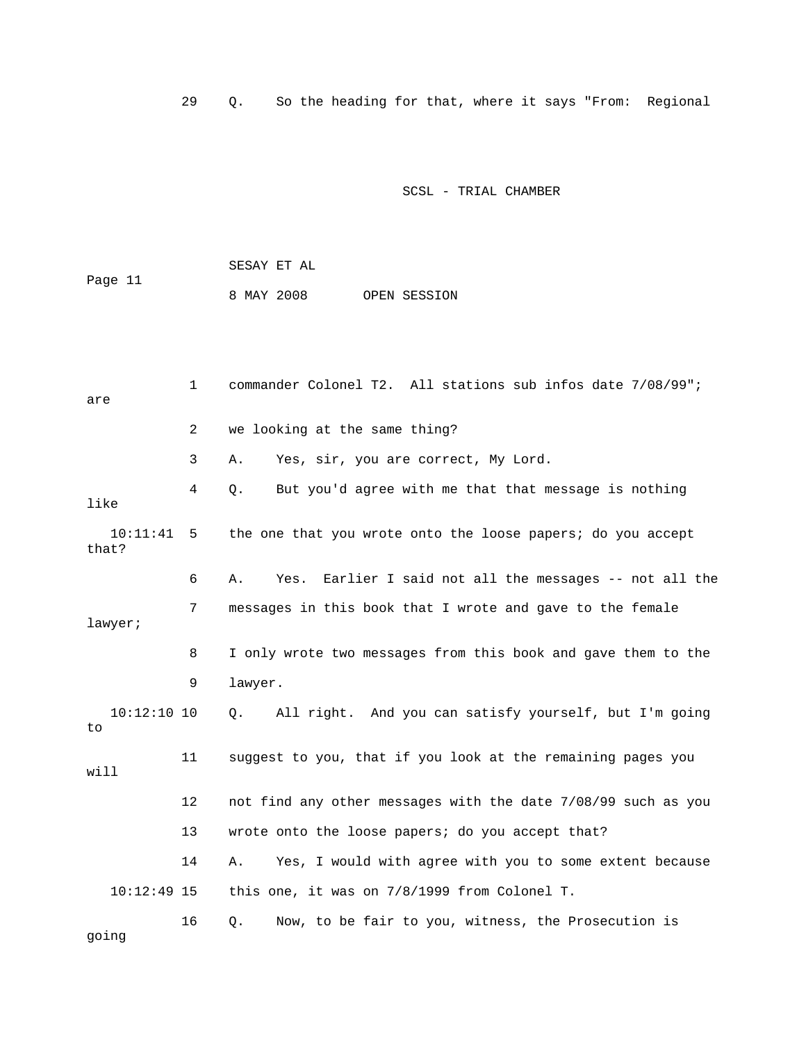29 Q. So the heading for that, where it says "From: Regional

SCSL - TRIAL CHAMBER

 SESAY ET AL Page 11 8 MAY 2008 OPEN SESSION

 1 commander Colonel T2. All stations sub infos date 7/08/99"; are 2 we looking at the same thing? 3 A. Yes, sir, you are correct, My Lord. 4 Q. But you'd agree with me that that message is nothing like 10:11:41 5 the one that you wrote onto the loose papers; do you accept that? 6 A. Yes. Earlier I said not all the messages -- not all the 7 messages in this book that I wrote and gave to the female lawyer; 8 I only wrote two messages from this book and gave them to the 9 lawyer. 10:12:10 10 Q. All right. And you can satisfy yourself, but I'm going to 11 suggest to you, that if you look at the remaining pages you will 12 not find any other messages with the date 7/08/99 such as you 13 wrote onto the loose papers; do you accept that? 14 A. Yes, I would with agree with you to some extent because 10:12:49 15 this one, it was on 7/8/1999 from Colonel T. 16 Q. Now, to be fair to you, witness, the Prosecution is

going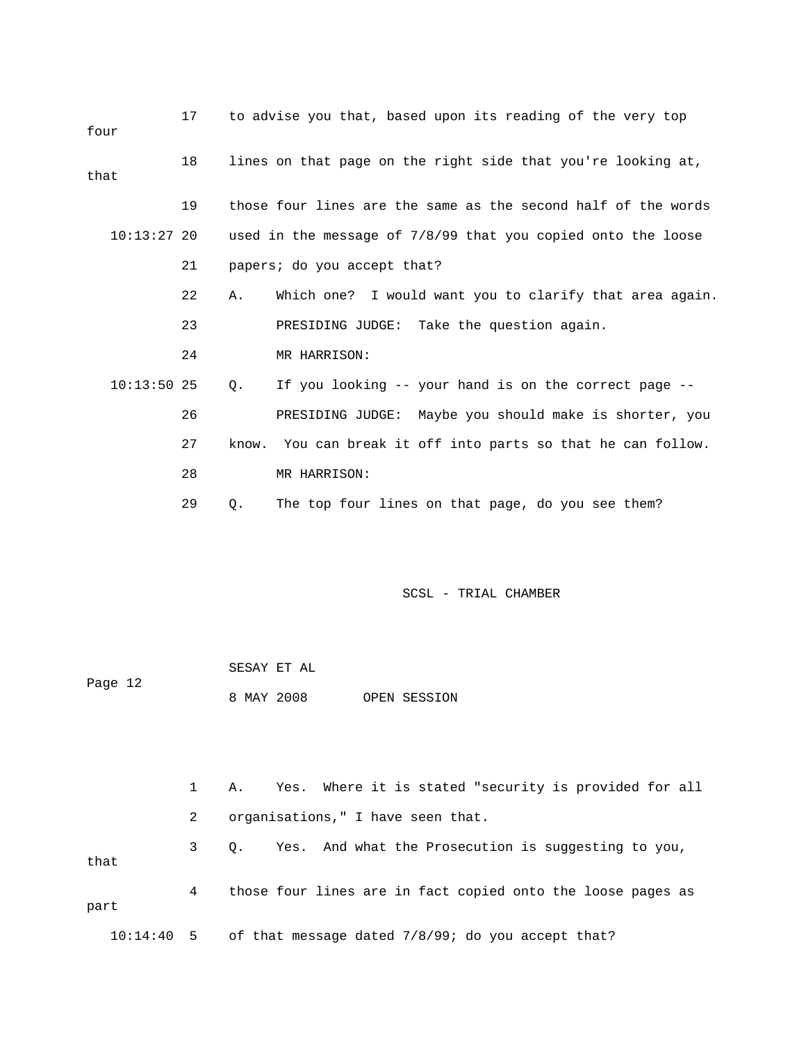| four          | 17 |    | to advise you that, based upon its reading of the very top    |
|---------------|----|----|---------------------------------------------------------------|
| that          | 18 |    | lines on that page on the right side that you're looking at,  |
|               | 19 |    | those four lines are the same as the second half of the words |
| $10:13:27$ 20 |    |    | used in the message of 7/8/99 that you copied onto the loose  |
|               | 21 |    | papers; do you accept that?                                   |
|               | 22 | Α. | Which one? I would want you to clarify that area again.       |
|               | 23 |    | PRESIDING JUDGE: Take the question again.                     |
|               | 24 |    | MR HARRISON:                                                  |
| $10:13:50$ 25 |    | Q. | If you looking -- your hand is on the correct page --         |
|               | 26 |    | PRESIDING JUDGE: Maybe you should make is shorter, you        |
|               | 27 |    | know. You can break it off into parts so that he can follow.  |
|               | 28 |    | MR HARRISON:                                                  |
|               | 29 | Q. | The top four lines on that page, do you see them?             |

|         | SESAY ET AL |  |              |
|---------|-------------|--|--------------|
| Page 12 |             |  |              |
|         | 8 MAY 2008  |  | OPEN SESSION |

 1 A. Yes. Where it is stated "security is provided for all 2 organisations," I have seen that. 3 Q. Yes. And what the Prosecution is suggesting to you, that 4 those four lines are in fact copied onto the loose pages as part 10:14:40 5 of that message dated 7/8/99; do you accept that?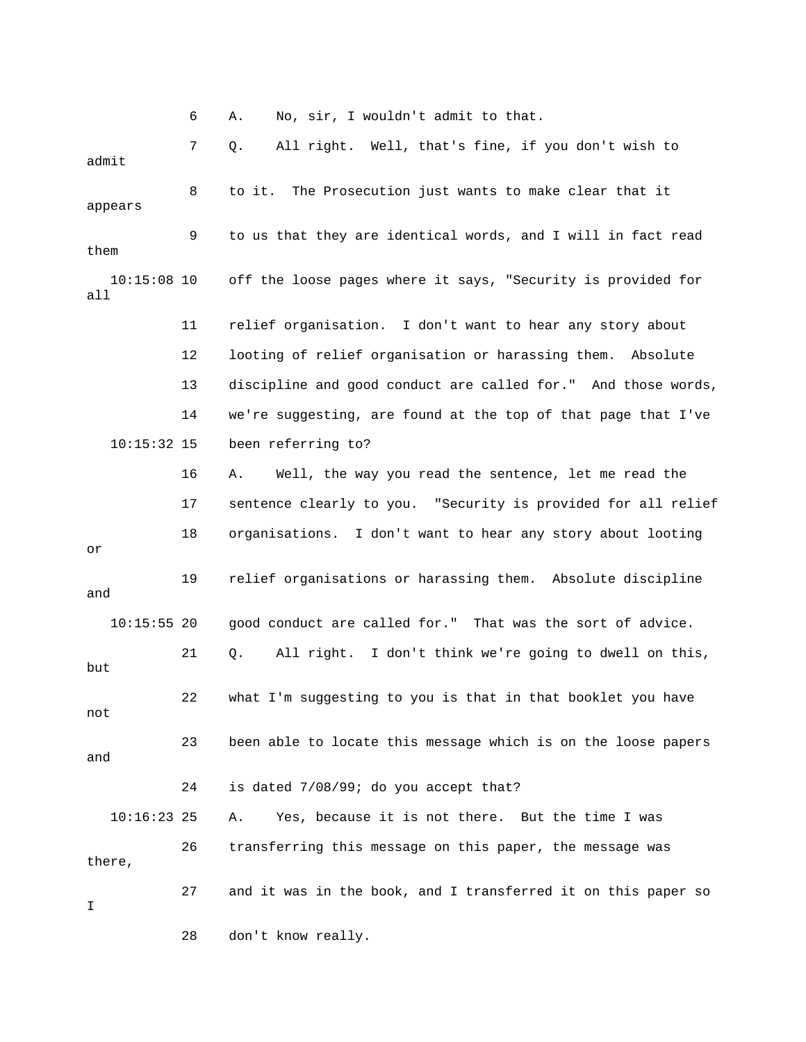6 A. No, sir, I wouldn't admit to that.

 7 Q. All right. Well, that's fine, if you don't wish to admit 8 to it. The Prosecution just wants to make clear that it appears 9 to us that they are identical words, and I will in fact read them 10:15:08 10 off the loose pages where it says, "Security is provided for all 11 relief organisation. I don't want to hear any story about 12 looting of relief organisation or harassing them. Absolute 13 discipline and good conduct are called for." And those words, 14 we're suggesting, are found at the top of that page that I've 10:15:32 15 been referring to? 16 A. Well, the way you read the sentence, let me read the 17 sentence clearly to you. "Security is provided for all relief 18 organisations. I don't want to hear any story about looting or 19 relief organisations or harassing them. Absolute discipline and 10:15:55 20 good conduct are called for." That was the sort of advice. 21 Q. All right. I don't think we're going to dwell on this, but 22 what I'm suggesting to you is that in that booklet you have not 23 been able to locate this message which is on the loose papers and 24 is dated 7/08/99; do you accept that? 10:16:23 25 A. Yes, because it is not there. But the time I was 26 transferring this message on this paper, the message was there, 27 and it was in the book, and I transferred it on this paper so I 28 don't know really.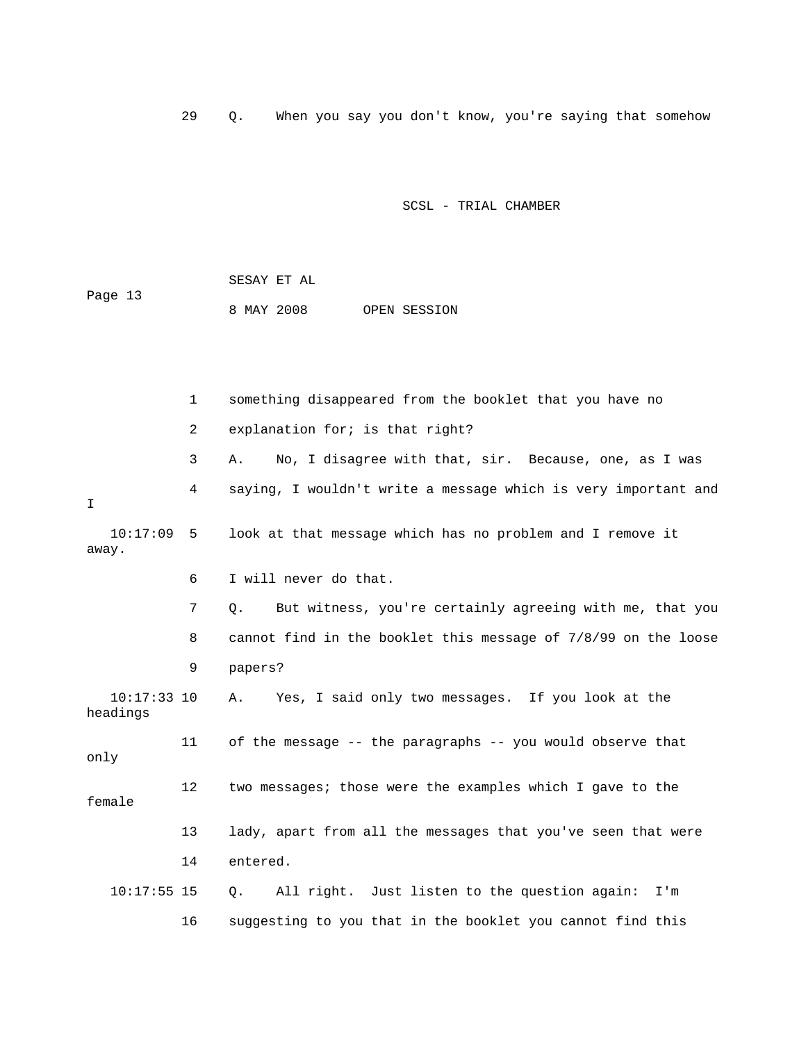29 Q. When you say you don't know, you're saying that somehow

#### SCSL - TRIAL CHAMBER

|         | SESAY ET AL |  |              |
|---------|-------------|--|--------------|
| Page 13 |             |  |              |
|         | 8 MAY 2008  |  | OPEN SESSION |

 1 something disappeared from the booklet that you have no 2 explanation for; is that right? 3 A. No, I disagree with that, sir. Because, one, as I was 4 saying, I wouldn't write a message which is very important and I 10:17:09 5 look at that message which has no problem and I remove it away. 6 I will never do that. 7 Q. But witness, you're certainly agreeing with me, that you 8 cannot find in the booklet this message of 7/8/99 on the loose 9 papers? 10:17:33 10 A. Yes, I said only two messages. If you look at the headings 11 of the message -- the paragraphs -- you would observe that only 12 two messages; those were the examples which I gave to the female 13 lady, apart from all the messages that you've seen that were 14 entered. 10:17:55 15 Q. All right. Just listen to the question again: I'm 16 suggesting to you that in the booklet you cannot find this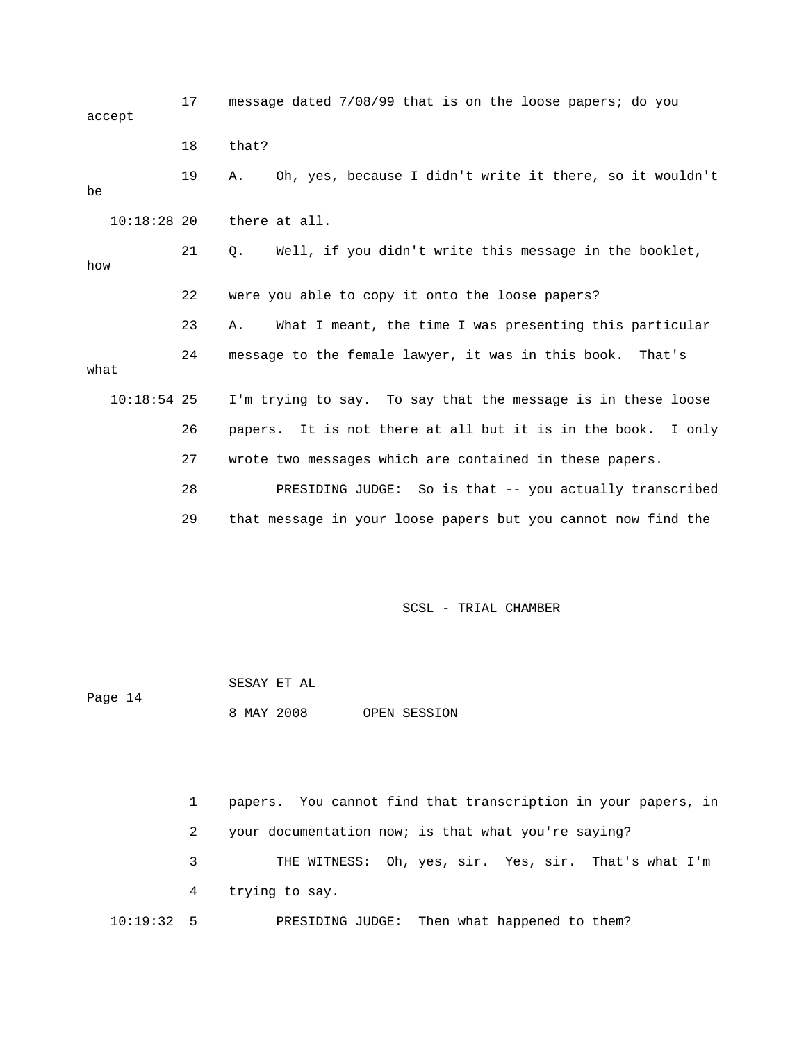17 message dated 7/08/99 that is on the loose papers; do you accept 18 that? 19 A. Oh, yes, because I didn't write it there, so it wouldn't be 10:18:28 20 there at all. 21 Q. Well, if you didn't write this message in the booklet, how 22 were you able to copy it onto the loose papers? 23 A. What I meant, the time I was presenting this particular 24 message to the female lawyer, it was in this book. That's what 10:18:54 25 I'm trying to say. To say that the message is in these loose 26 papers. It is not there at all but it is in the book. I only 27 wrote two messages which are contained in these papers. 28 PRESIDING JUDGE: So is that -- you actually transcribed 29 that message in your loose papers but you cannot now find the

SCSL - TRIAL CHAMBER

 SESAY ET AL Page 14 8 MAY 2008 OPEN SESSION

 1 papers. You cannot find that transcription in your papers, in 2 your documentation now; is that what you're saying? 3 THE WITNESS: Oh, yes, sir. Yes, sir. That's what I'm 4 trying to say. 10:19:32 5 PRESIDING JUDGE: Then what happened to them?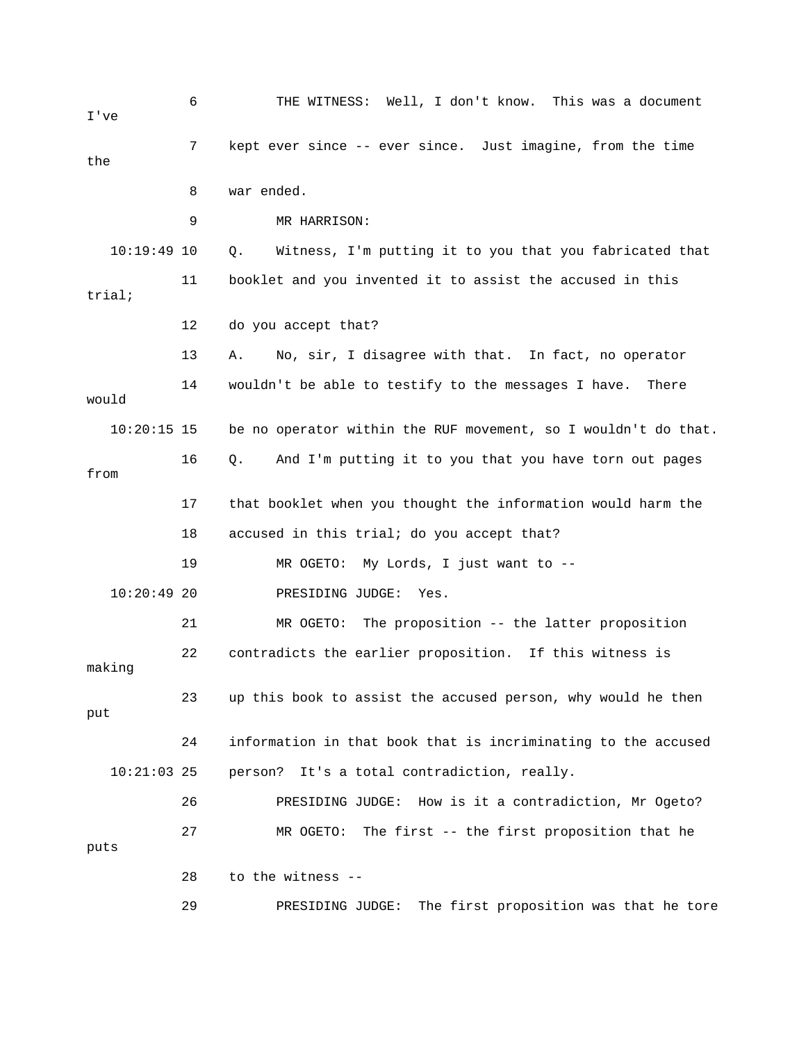| I've          | 6  | THE WITNESS: Well, I don't know. This was a document            |
|---------------|----|-----------------------------------------------------------------|
| the           | 7  | kept ever since -- ever since. Just imagine, from the time      |
|               | 8  | war ended.                                                      |
|               | 9  | MR HARRISON:                                                    |
| $10:19:49$ 10 |    | Witness, I'm putting it to you that you fabricated that<br>Q.   |
| trial;        | 11 | booklet and you invented it to assist the accused in this       |
|               | 12 | do you accept that?                                             |
|               | 13 | No, sir, I disagree with that. In fact, no operator<br>Α.       |
| would         | 14 | wouldn't be able to testify to the messages I have.<br>There    |
| $10:20:15$ 15 |    | be no operator within the RUF movement, so I wouldn't do that.  |
| from          | 16 | $Q$ .<br>And I'm putting it to you that you have torn out pages |
|               | 17 | that booklet when you thought the information would harm the    |
|               | 18 | accused in this trial; do you accept that?                      |
|               | 19 | My Lords, I just want to --<br>MR OGETO:                        |
| $10:20:49$ 20 |    | PRESIDING JUDGE:<br>Yes.                                        |
|               | 21 | MR OGETO:<br>The proposition -- the latter proposition          |
| making        | 22 | contradicts the earlier proposition. If this witness is         |
| put           | 23 | up this book to assist the accused person, why would he then    |
|               | 24 | information in that book that is incriminating to the accused   |
| $10:21:03$ 25 |    | It's a total contradiction, really.<br>person?                  |
|               | 26 | PRESIDING JUDGE: How is it a contradiction, Mr Ogeto?           |
| puts          | 27 | The first -- the first proposition that he<br>MR OGETO:         |
|               | 28 | to the witness --                                               |
|               | 29 | The first proposition was that he tore<br>PRESIDING JUDGE:      |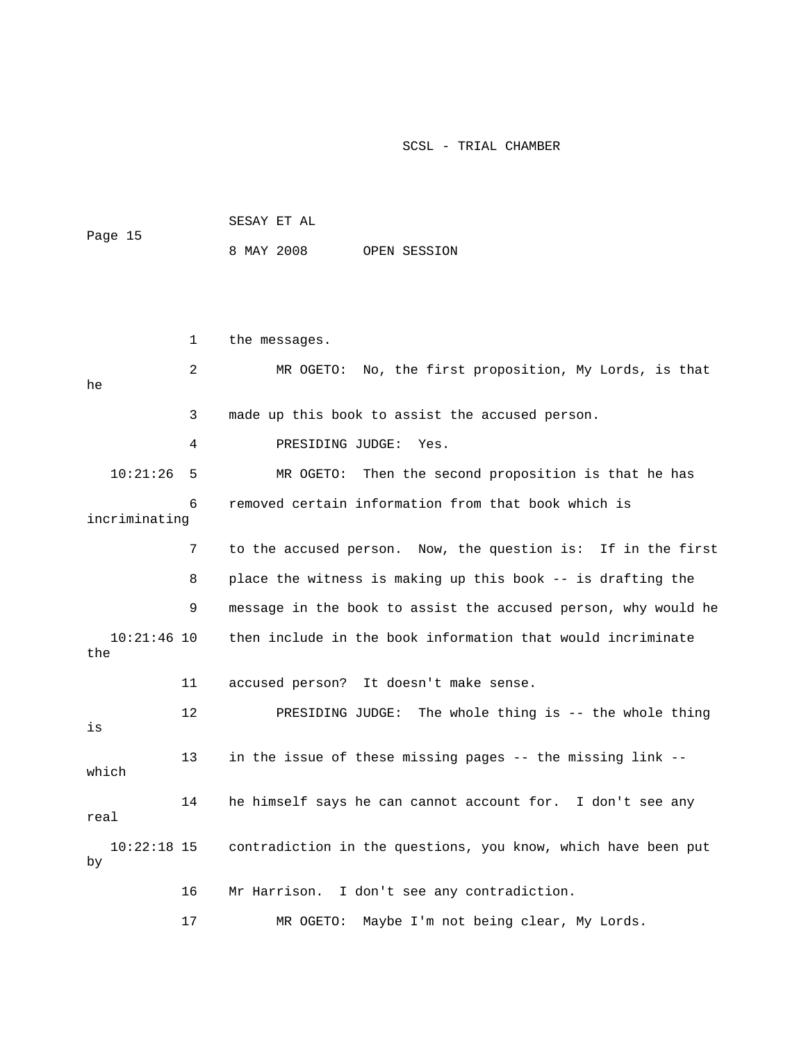|         | SESAY ET AL |  |              |
|---------|-------------|--|--------------|
| Page 15 |             |  |              |
|         | 8 MAY 2008  |  | OPEN SESSION |

|                      | 1  | the messages.                                                  |
|----------------------|----|----------------------------------------------------------------|
| he                   | 2  | MR OGETO: No, the first proposition, My Lords, is that         |
|                      | 3  | made up this book to assist the accused person.                |
|                      | 4  | PRESIDING JUDGE:<br>Yes.                                       |
| 10:21:26             | -5 | MR OGETO: Then the second proposition is that he has           |
| incriminating        | 6  | removed certain information from that book which is            |
|                      | 7  | to the accused person. Now, the question is: If in the first   |
|                      | 8  | place the witness is making up this book -- is drafting the    |
|                      | 9  | message in the book to assist the accused person, why would he |
| $10:21:46$ 10<br>the |    | then include in the book information that would incriminate    |
|                      | 11 | accused person? It doesn't make sense.                         |
| is                   | 12 | PRESIDING JUDGE: The whole thing is -- the whole thing         |
| which                | 13 | in the issue of these missing pages -- the missing link --     |
| real                 | 14 | he himself says he can cannot account for. I don't see any     |
| $10:22:18$ 15<br>by  |    | contradiction in the questions, you know, which have been put  |
|                      | 16 | Mr Harrison. I don't see any contradiction.                    |
|                      | 17 | Maybe I'm not being clear, My Lords.<br>MR OGETO:              |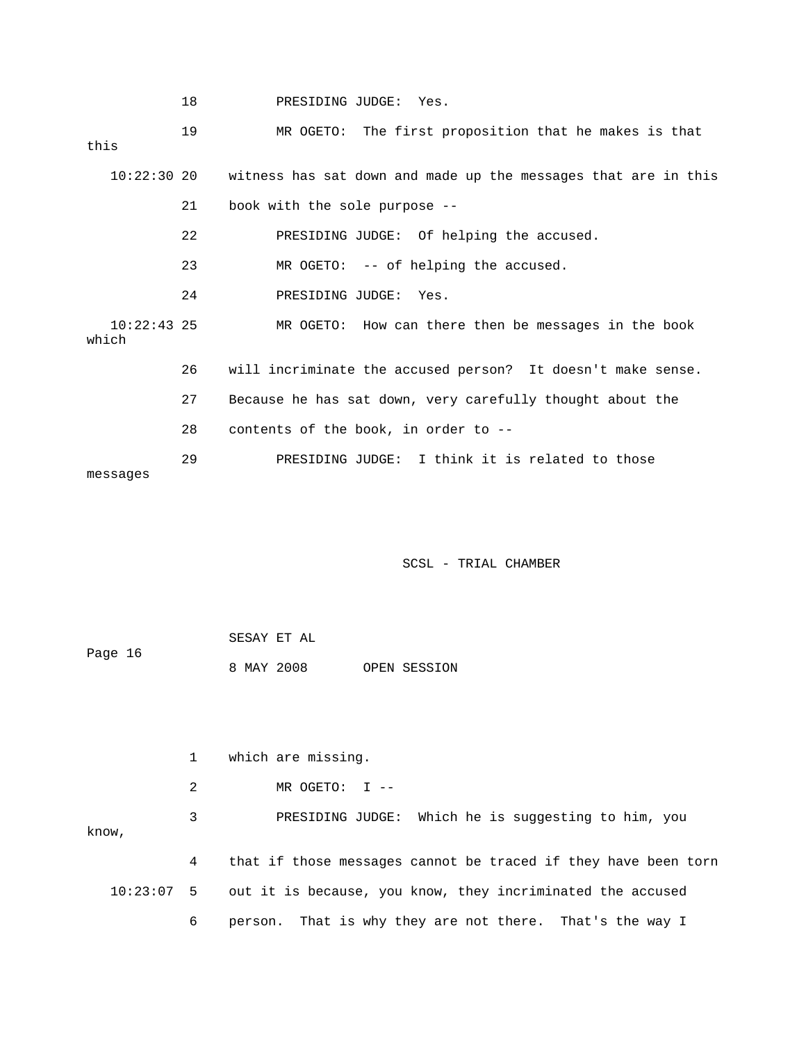19 MR OGETO: The first proposition that he makes is that this 10:22:30 20 witness has sat down and made up the messages that are in this 21 book with the sole purpose -- 22 PRESIDING JUDGE: Of helping the accused. 23 MR OGETO: -- of helping the accused. 24 PRESIDING JUDGE: Yes. 10:22:43 25 MR OGETO: How can there then be messages in the book which 26 will incriminate the accused person? It doesn't make sense. 27 Because he has sat down, very carefully thought about the 28 contents of the book, in order to -- 29 PRESIDING JUDGE: I think it is related to those messages

SCSL - TRIAL CHAMBER

| Page 16 | SESAY ET AL |  |              |
|---------|-------------|--|--------------|
|         | 8 MAY 2008  |  | OPEN SESSION |

1 which are missing.

2 MR OGETO: I --

 3 PRESIDING JUDGE: Which he is suggesting to him, you know,

 4 that if those messages cannot be traced if they have been torn 10:23:07 5 out it is because, you know, they incriminated the accused 6 person. That is why they are not there. That's the way I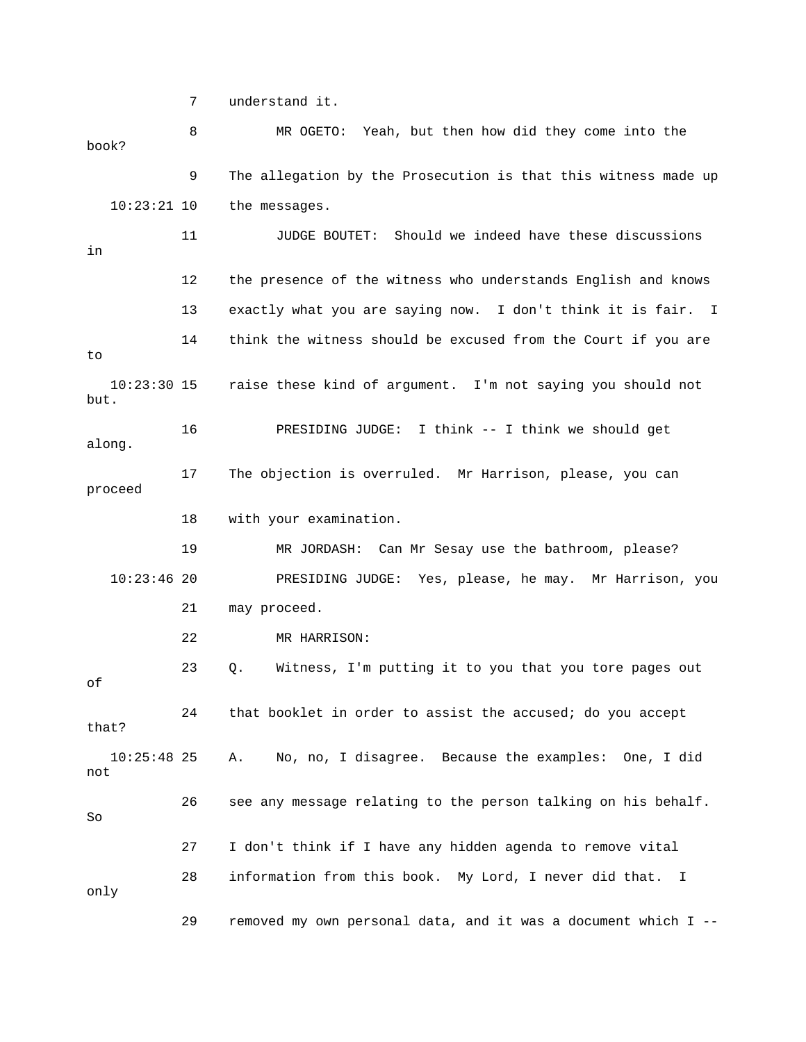7 understand it.

 8 MR OGETO: Yeah, but then how did they come into the book? 9 The allegation by the Prosecution is that this witness made up 10:23:21 10 the messages. 11 JUDGE BOUTET: Should we indeed have these discussions in 12 the presence of the witness who understands English and knows 13 exactly what you are saying now. I don't think it is fair. I 14 think the witness should be excused from the Court if you are to 10:23:30 15 raise these kind of argument. I'm not saying you should not but. 16 PRESIDING JUDGE: I think -- I think we should get along. 17 The objection is overruled. Mr Harrison, please, you can proceed 18 with your examination. 19 MR JORDASH: Can Mr Sesay use the bathroom, please? 10:23:46 20 PRESIDING JUDGE: Yes, please, he may. Mr Harrison, you 21 may proceed. 22 MR HARRISON: 23 Q. Witness, I'm putting it to you that you tore pages out of 24 that booklet in order to assist the accused; do you accept that? 10:25:48 25 A. No, no, I disagree. Because the examples: One, I did not 26 see any message relating to the person talking on his behalf. So 27 I don't think if I have any hidden agenda to remove vital 28 information from this book. My Lord, I never did that. I only 29 removed my own personal data, and it was a document which I --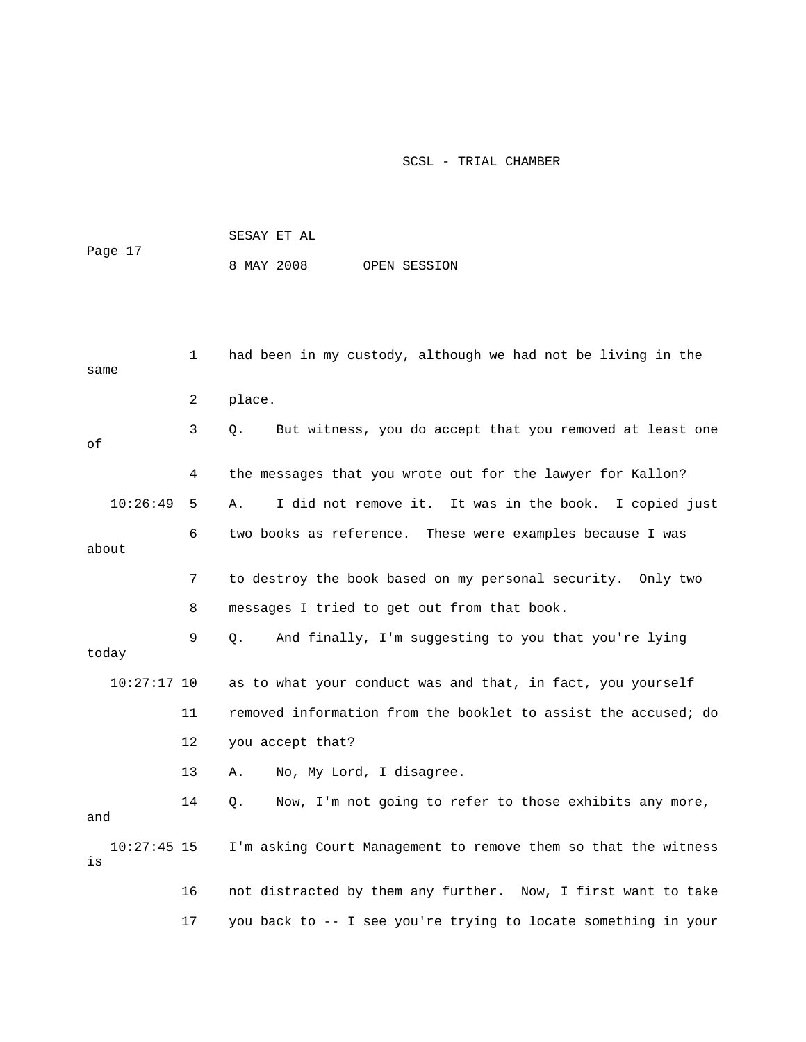| Page 17 |  | SESAY ET AL |  |              |
|---------|--|-------------|--|--------------|
|         |  | 8 MAY 2008  |  | OPEN SESSION |

|                     | 1  | had been in my custody, although we had not be living in the     |
|---------------------|----|------------------------------------------------------------------|
| same                |    |                                                                  |
|                     | 2  | place.                                                           |
| оf                  | 3  | But witness, you do accept that you removed at least one<br>Q.   |
|                     | 4  | the messages that you wrote out for the lawyer for Kallon?       |
| 10:26:49            | 5  | I did not remove it. It was in the book. I copied just<br>Α.     |
| about               | 6  | two books as reference. These were examples because I was        |
|                     | 7  | to destroy the book based on my personal security. Only two      |
|                     | 8  | messages I tried to get out from that book.                      |
| today               | 9  | And finally, I'm suggesting to you that you're lying<br>Q.       |
| $10:27:17$ 10       |    | as to what your conduct was and that, in fact, you yourself      |
|                     | 11 | removed information from the booklet to assist the accused; do   |
|                     | 12 | you accept that?                                                 |
|                     | 13 | No, My Lord, I disagree.<br>Α.                                   |
| and                 | 14 | Now, I'm not going to refer to those exhibits any more,<br>$Q$ . |
| $10:27:45$ 15<br>is |    | I'm asking Court Management to remove them so that the witness   |
|                     | 16 | not distracted by them any further. Now, I first want to take    |
|                     | 17 | you back to -- I see you're trying to locate something in your   |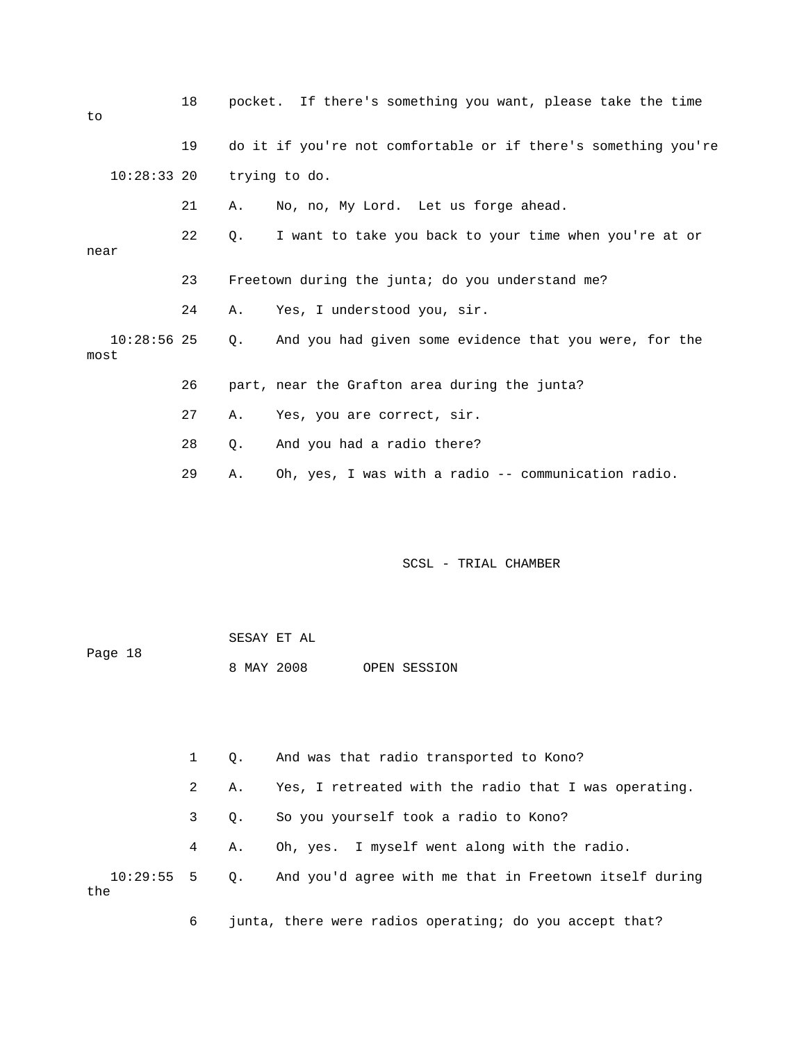| to                    | 18 |           | pocket. If there's something you want, please take the time    |
|-----------------------|----|-----------|----------------------------------------------------------------|
|                       | 19 |           | do it if you're not comfortable or if there's something you're |
| 10:28:33 20           |    |           | trying to do.                                                  |
|                       | 21 | Α.        | No, no, My Lord. Let us forge ahead.                           |
| near                  | 22 | Q.        | I want to take you back to your time when you're at or         |
|                       | 23 |           | Freetown during the junta; do you understand me?               |
|                       | 24 | Α.        | Yes, I understood you, sir.                                    |
| $10:28:56$ 25<br>most |    | $\circ$ . | And you had given some evidence that you were, for the         |
|                       | 26 |           | part, near the Grafton area during the junta?                  |
|                       | 27 | Α.        | Yes, you are correct, sir.                                     |
|                       | 28 | О.        | And you had a radio there?                                     |
|                       | 29 | Α.        | Oh, yes, I was with a radio -- communication radio.            |

| Page 18 | SESAY ET AL |  |  |              |
|---------|-------------|--|--|--------------|
|         | 8 MAY 2008  |  |  | OPEN SESSION |

 1 Q. And was that radio transported to Kono? 2 A. Yes, I retreated with the radio that I was operating. 3 Q. So you yourself took a radio to Kono? 4 A. Oh, yes. I myself went along with the radio. 10:29:55 5 Q. And you'd agree with me that in Freetown itself during the

6 junta, there were radios operating; do you accept that?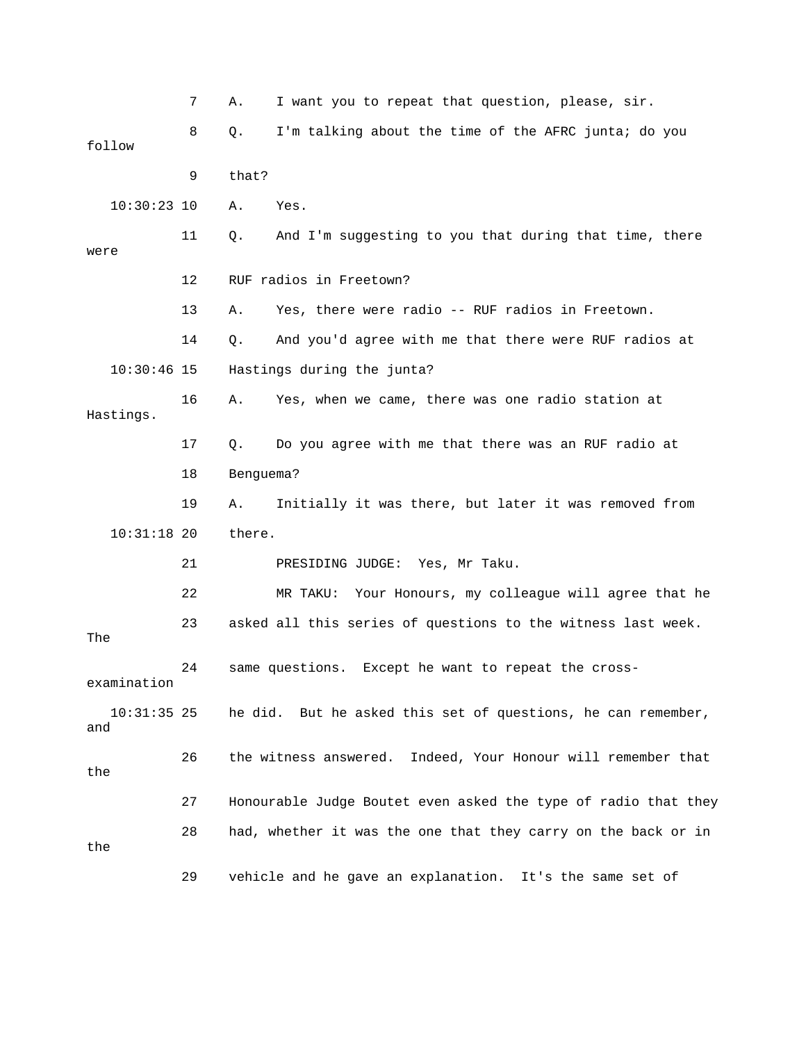7 A. I want you to repeat that question, please, sir. 8 Q. I'm talking about the time of the AFRC junta; do you follow 9 that? 10:30:23 10 A. Yes. 11 Q. And I'm suggesting to you that during that time, there were 12 RUF radios in Freetown? 13 A. Yes, there were radio -- RUF radios in Freetown. 14 Q. And you'd agree with me that there were RUF radios at 10:30:46 15 Hastings during the junta? 16 A. Yes, when we came, there was one radio station at Hastings. 17 Q. Do you agree with me that there was an RUF radio at 18 Benguema? 19 A. Initially it was there, but later it was removed from 10:31:18 20 there. 21 PRESIDING JUDGE: Yes, Mr Taku. 22 MR TAKU: Your Honours, my colleague will agree that he 23 asked all this series of questions to the witness last week. The 24 same questions. Except he want to repeat the crossexamination 10:31:35 25 he did. But he asked this set of questions, he can remember, and 26 the witness answered. Indeed, Your Honour will remember that the 27 Honourable Judge Boutet even asked the type of radio that they 28 had, whether it was the one that they carry on the back or in the 29 vehicle and he gave an explanation. It's the same set of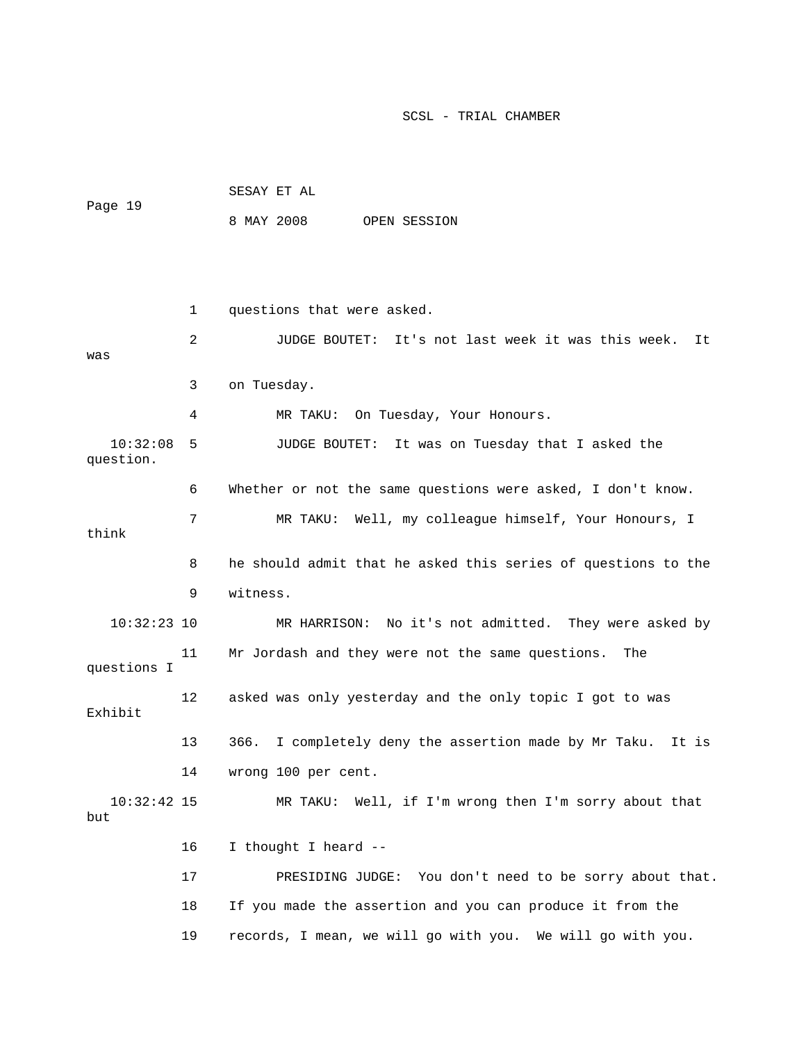|                       |    | SESAY ET AL                                                       |  |  |  |  |  |  |
|-----------------------|----|-------------------------------------------------------------------|--|--|--|--|--|--|
| Page 19               |    | 8 MAY 2008<br>OPEN SESSION                                        |  |  |  |  |  |  |
|                       |    |                                                                   |  |  |  |  |  |  |
|                       |    |                                                                   |  |  |  |  |  |  |
|                       | 1  | questions that were asked.                                        |  |  |  |  |  |  |
| was                   | 2  | JUDGE BOUTET: It's not last week it was this week.<br>It          |  |  |  |  |  |  |
|                       | 3  | on Tuesday.                                                       |  |  |  |  |  |  |
|                       | 4  | On Tuesday, Your Honours.<br>MR TAKU:                             |  |  |  |  |  |  |
| 10:32:08<br>question. | 5  | It was on Tuesday that I asked the<br>JUDGE BOUTET:               |  |  |  |  |  |  |
|                       | 6  | Whether or not the same questions were asked, I don't know.       |  |  |  |  |  |  |
| think                 | 7  | MR TAKU: Well, my colleague himself, Your Honours, I              |  |  |  |  |  |  |
|                       | 8  | he should admit that he asked this series of questions to the     |  |  |  |  |  |  |
|                       | 9  | witness.                                                          |  |  |  |  |  |  |
| $10:32:23$ 10         |    | MR HARRISON: No it's not admitted. They were asked by             |  |  |  |  |  |  |
| questions I           | 11 | Mr Jordash and they were not the same questions.<br>The           |  |  |  |  |  |  |
| Exhibit               | 12 | asked was only yesterday and the only topic I got to was          |  |  |  |  |  |  |
|                       | 13 | I completely deny the assertion made by Mr Taku.<br>366.<br>It is |  |  |  |  |  |  |
|                       | 14 | wrong 100 per cent.                                               |  |  |  |  |  |  |
| $10:32:42$ 15<br>but  |    | MR TAKU:<br>Well, if I'm wrong then I'm sorry about that          |  |  |  |  |  |  |
|                       | 16 | I thought I heard --                                              |  |  |  |  |  |  |
|                       | 17 | PRESIDING JUDGE: You don't need to be sorry about that.           |  |  |  |  |  |  |
|                       | 18 | If you made the assertion and you can produce it from the         |  |  |  |  |  |  |
|                       | 19 | records, I mean, we will go with you. We will go with you.        |  |  |  |  |  |  |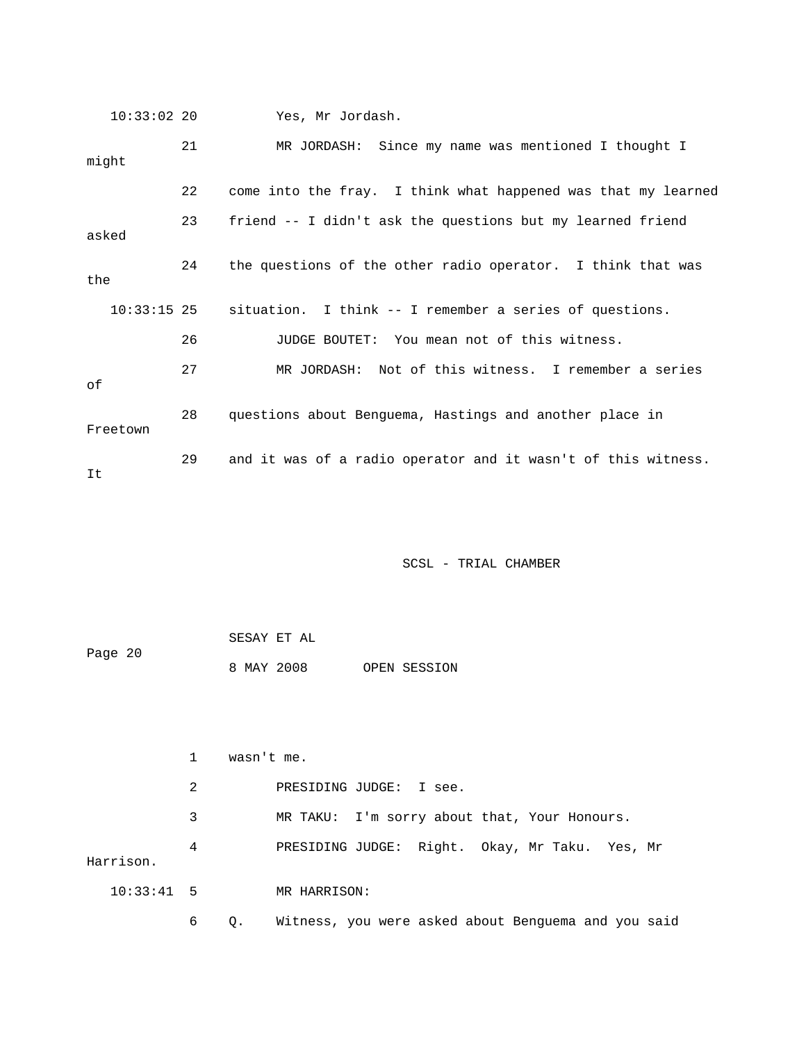10:33:02 20 Yes, Mr Jordash. 21 MR JORDASH: Since my name was mentioned I thought I might 22 come into the fray. I think what happened was that my learned 23 friend -- I didn't ask the questions but my learned friend asked 24 the questions of the other radio operator. I think that was the 10:33:15 25 situation. I think -- I remember a series of questions. 26 JUDGE BOUTET: You mean not of this witness. 27 MR JORDASH: Not of this witness. I remember a series of 28 questions about Benguema, Hastings and another place in Freetown 29 and it was of a radio operator and it wasn't of this witness. It

| Page 20 |  | SESAY ET AL |  |              |
|---------|--|-------------|--|--------------|
|         |  | 8 MAY 2008  |  | OPEN SESSION |

|              |   | wasn't me. |                                                     |  |  |  |  |
|--------------|---|------------|-----------------------------------------------------|--|--|--|--|
|              | 2 |            | PRESIDING JUDGE: I see.                             |  |  |  |  |
|              | 3 |            | MR TAKU: I'm sorry about that, Your Honours.        |  |  |  |  |
| Harrison.    | 4 |            | PRESIDING JUDGE: Right. Okay, Mr Taku. Yes, Mr      |  |  |  |  |
| $10:33:41$ 5 |   |            | MR HARRISON:                                        |  |  |  |  |
|              | 6 | $Q$ .      | Witness, you were asked about Benguema and you said |  |  |  |  |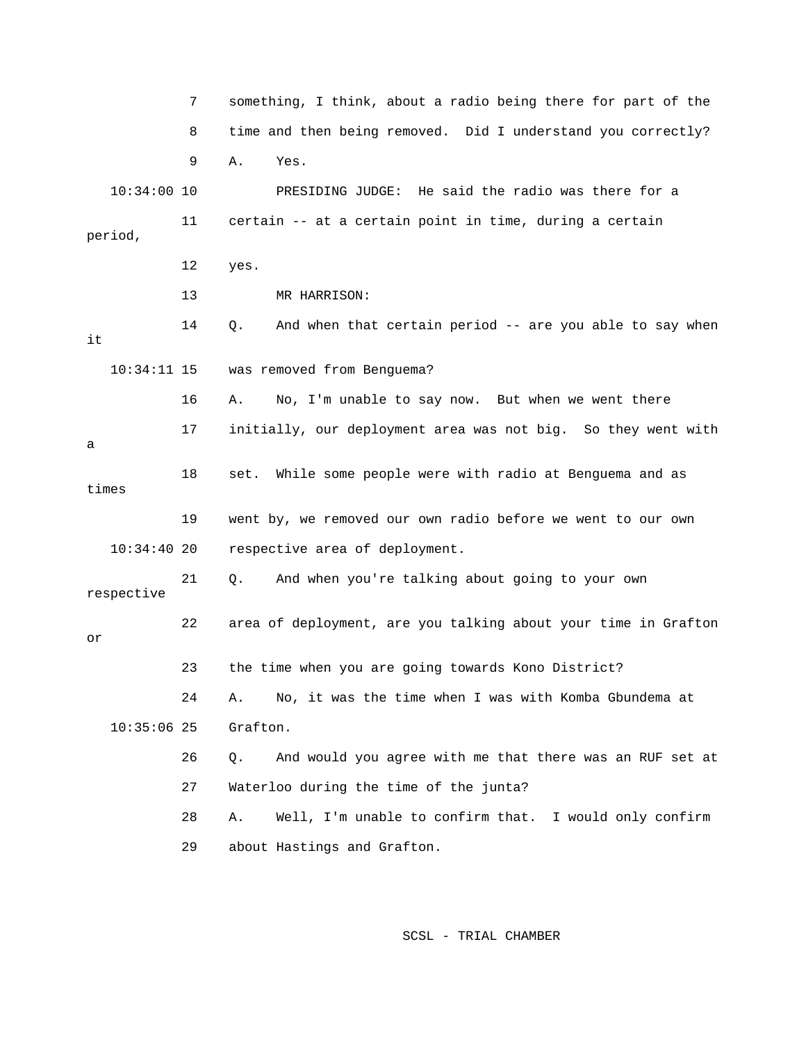7 something, I think, about a radio being there for part of the 8 time and then being removed. Did I understand you correctly? 9 A. Yes. 10:34:00 10 PRESIDING JUDGE: He said the radio was there for a 11 certain -- at a certain point in time, during a certain period, 12 yes. 13 MR HARRISON: 14 Q. And when that certain period -- are you able to say when it 10:34:11 15 was removed from Benguema? 16 A. No, I'm unable to say now. But when we went there 17 initially, our deployment area was not big. So they went with a 18 set. While some people were with radio at Benguema and as times 19 went by, we removed our own radio before we went to our own 10:34:40 20 respective area of deployment. 21 Q. And when you're talking about going to your own respective 22 area of deployment, are you talking about your time in Grafton or 23 the time when you are going towards Kono District? 24 A. No, it was the time when I was with Komba Gbundema at 10:35:06 25 Grafton. 26 Q. And would you agree with me that there was an RUF set at 27 Waterloo during the time of the junta? 28 A. Well, I'm unable to confirm that. I would only confirm 29 about Hastings and Grafton.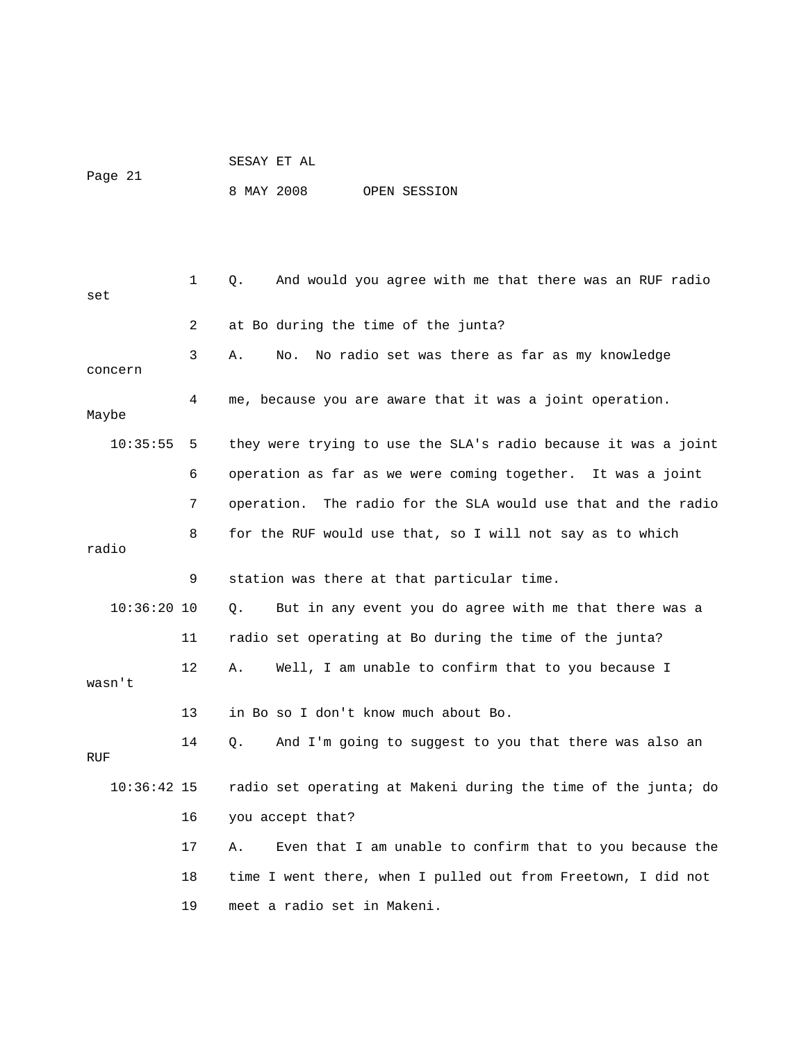SESAY ET AL Page 21 8 MAY 2008 OPEN SESSION

 1 Q. And would you agree with me that there was an RUF radio set 2 at Bo during the time of the junta? 3 A. No. No radio set was there as far as my knowledge concern 4 me, because you are aware that it was a joint operation. Maybe 10:35:55 5 they were trying to use the SLA's radio because it was a joint 6 operation as far as we were coming together. It was a joint 7 operation. The radio for the SLA would use that and the radio 8 for the RUF would use that, so I will not say as to which radio 9 station was there at that particular time. 10:36:20 10 Q. But in any event you do agree with me that there was a 11 radio set operating at Bo during the time of the junta? 12 A. Well, I am unable to confirm that to you because I wasn't 13 in Bo so I don't know much about Bo. 14 Q. And I'm going to suggest to you that there was also an RUF 10:36:42 15 radio set operating at Makeni during the time of the junta; do 16 you accept that? 17 A. Even that I am unable to confirm that to you because the 18 time I went there, when I pulled out from Freetown, I did not 19 meet a radio set in Makeni.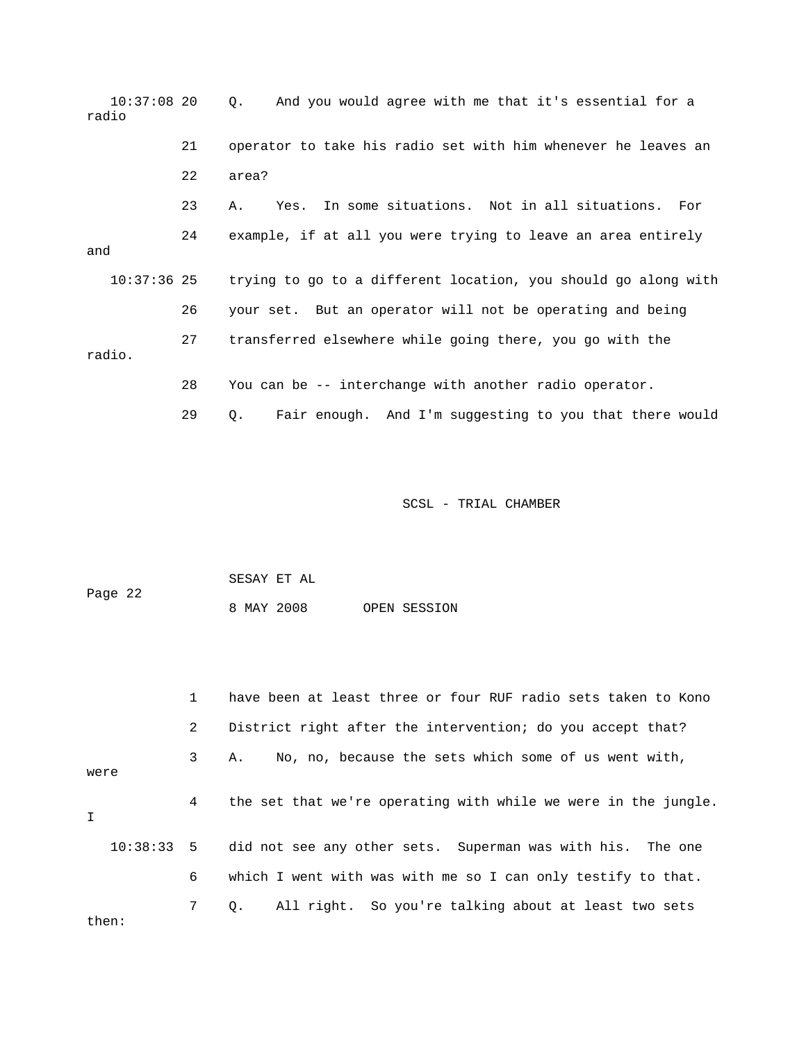10:37:08 20 Q. And you would agree with me that it's essential for a radio 21 operator to take his radio set with him whenever he leaves an 22 area? 23 A. Yes. In some situations. Not in all situations. For 24 example, if at all you were trying to leave an area entirely and 10:37:36 25 trying to go to a different location, you should go along with 26 your set. But an operator will not be operating and being 27 transferred elsewhere while going there, you go with the radio. 28 You can be -- interchange with another radio operator. 29 Q. Fair enough. And I'm suggesting to you that there would

SCSL - TRIAL CHAMBER

 SESAY ET AL Page 22 8 MAY 2008 OPEN SESSION

 1 have been at least three or four RUF radio sets taken to Kono 2 District right after the intervention; do you accept that? 3 A. No, no, because the sets which some of us went with, were 4 the set that we're operating with while we were in the jungle. I 10:38:33 5 did not see any other sets. Superman was with his. The one 6 which I went with was with me so I can only testify to that. 7 Q. All right. So you're talking about at least two sets then: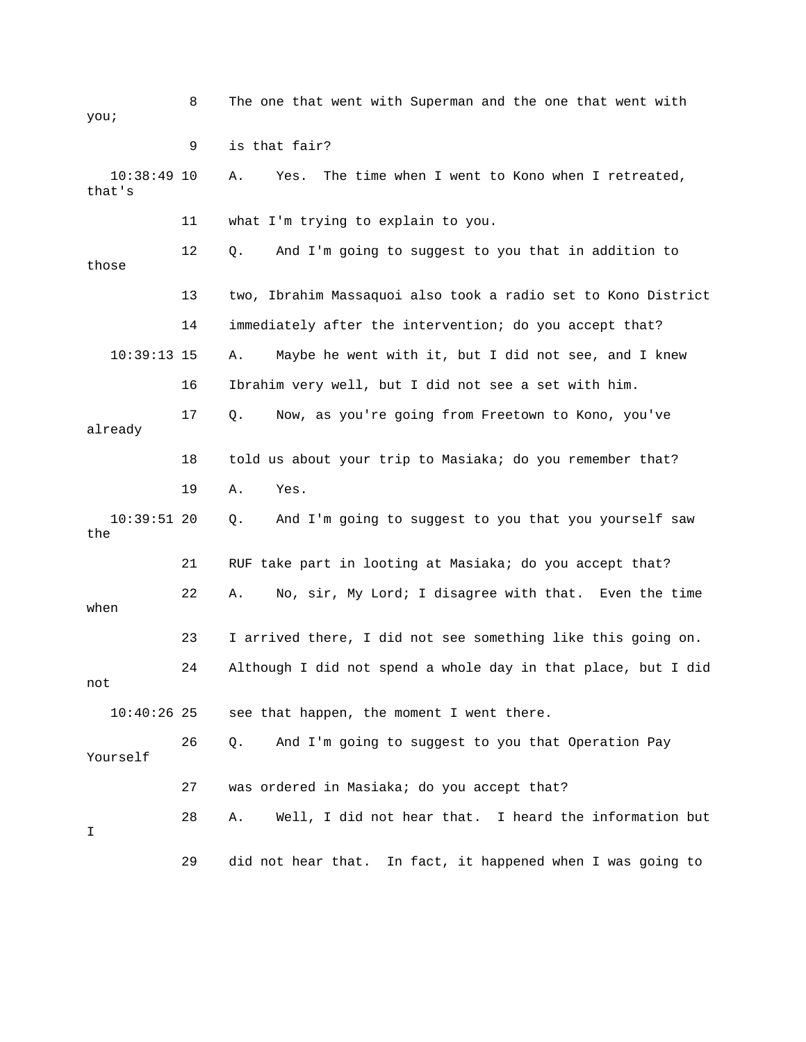| you;                    | 8  | The one that went with Superman and the one that went with    |
|-------------------------|----|---------------------------------------------------------------|
|                         | 9  | is that fair?                                                 |
| $10:38:49$ 10<br>that's |    | The time when I went to Kono when I retreated,<br>Α.<br>Yes.  |
|                         | 11 | what I'm trying to explain to you.                            |
| those                   | 12 | And I'm going to suggest to you that in addition to<br>Q.     |
|                         | 13 | two, Ibrahim Massaquoi also took a radio set to Kono District |
|                         | 14 | immediately after the intervention; do you accept that?       |
| $10:39:13$ 15           |    | Maybe he went with it, but I did not see, and I knew<br>Α.    |
|                         | 16 | Ibrahim very well, but I did not see a set with him.          |
| already                 | 17 | $Q$ .<br>Now, as you're going from Freetown to Kono, you've   |
|                         | 18 | told us about your trip to Masiaka; do you remember that?     |
|                         | 19 | Α.<br>Yes.                                                    |
| $10:39:51$ 20<br>the    |    | And I'm going to suggest to you that you yourself saw<br>Q.   |
|                         | 21 | RUF take part in looting at Masiaka; do you accept that?      |
| when                    | 22 | No, sir, My Lord; I disagree with that. Even the time<br>Α.   |
|                         | 23 | I arrived there, I did not see something like this going on.  |
| not                     | 24 | Although I did not spend a whole day in that place, but I did |
| $10:40:26$ 25           |    | see that happen, the moment I went there.                     |
| Yourself                | 26 | And I'm going to suggest to you that Operation Pay<br>Q.      |
|                         | 27 | was ordered in Masiaka; do you accept that?                   |
| I                       | 28 | Well, I did not hear that. I heard the information but<br>Α.  |
|                         | 29 | did not hear that. In fact, it happened when I was going to   |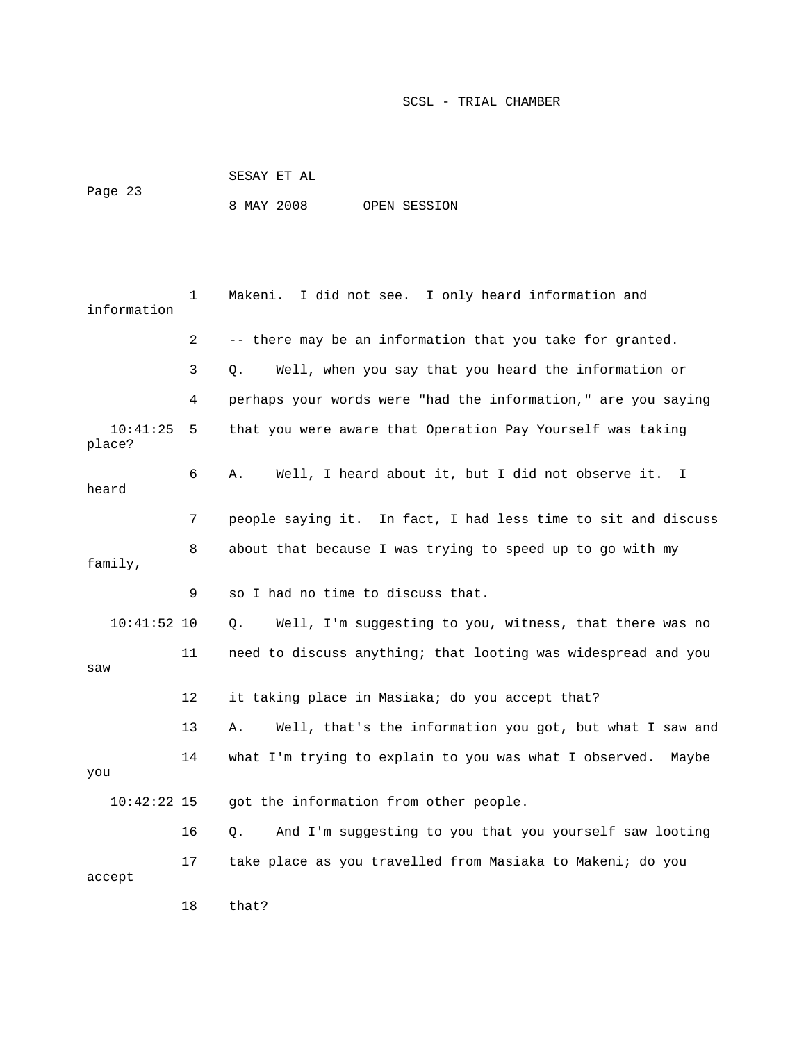| Page 23 | SESAY ET AL |  |              |
|---------|-------------|--|--------------|
|         | 8 MAY 2008  |  | OPEN SESSION |

| information        | 1  | I did not see. I only heard information and<br>Makeni.                  |
|--------------------|----|-------------------------------------------------------------------------|
|                    | 2  | -- there may be an information that you take for granted.               |
|                    | 3  | Well, when you say that you heard the information or<br>Q.              |
|                    | 4  | perhaps your words were "had the information," are you saying           |
| 10:41:25<br>place? | 5  | that you were aware that Operation Pay Yourself was taking              |
| heard              | 6  | Well, I heard about it, but I did not observe it.<br>Α.<br>$\mathbf{I}$ |
|                    | 7  | people saying it. In fact, I had less time to sit and discuss           |
| family,            | 8  | about that because I was trying to speed up to go with my               |
|                    | 9  | so I had no time to discuss that.                                       |
| $10:41:52$ 10      |    | Well, I'm suggesting to you, witness, that there was no<br>Q.           |
| saw                | 11 | need to discuss anything; that looting was widespread and you           |
|                    | 12 | it taking place in Masiaka; do you accept that?                         |
|                    | 13 | Α.<br>Well, that's the information you got, but what I saw and          |
| you                | 14 | what I'm trying to explain to you was what I observed.<br>Maybe         |
| $10:42:22$ 15      |    | got the information from other people.                                  |
|                    | 16 | And I'm suggesting to you that you yourself saw looting<br>Q.           |
| accept             | 17 | take place as you travelled from Masiaka to Makeni; do you              |
|                    | 18 | that?                                                                   |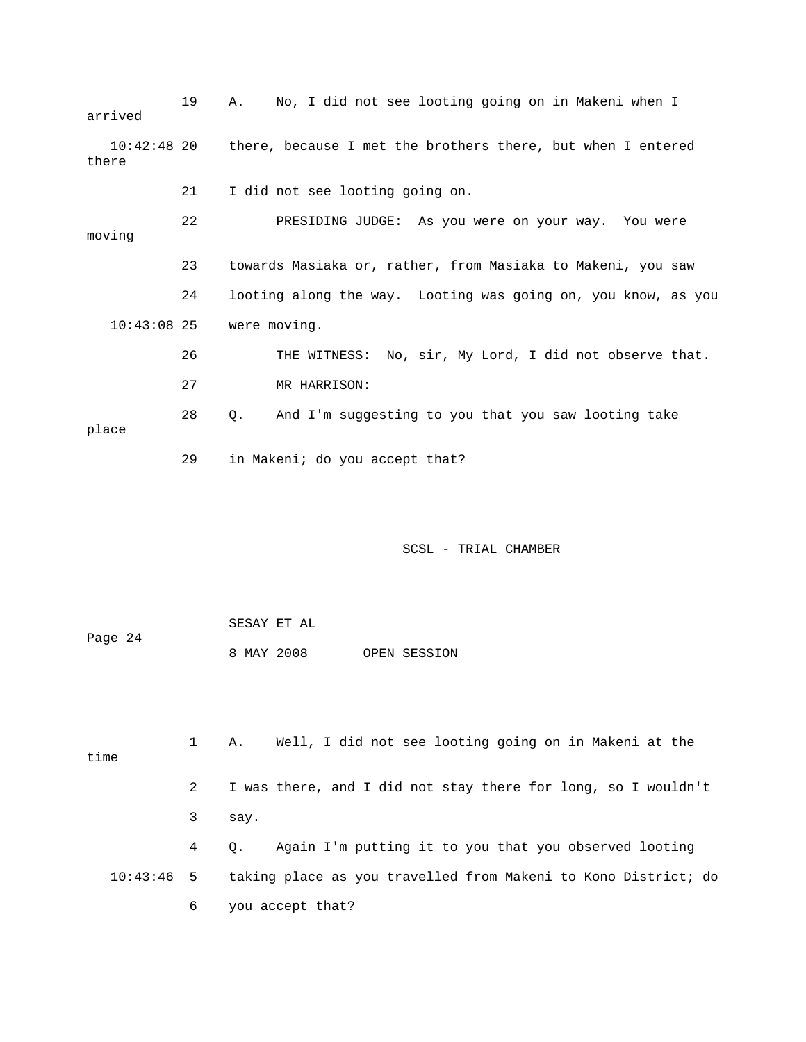| arrived       | 19 | No, I did not see looting going on in Makeni when I<br>Α.               |
|---------------|----|-------------------------------------------------------------------------|
| there         |    | 10:42:48 20 there, because I met the brothers there, but when I entered |
|               | 21 | I did not see looting going on.                                         |
| moving        | 22 | PRESIDING JUDGE: As you were on your way. You were                      |
|               | 23 | towards Masiaka or, rather, from Masiaka to Makeni, you saw             |
|               | 24 | looting along the way. Looting was going on, you know, as you           |
| $10:43:08$ 25 |    | were moving.                                                            |
|               | 26 | THE WITNESS: No, sir, My Lord, I did not observe that.                  |
|               | 27 | MR HARRISON:                                                            |
| place         | 28 | And I'm suggesting to you that you saw looting take<br>О.               |
|               | 29 | in Makeni; do you accept that?                                          |

 SESAY ET AL Page 24 8 MAY 2008 OPEN SESSION

 1 A. Well, I did not see looting going on in Makeni at the time 2 I was there, and I did not stay there for long, so I wouldn't 3 say. 4 Q. Again I'm putting it to you that you observed looting 10:43:46 5 taking place as you travelled from Makeni to Kono District; do 6 you accept that?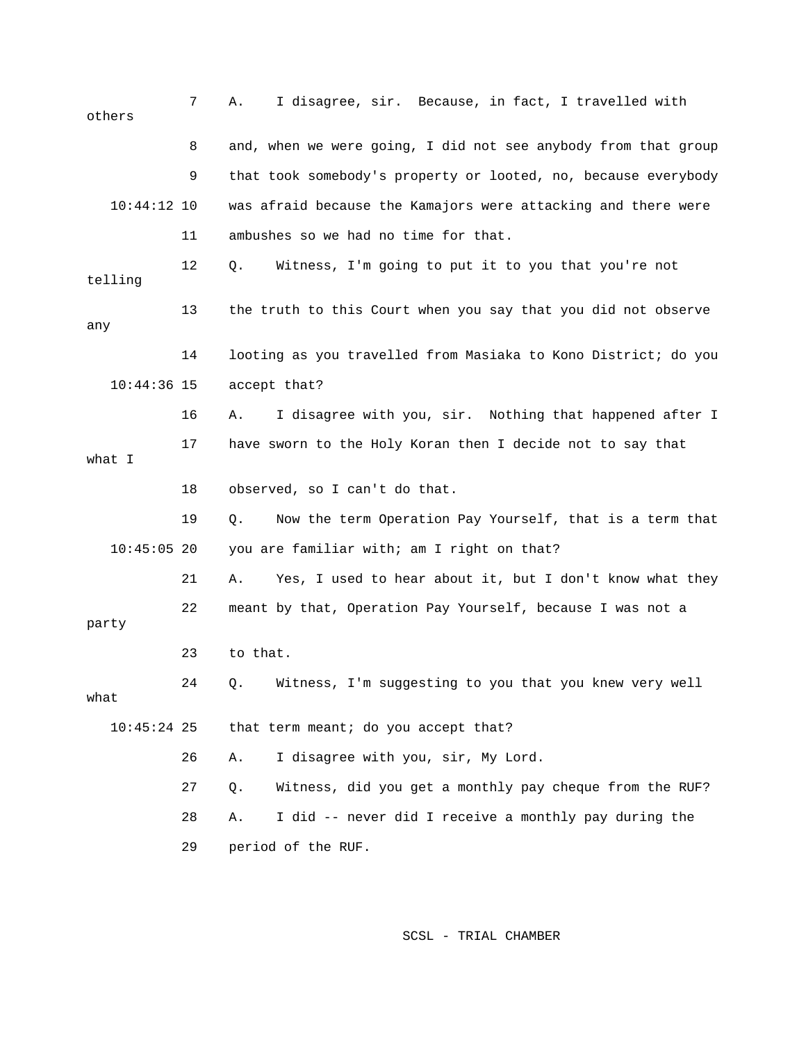7 A. I disagree, sir. Because, in fact, I travelled with others 8 and, when we were going, I did not see anybody from that group 9 that took somebody's property or looted, no, because everybody 10:44:12 10 was afraid because the Kamajors were attacking and there were 11 ambushes so we had no time for that. 12 Q. Witness, I'm going to put it to you that you're not telling 13 the truth to this Court when you say that you did not observe any 14 looting as you travelled from Masiaka to Kono District; do you 10:44:36 15 accept that? 16 A. I disagree with you, sir. Nothing that happened after I 17 have sworn to the Holy Koran then I decide not to say that what I 18 observed, so I can't do that. 19 Q. Now the term Operation Pay Yourself, that is a term that 10:45:05 20 you are familiar with; am I right on that? 21 A. Yes, I used to hear about it, but I don't know what they 22 meant by that, Operation Pay Yourself, because I was not a party 23 to that. 24 Q. Witness, I'm suggesting to you that you knew very well what 10:45:24 25 that term meant; do you accept that? 26 A. I disagree with you, sir, My Lord. 27 Q. Witness, did you get a monthly pay cheque from the RUF? 28 A. I did -- never did I receive a monthly pay during the 29 period of the RUF.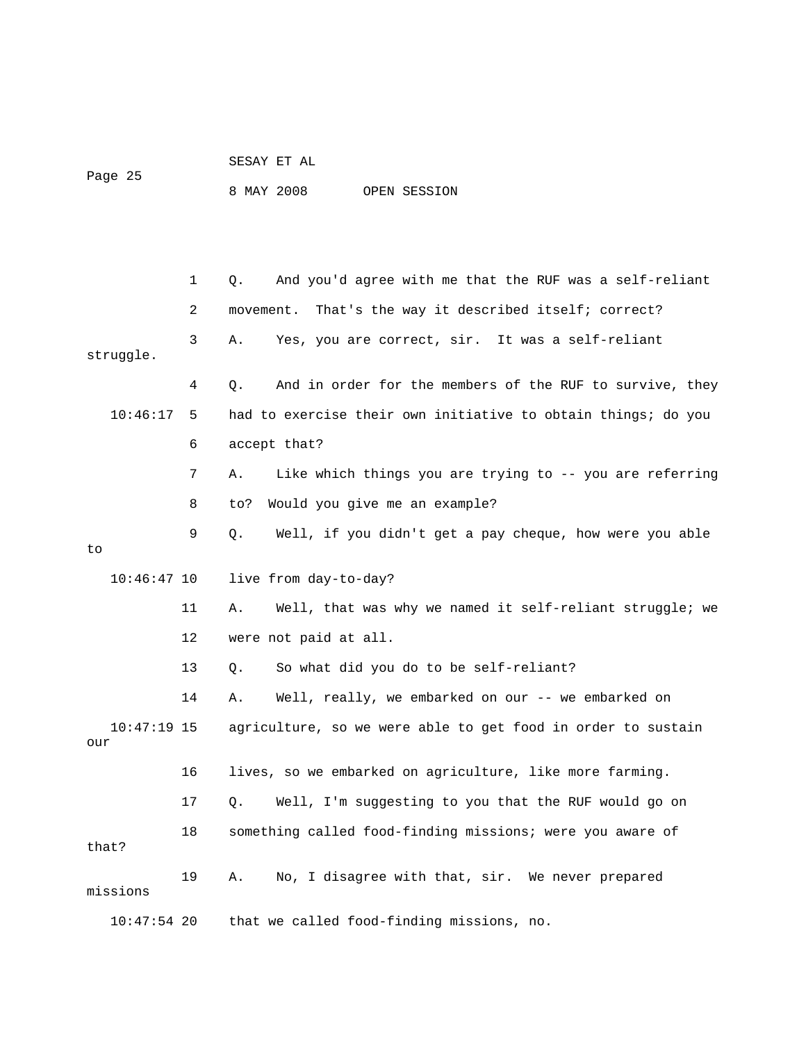# SESAY ET AL Page 25

8 MAY 2008 OPEN SESSION

 1 Q. And you'd agree with me that the RUF was a self-reliant 2 movement. That's the way it described itself; correct? 3 A. Yes, you are correct, sir. It was a self-reliant struggle. 4 Q. And in order for the members of the RUF to survive, they 10:46:17 5 had to exercise their own initiative to obtain things; do you 6 accept that? 7 A. Like which things you are trying to -- you are referring 8 to? Would you give me an example? 9 Q. Well, if you didn't get a pay cheque, how were you able to 10:46:47 10 live from day-to-day? 11 A. Well, that was why we named it self-reliant struggle; we 12 were not paid at all. 13 Q. So what did you do to be self-reliant? 14 A. Well, really, we embarked on our -- we embarked on 10:47:19 15 agriculture, so we were able to get food in order to sustain our 16 lives, so we embarked on agriculture, like more farming. 17 Q. Well, I'm suggesting to you that the RUF would go on 18 something called food-finding missions; were you aware of that? 19 A. No, I disagree with that, sir. We never prepared missions 10:47:54 20 that we called food-finding missions, no.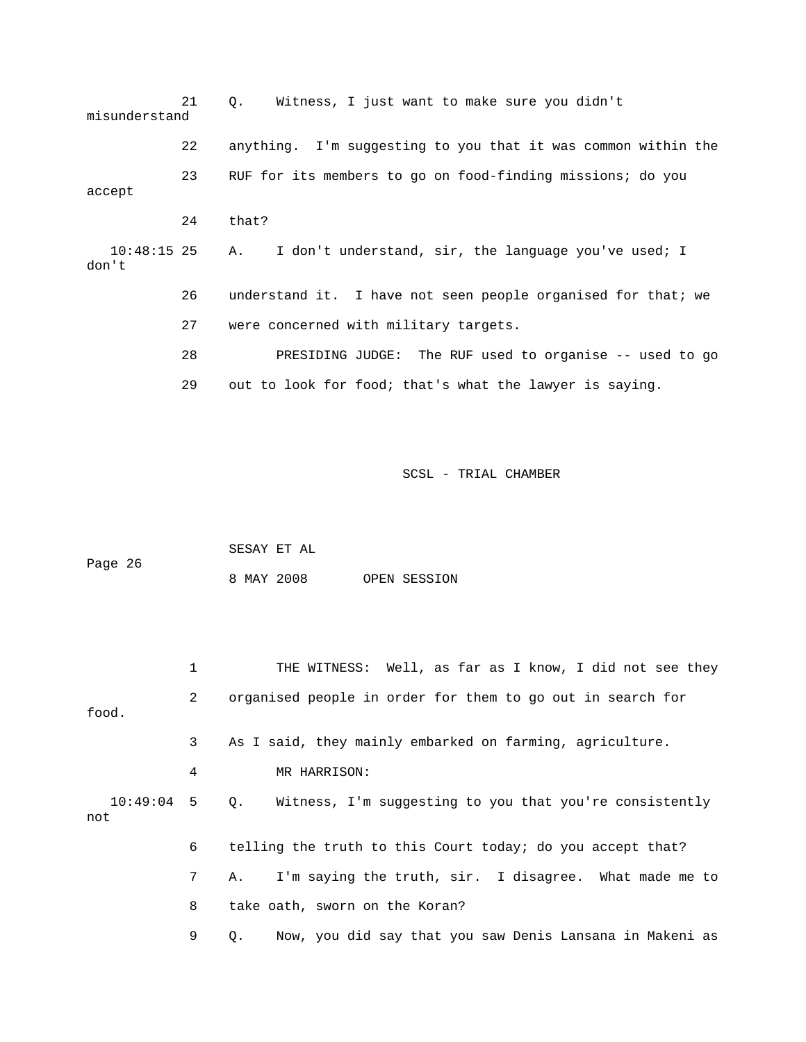| misunderstand          | 21 | Witness, I just want to make sure you didn't<br>$Q_{\star}$   |
|------------------------|----|---------------------------------------------------------------|
|                        | 22 | anything. I'm suggesting to you that it was common within the |
| accept                 | 23 | RUF for its members to go on food-finding missions; do you    |
|                        | 24 | that?                                                         |
| $10:48:15$ 25<br>don't |    | I don't understand, sir, the language you've used; I<br>A.,   |
|                        | 26 | understand it. I have not seen people organised for that; we  |
|                        | 27 | were concerned with military targets.                         |
|                        | 28 | PRESIDING JUDGE: The RUF used to organise -- used to go       |
|                        | 29 | out to look for food; that's what the lawyer is saying.       |

| Page 26 | SESAY ET AL |  |              |
|---------|-------------|--|--------------|
|         | 8 MAY 2008  |  | OPEN SESSION |

|       |                | THE WITNESS: Well, as far as I know, I did not see they               |
|-------|----------------|-----------------------------------------------------------------------|
| food. | $\mathbf{2}$   | organised people in order for them to go out in search for            |
|       | 3 <sup>7</sup> | As I said, they mainly embarked on farming, agriculture.              |
|       | 4              | MR HARRISON:                                                          |
| not   |                | 10:49:04 5 Q. Witness, I'm suggesting to you that you're consistently |
|       | 6              | telling the truth to this Court today; do you accept that?            |
|       | 7              | I'm saying the truth, sir. I disagree. What made me to<br>A.,         |
|       | 8              | take oath, sworn on the Koran?                                        |
|       | 9              | Now, you did say that you saw Denis Lansana in Makeni as<br>О.        |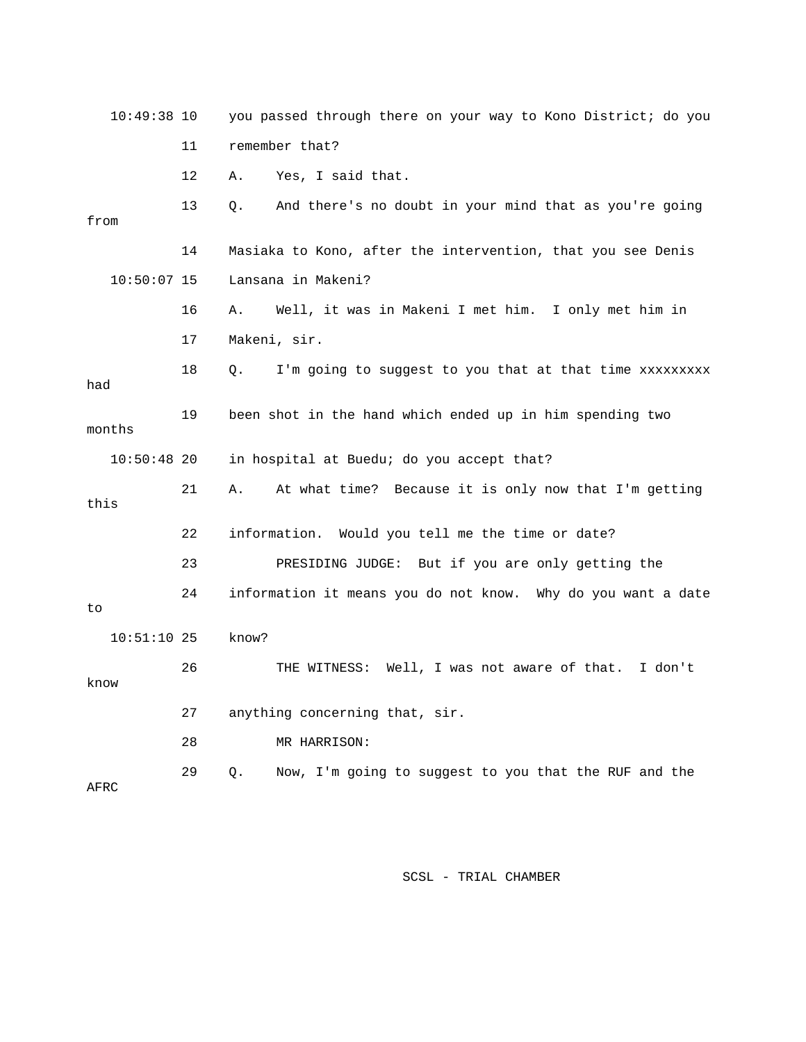| $10:49:38$ 10 |    | you passed through there on your way to Kono District; do you |
|---------------|----|---------------------------------------------------------------|
|               | 11 | remember that?                                                |
|               | 12 | Yes, I said that.<br>Α.                                       |
| from          | 13 | And there's no doubt in your mind that as you're going<br>Q.  |
|               | 14 | Masiaka to Kono, after the intervention, that you see Denis   |
| $10:50:07$ 15 |    | Lansana in Makeni?                                            |
|               | 16 | Well, it was in Makeni I met him. I only met him in<br>Α.     |
|               | 17 | Makeni, sir.                                                  |
| had           | 18 | I'm going to suggest to you that at that time xxxxxxxxx<br>Q. |
| months        | 19 | been shot in the hand which ended up in him spending two      |
| $10:50:48$ 20 |    | in hospital at Buedu; do you accept that?                     |
| this          | 21 | At what time? Because it is only now that I'm getting<br>Α.   |
|               | 22 | information. Would you tell me the time or date?              |
|               | 23 | PRESIDING JUDGE: But if you are only getting the              |
| to.           | 24 | information it means you do not know. Why do you want a date  |
| $10:51:10$ 25 |    | know?                                                         |
| know          | 26 | THE WITNESS: Well, I was not aware of that.<br>I don't        |
|               | 27 | anything concerning that, sir.                                |
|               | 28 | MR HARRISON:                                                  |
| AFRC          | 29 | Now, I'm going to suggest to you that the RUF and the<br>Q.   |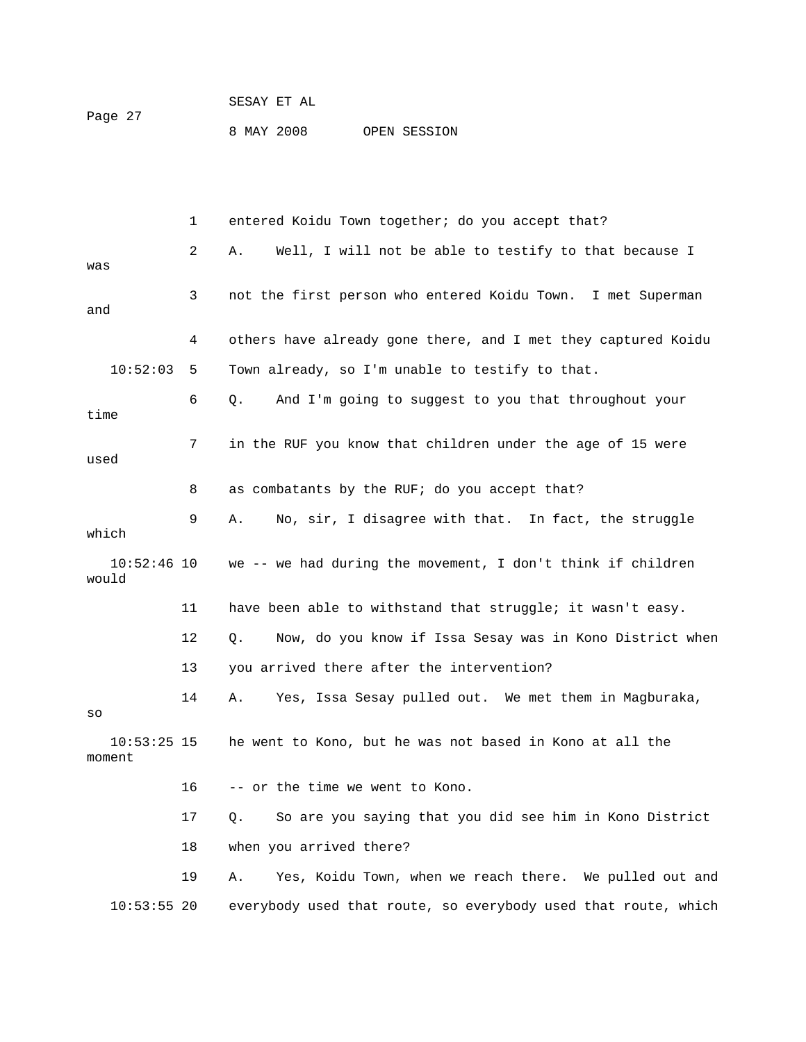| Page 27 |            | SESAY ET AL |              |
|---------|------------|-------------|--------------|
|         | 8 MAY 2008 |             | OPEN SESSION |

|                         | 1  | entered Koidu Town together; do you accept that?               |
|-------------------------|----|----------------------------------------------------------------|
| was                     | 2  | Well, I will not be able to testify to that because I<br>Α.    |
| and                     | 3  | not the first person who entered Koidu Town. I met Superman    |
|                         | 4  | others have already gone there, and I met they captured Koidu  |
| 10:52:03                | 5  | Town already, so I'm unable to testify to that.                |
| time                    | 6  | And I'm going to suggest to you that throughout your<br>Q.     |
| used                    | 7  | in the RUF you know that children under the age of 15 were     |
|                         | 8  | as combatants by the RUF; do you accept that?                  |
| which                   | 9  | No, sir, I disagree with that. In fact, the struggle<br>Α.     |
| $10:52:46$ 10<br>would  |    | we -- we had during the movement, I don't think if children    |
|                         | 11 | have been able to withstand that struggle; it wasn't easy.     |
|                         | 12 | Now, do you know if Issa Sesay was in Kono District when<br>Q. |
|                         | 13 | you arrived there after the intervention?                      |
| SO                      | 14 | Yes, Issa Sesay pulled out. We met them in Magburaka,<br>Α.    |
| $10:53:25$ 15<br>moment |    | he went to Kono, but he was not based in Kono at all the       |
|                         | 16 | -- or the time we went to Kono.                                |
|                         | 17 | So are you saying that you did see him in Kono District<br>Q.  |
|                         | 18 | when you arrived there?                                        |
|                         | 19 | Yes, Koidu Town, when we reach there. We pulled out and<br>Α.  |
| $10:53:55$ 20           |    | everybody used that route, so everybody used that route, which |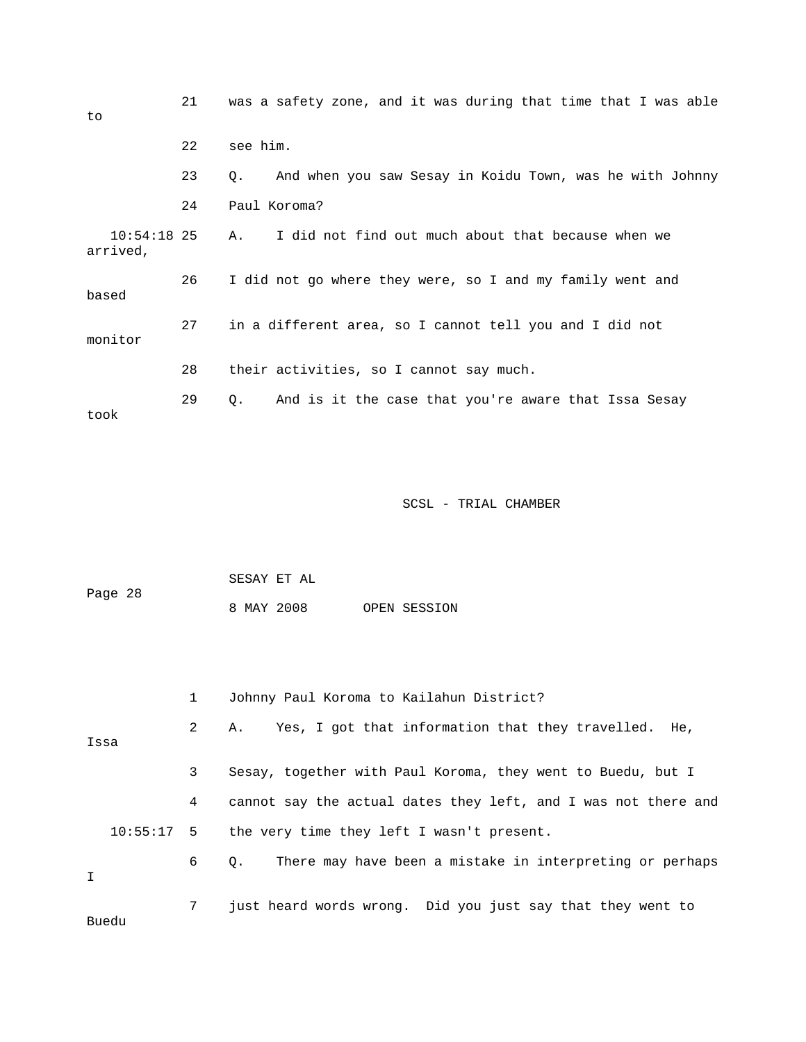| to                        | 21 | was a safety zone, and it was during that time that I was able        |
|---------------------------|----|-----------------------------------------------------------------------|
|                           | 22 | see him.                                                              |
|                           | 23 | And when you saw Sesay in Koidu Town, was he with Johnny<br>$\circ$ . |
|                           | 24 | Paul Koroma?                                                          |
| $10:54:18$ 25<br>arrived, |    | I did not find out much about that because when we<br>Α.              |
| based                     | 26 | I did not go where they were, so I and my family went and             |
| monitor                   | 27 | in a different area, so I cannot tell you and I did not               |
|                           | 28 | their activities, so I cannot say much.                               |
| took                      | 29 | And is it the case that you're aware that Issa Sesay<br>Q.            |

 SESAY ET AL Page 28 8 MAY 2008 OPEN SESSION

|      |  | $\mathbf{1}$ | Johnny Paul Koroma to Kailahun District?                         |
|------|--|--------------|------------------------------------------------------------------|
| Issa |  | $\mathbf{2}$ | A. Yes, I got that information that they travelled. He,          |
|      |  | $\mathbf{3}$ | Sesay, together with Paul Koroma, they went to Buedu, but I      |
|      |  | 4            | cannot say the actual dates they left, and I was not there and   |
| I    |  |              | 10:55:17 5 the very time they left I wasn't present.             |
|      |  |              | 6 Q.<br>There may have been a mistake in interpreting or perhaps |
|      |  | 7            | just heard words wrong. Did you just say that they went to       |

Buedu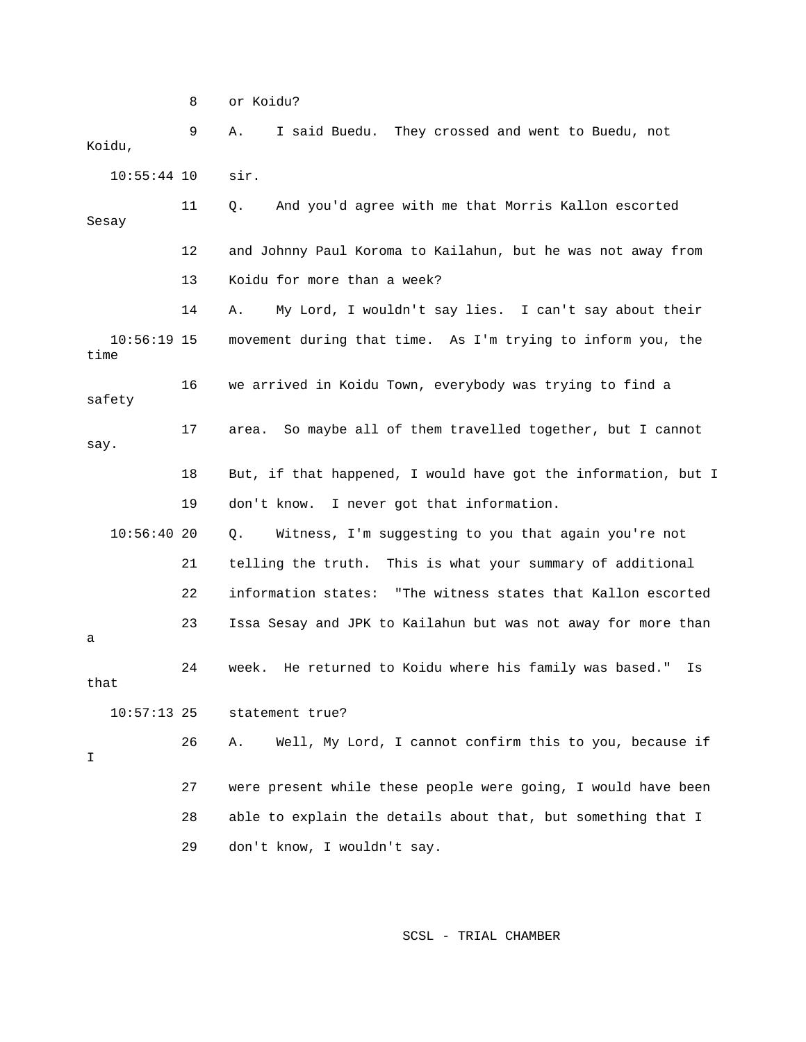8 or Koidu?

 9 A. I said Buedu. They crossed and went to Buedu, not Koidu, 10:55:44 10 sir. 11 Q. And you'd agree with me that Morris Kallon escorted Sesay 12 and Johnny Paul Koroma to Kailahun, but he was not away from 13 Koidu for more than a week? 14 A. My Lord, I wouldn't say lies. I can't say about their 10:56:19 15 movement during that time. As I'm trying to inform you, the time 16 we arrived in Koidu Town, everybody was trying to find a safety 17 area. So maybe all of them travelled together, but I cannot

say.

- 18 But, if that happened, I would have got the information, but I 19 don't know. I never got that information.
- 10:56:40 20 Q. Witness, I'm suggesting to you that again you're not 21 telling the truth. This is what your summary of additional 22 information states: "The witness states that Kallon escorted 23 Issa Sesay and JPK to Kailahun but was not away for more than a 24 week. He returned to Koidu where his family was based." Is
- that

I

10:57:13 25 statement true?

 26 A. Well, My Lord, I cannot confirm this to you, because if 27 were present while these people were going, I would have been 28 able to explain the details about that, but something that I

29 don't know, I wouldn't say.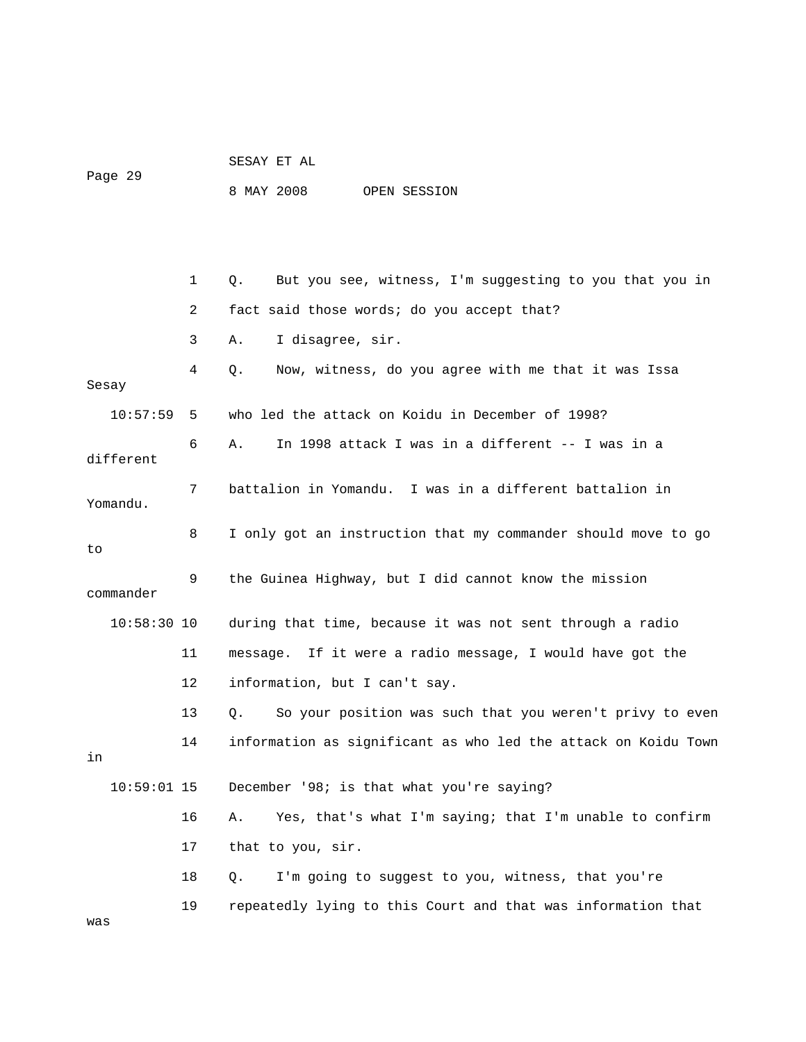|         | SESAY ET AL |  |              |
|---------|-------------|--|--------------|
| Page 29 |             |  |              |
|         | 8 MAY 2008  |  | OPEN SESSION |

 1 Q. But you see, witness, I'm suggesting to you that you in 2 fact said those words; do you accept that? 3 A. I disagree, sir. 4 Q. Now, witness, do you agree with me that it was Issa Sesay 10:57:59 5 who led the attack on Koidu in December of 1998? 6 A. In 1998 attack I was in a different -- I was in a different 7 battalion in Yomandu. I was in a different battalion in Yomandu. 8 I only got an instruction that my commander should move to go to 9 the Guinea Highway, but I did cannot know the mission commander 10:58:30 10 during that time, because it was not sent through a radio 11 message. If it were a radio message, I would have got the 12 information, but I can't say. 13 Q. So your position was such that you weren't privy to even 14 information as significant as who led the attack on Koidu Town in 10:59:01 15 December '98; is that what you're saying? 16 A. Yes, that's what I'm saying; that I'm unable to confirm 17 that to you, sir. 18 Q. I'm going to suggest to you, witness, that you're 19 repeatedly lying to this Court and that was information that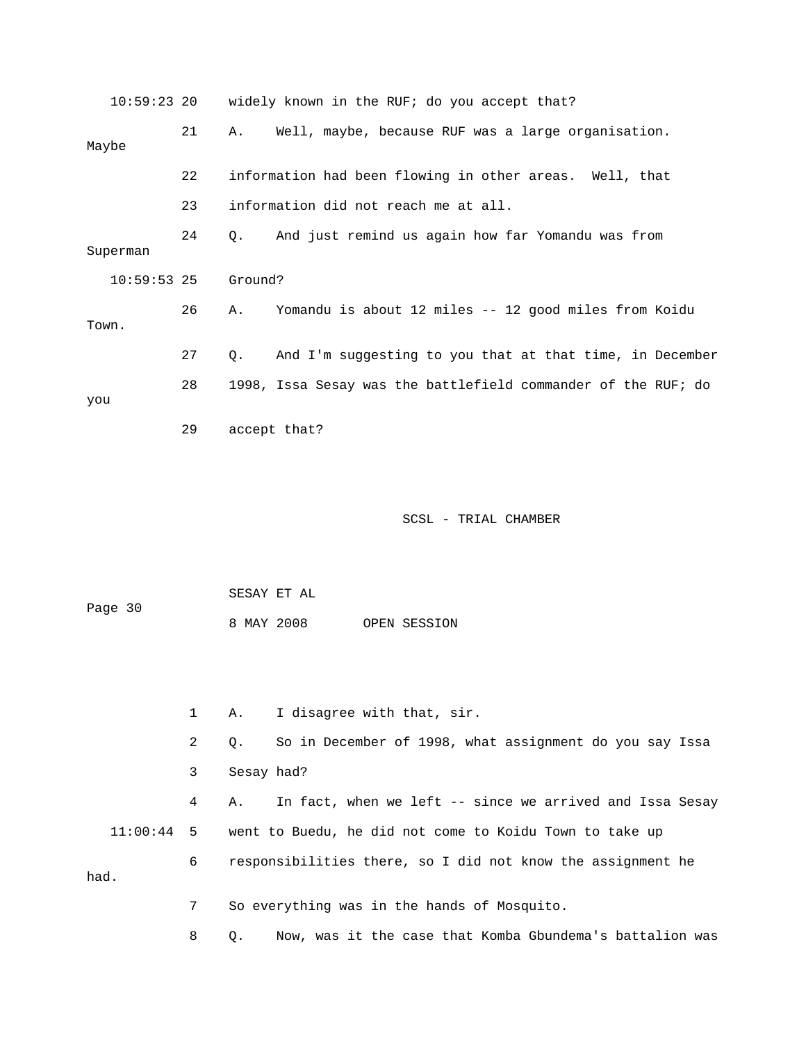|          |    | 10:59:23 20 widely known in the RUF; do you accept that?       |  |  |  |  |
|----------|----|----------------------------------------------------------------|--|--|--|--|
| Maybe    | 21 | Well, maybe, because RUF was a large organisation.<br>Α.       |  |  |  |  |
|          | 22 | information had been flowing in other areas. Well, that        |  |  |  |  |
|          | 23 | information did not reach me at all.                           |  |  |  |  |
| Superman | 24 | And just remind us again how far Yomandu was from<br>О.        |  |  |  |  |
|          |    | Ground?                                                        |  |  |  |  |
| Town.    | 26 | Yomandu is about 12 miles -- 12 good miles from Koidu<br>Α.    |  |  |  |  |
|          | 27 | And I'm suggesting to you that at that time, in December<br>Q. |  |  |  |  |
| you      | 28 | 1998, Issa Sesay was the battlefield commander of the RUF; do  |  |  |  |  |
|          | 29 | accept that?                                                   |  |  |  |  |
|          |    | $10:59:53$ 25                                                  |  |  |  |  |

 SESAY ET AL Page 30 8 MAY 2008 OPEN SESSION

 1 A. I disagree with that, sir. 2 Q. So in December of 1998, what assignment do you say Issa 3 Sesay had? 4 A. In fact, when we left -- since we arrived and Issa Sesay 11:00:44 5 went to Buedu, he did not come to Koidu Town to take up 6 responsibilities there, so I did not know the assignment he had. 7 So everything was in the hands of Mosquito.

8 Q. Now, was it the case that Komba Gbundema's battalion was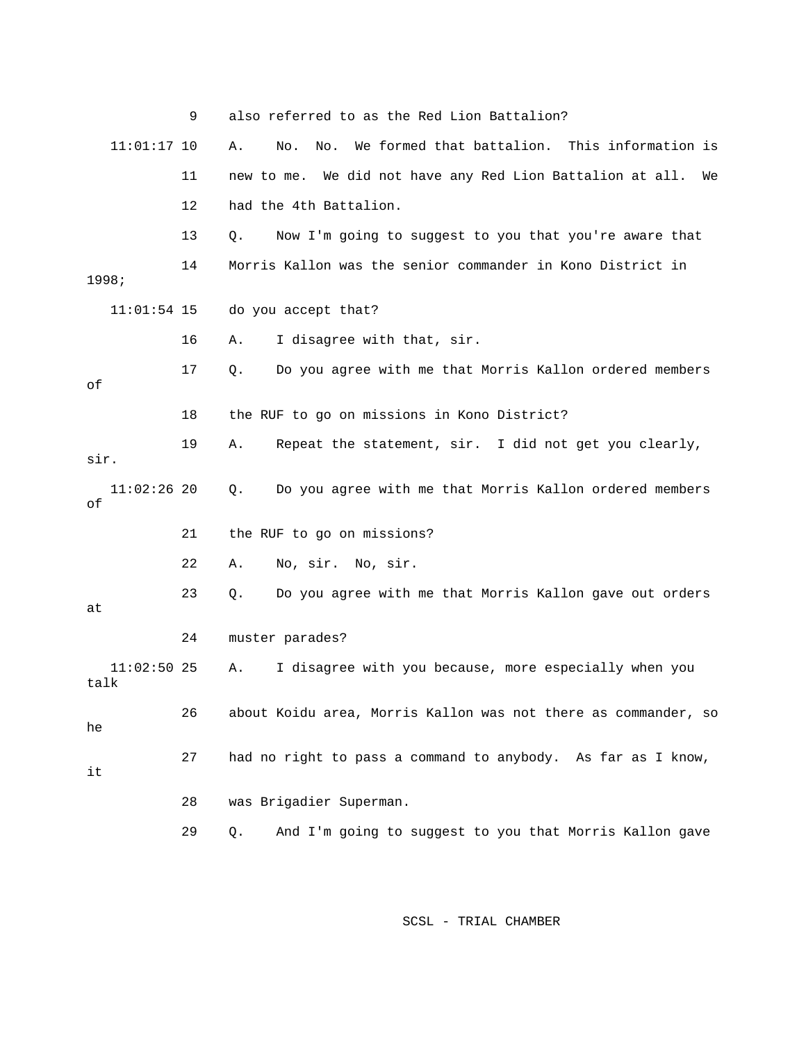|                       | 9  | also referred to as the Red Lion Battalion?                        |
|-----------------------|----|--------------------------------------------------------------------|
| $11:01:17$ 10         |    | We formed that battalion. This information is<br>Α.<br>No.<br>No.  |
|                       | 11 | We did not have any Red Lion Battalion at all.<br>new to me.<br>We |
|                       | 12 | had the 4th Battalion.                                             |
|                       | 13 | Now I'm going to suggest to you that you're aware that<br>Q.       |
| 1998;                 | 14 | Morris Kallon was the senior commander in Kono District in         |
| $11:01:54$ 15         |    | do you accept that?                                                |
|                       | 16 | I disagree with that, sir.<br>Α.                                   |
| οf                    | 17 | Do you agree with me that Morris Kallon ordered members<br>Q.      |
|                       | 18 | the RUF to go on missions in Kono District?                        |
| sir.                  | 19 | Repeat the statement, sir. I did not get you clearly,<br>Α.        |
| $11:02:26$ 20<br>оf   |    | Do you agree with me that Morris Kallon ordered members<br>Q.      |
|                       | 21 | the RUF to go on missions?                                         |
|                       | 22 | No, sir. No, sir.<br>Α.                                            |
| at                    | 23 | Do you agree with me that Morris Kallon gave out orders<br>Q.      |
|                       | 24 | muster parades?                                                    |
| $11:02:50$ 25<br>talk |    | I disagree with you because, more especially when you<br>Α.        |
| he                    | 26 | about Koidu area, Morris Kallon was not there as commander, so     |
| it                    | 27 | had no right to pass a command to anybody. As far as I know,       |
|                       | 28 | was Brigadier Superman.                                            |
|                       | 29 | And I'm going to suggest to you that Morris Kallon gave<br>Q.      |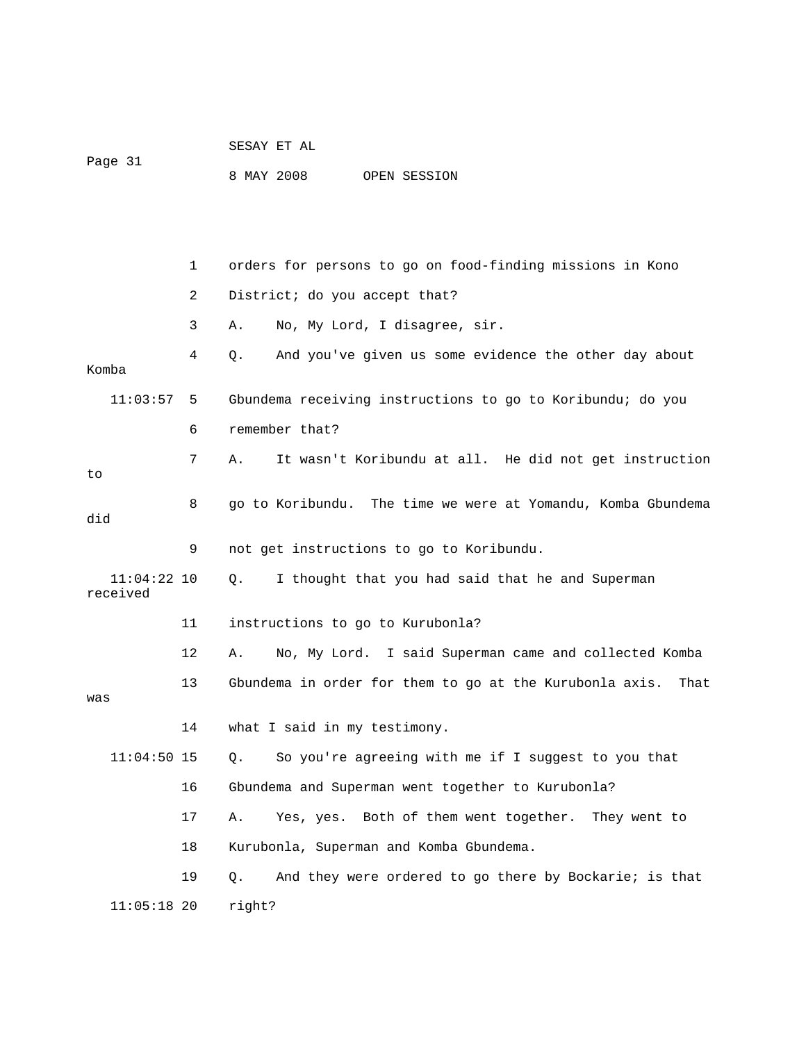|                           |    | SESAY ET AL                                                     |
|---------------------------|----|-----------------------------------------------------------------|
| Page 31                   |    | 8 MAY 2008<br>OPEN SESSION                                      |
|                           |    |                                                                 |
|                           |    |                                                                 |
|                           | 1  | orders for persons to go on food-finding missions in Kono       |
|                           | 2  | District; do you accept that?                                   |
|                           | 3  | No, My Lord, I disagree, sir.<br>Α.                             |
| Komba                     | 4  | And you've given us some evidence the other day about<br>Q.     |
| 11:03:57                  | 5  | Gbundema receiving instructions to go to Koribundu; do you      |
|                           | 6  | remember that?                                                  |
| to                        | 7  | It wasn't Koribundu at all. He did not get instruction<br>Α.    |
| did                       | 8  | go to Koribundu. The time we were at Yomandu, Komba Gbundema    |
|                           | 9  | not get instructions to go to Koribundu.                        |
| $11:04:22$ 10<br>received |    | I thought that you had said that he and Superman<br>Q.          |
|                           | 11 | instructions to go to Kurubonla?                                |
|                           | 12 | No, My Lord. I said Superman came and collected Komba<br>Α.     |
| was                       | 13 | Gbundema in order for them to go at the Kurubonla axis.<br>That |
|                           | 14 | what I said in my testimony.                                    |
| $11:04:50$ 15             |    | So you're agreeing with me if I suggest to you that<br>$Q$ .    |
|                           | 16 | Gbundema and Superman went together to Kurubonla?               |
|                           | 17 | Yes, yes. Both of them went together.<br>They went to<br>Α.     |
|                           | 18 | Kurubonla, Superman and Komba Gbundema.                         |
|                           | 19 | And they were ordered to go there by Bockarie; is that<br>$Q$ . |
| $11:05:18$ 20             |    | right?                                                          |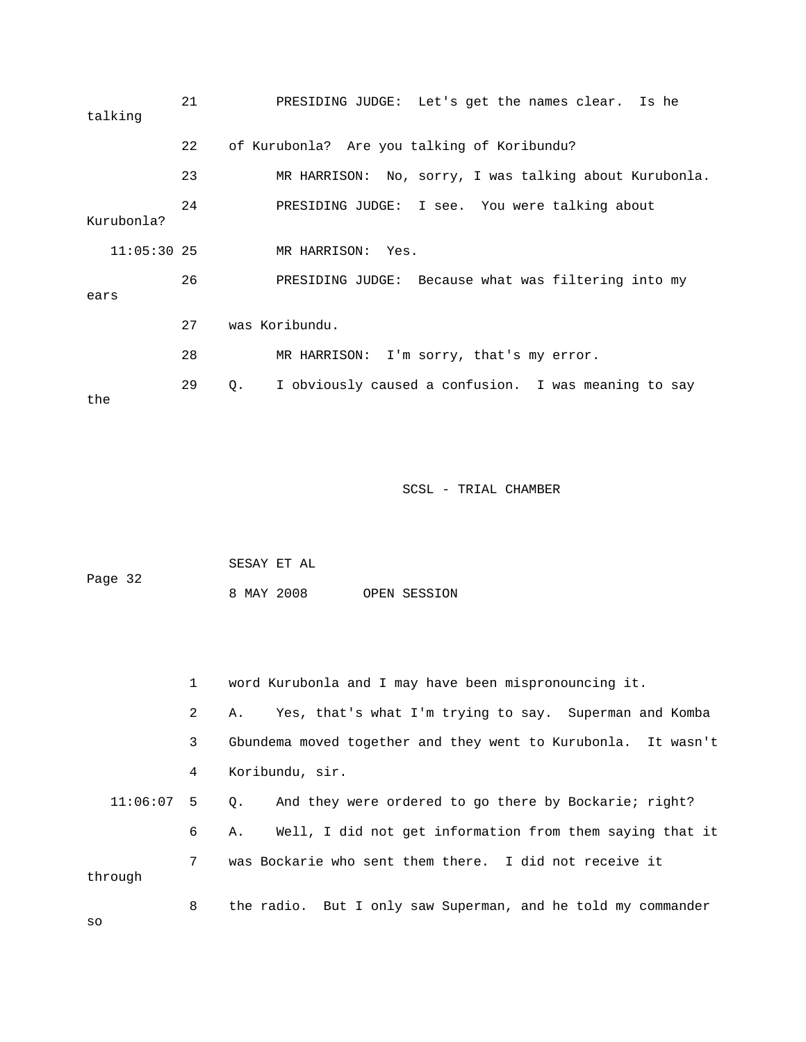| talking       | 21 | PRESIDING JUDGE: Let's get the names clear. Is he                 |
|---------------|----|-------------------------------------------------------------------|
|               | 22 | of Kurubonla? Are you talking of Koribundu?                       |
|               | 23 | MR HARRISON: No, sorry, I was talking about Kurubonla.            |
| Kurubonla?    | 24 | PRESIDING JUDGE: I see. You were talking about                    |
| $11:05:30$ 25 |    | MR HARRISON: Yes.                                                 |
| ears          | 26 | PRESIDING JUDGE: Because what was filtering into my               |
|               | 27 | was Koribundu.                                                    |
|               | 28 | MR HARRISON: I'm sorry, that's my error.                          |
| the           | 29 | I obviously caused a confusion. I was meaning to say<br>$\circ$ . |

| Page 32 |  | SESAY ET AL |  |              |
|---------|--|-------------|--|--------------|
|         |  | 8 MAY 2008  |  | OPEN SESSION |

|              | 1              | word Kurubonla and I may have been mispronouncing it.          |
|--------------|----------------|----------------------------------------------------------------|
|              | $\overline{2}$ | A. Yes, that's what I'm trying to say. Superman and Komba      |
|              | 3              | Gbundema moved together and they went to Kurubonla. It wasn't  |
|              | 4              | Koribundu, sir.                                                |
| $11:06:07$ 5 |                | And they were ordered to go there by Bockarie; right?<br>$Q$ . |
|              | 6              | A. Well, I did not get information from them saying that it    |
|              | 7              | was Bockarie who sent them there. I did not receive it         |
| through      |                |                                                                |
|              | 8              | the radio. But I only saw Superman, and he told my commander   |

so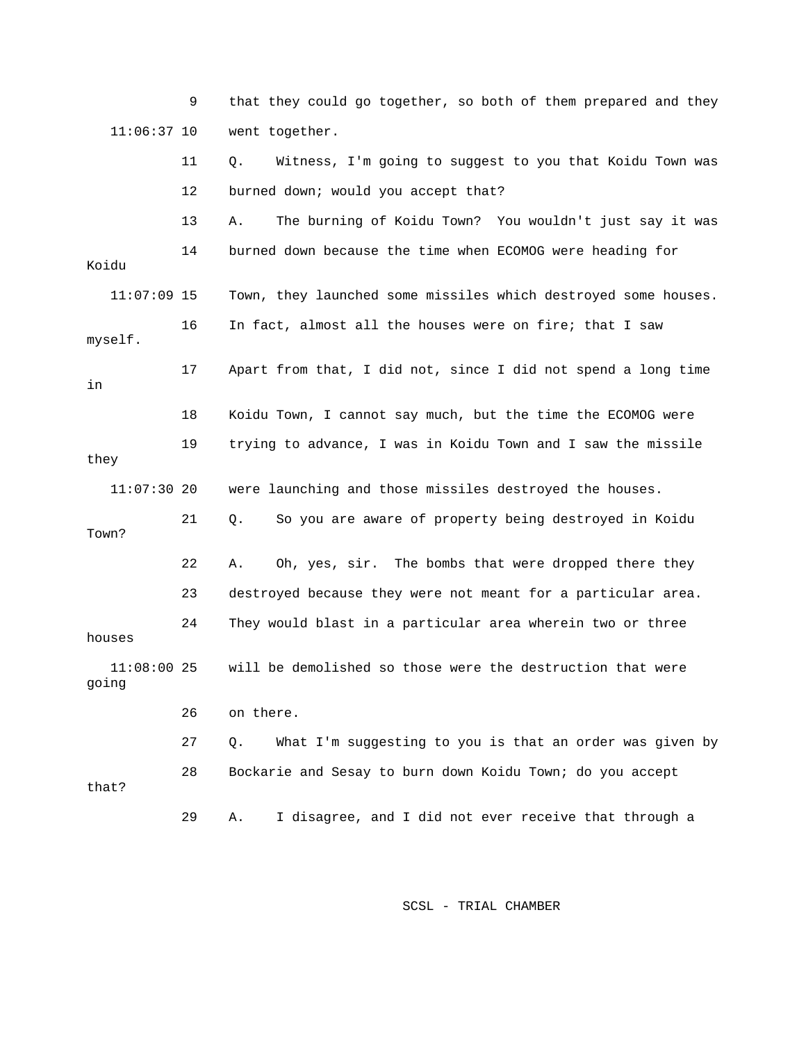9 that they could go together, so both of them prepared and they 11:06:37 10 went together. 11 Q. Witness, I'm going to suggest to you that Koidu Town was 12 burned down; would you accept that? 13 A. The burning of Koidu Town? You wouldn't just say it was 14 burned down because the time when ECOMOG were heading for Koidu 11:07:09 15 Town, they launched some missiles which destroyed some houses. 16 In fact, almost all the houses were on fire; that I saw myself. 17 Apart from that, I did not, since I did not spend a long time in 18 Koidu Town, I cannot say much, but the time the ECOMOG were 19 trying to advance, I was in Koidu Town and I saw the missile they 11:07:30 20 were launching and those missiles destroyed the houses. 21 Q. So you are aware of property being destroyed in Koidu Town? 22 A. Oh, yes, sir. The bombs that were dropped there they 23 destroyed because they were not meant for a particular area. 24 They would blast in a particular area wherein two or three houses 11:08:00 25 will be demolished so those were the destruction that were going 26 on there. 27 Q. What I'm suggesting to you is that an order was given by 28 Bockarie and Sesay to burn down Koidu Town; do you accept that? 29 A. I disagree, and I did not ever receive that through a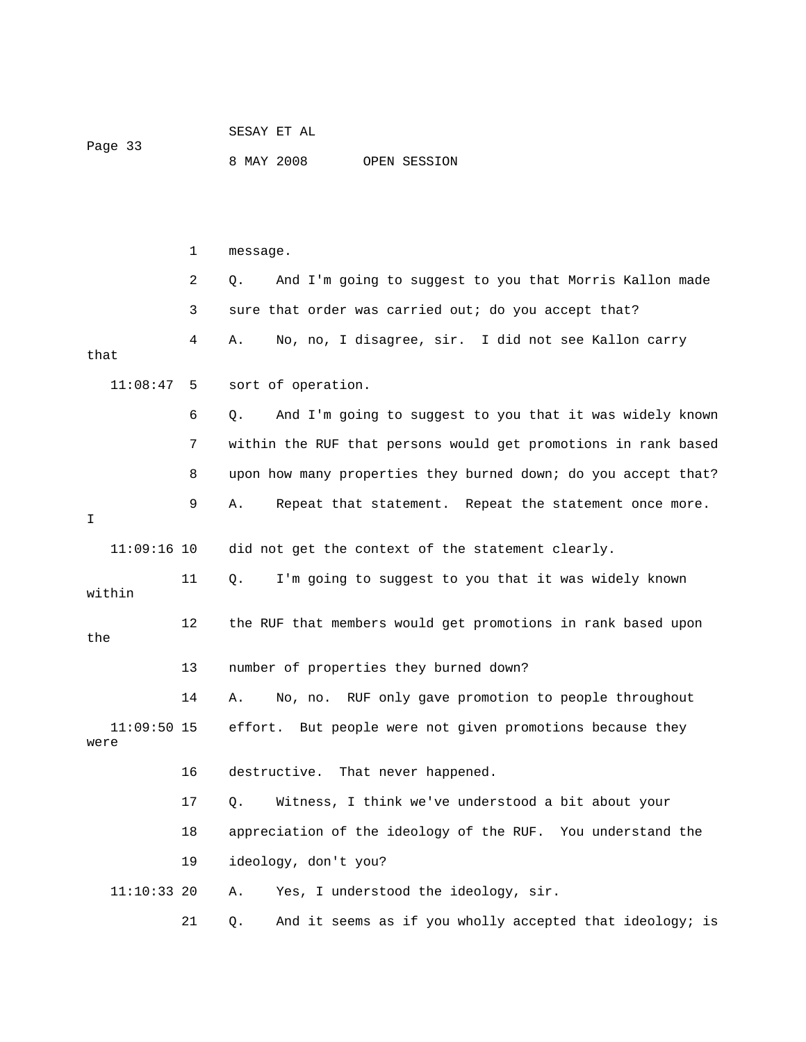|         | SESAY ET AL |  |              |
|---------|-------------|--|--------------|
| Page 33 |             |  |              |
|         | 8 MAY 2008  |  | OPEN SESSION |

 1 message. 2 Q. And I'm going to suggest to you that Morris Kallon made 3 sure that order was carried out; do you accept that? 4 A. No, no, I disagree, sir. I did not see Kallon carry that 11:08:47 5 sort of operation. 6 Q. And I'm going to suggest to you that it was widely known 7 within the RUF that persons would get promotions in rank based 8 upon how many properties they burned down; do you accept that? 9 A. Repeat that statement. Repeat the statement once more. I 11:09:16 10 did not get the context of the statement clearly. 11 Q. I'm going to suggest to you that it was widely known within 12 the RUF that members would get promotions in rank based upon the 13 number of properties they burned down? 14 A. No, no. RUF only gave promotion to people throughout 11:09:50 15 effort. But people were not given promotions because they were 16 destructive. That never happened. 17 Q. Witness, I think we've understood a bit about your 18 appreciation of the ideology of the RUF. You understand the 19 ideology, don't you? 11:10:33 20 A. Yes, I understood the ideology, sir. 21 Q. And it seems as if you wholly accepted that ideology; is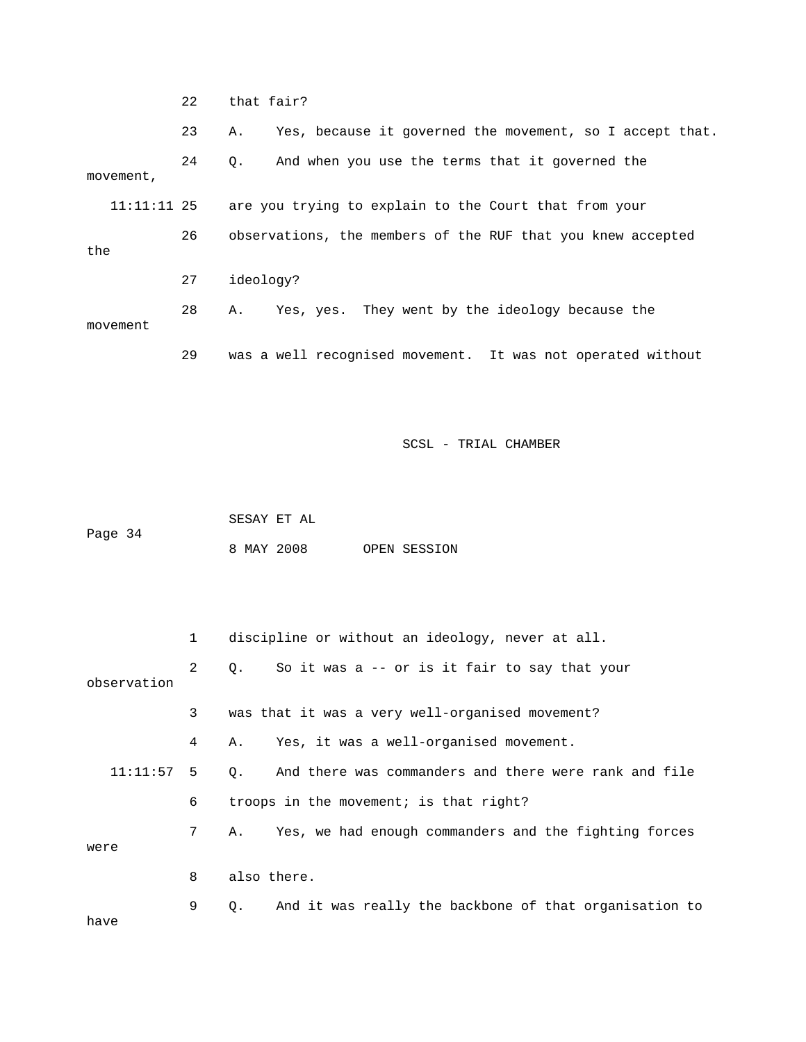22 that fair? 23 A. Yes, because it governed the movement, so I accept that. 24 Q. And when you use the terms that it governed the movement, 11:11:11 25 are you trying to explain to the Court that from your 26 observations, the members of the RUF that you knew accepted the 27 ideology? 28 A. Yes, yes. They went by the ideology because the movement 29 was a well recognised movement. It was not operated without

SCSL - TRIAL CHAMBER

 SESAY ET AL Page 34 8 MAY 2008 OPEN SESSION

|             | $\mathbf{1}$ | discipline or without an ideology, never at all.                   |
|-------------|--------------|--------------------------------------------------------------------|
| observation | $2^{\circ}$  | So it was a -- or is it fair to say that your<br>Q.                |
|             | 3            | was that it was a very well-organised movement?                    |
|             | 4            | Yes, it was a well-organised movement.<br>Α.                       |
| 11:11:57    | - 5          | And there was commanders and there were rank and file<br>$\circ$ . |
|             | 6            | troops in the movement; is that right?                             |
| were        | 7            | Yes, we had enough commanders and the fighting forces<br>A.,       |
|             | 8            | also there.                                                        |
| have        | 9            | And it was really the backbone of that organisation to<br>О.       |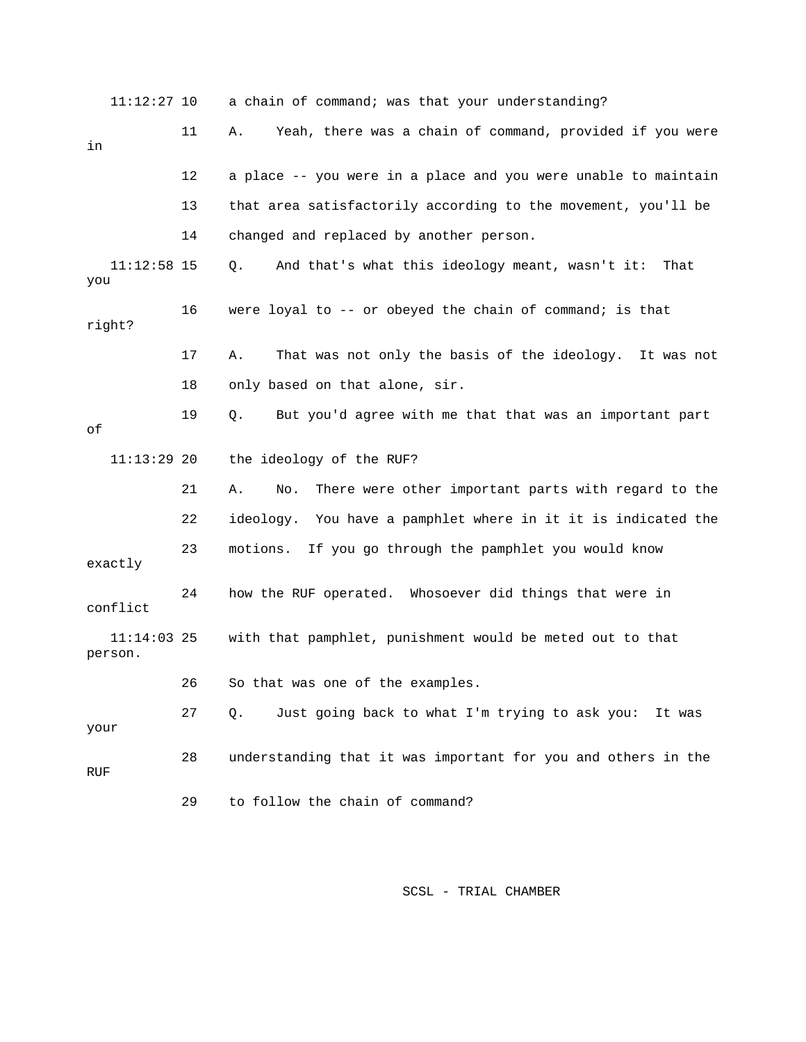| $11:12:27$ 10            |    | a chain of command; was that your understanding?                 |
|--------------------------|----|------------------------------------------------------------------|
| in                       | 11 | Yeah, there was a chain of command, provided if you were<br>Α.   |
|                          | 12 | a place -- you were in a place and you were unable to maintain   |
|                          | 13 | that area satisfactorily according to the movement, you'll be    |
|                          | 14 | changed and replaced by another person.                          |
| $11:12:58$ 15<br>you     |    | And that's what this ideology meant, wasn't it:<br>Q.<br>That    |
| right?                   | 16 | were loyal to -- or obeyed the chain of command; is that         |
|                          | 17 | Α.<br>That was not only the basis of the ideology. It was not    |
|                          | 18 | only based on that alone, sir.                                   |
| оf                       | 19 | But you'd agree with me that that was an important part<br>Q.    |
| $11:13:29$ 20            |    | the ideology of the RUF?                                         |
|                          | 21 | There were other important parts with regard to the<br>Α.<br>No. |
|                          | 22 | ideology. You have a pamphlet where in it it is indicated the    |
| exactly                  | 23 | If you go through the pamphlet you would know<br>motions.        |
| conflict                 | 24 | how the RUF operated. Whosoever did things that were in          |
| $11:14:03$ 25<br>person. |    | with that pamphlet, punishment would be meted out to that        |
|                          | 26 | So that was one of the examples.                                 |
| your                     | 27 | $Q$ .<br>Just going back to what I'm trying to ask you: It was   |
| <b>RUF</b>               | 28 | understanding that it was important for you and others in the    |
|                          | 29 | to follow the chain of command?                                  |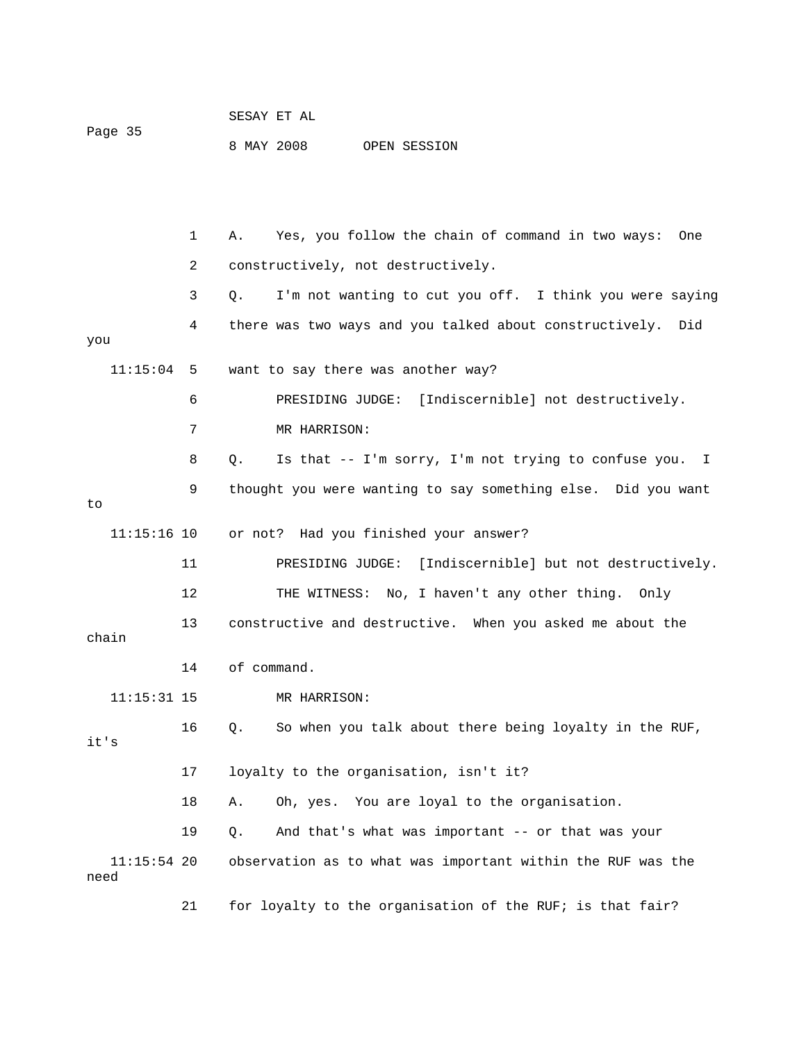| SESAY ET AL |
|-------------|
|-------------|

Page 35

8 MAY 2008 OPEN SESSION

 1 A. Yes, you follow the chain of command in two ways: One 2 constructively, not destructively. 3 Q. I'm not wanting to cut you off. I think you were saying 4 there was two ways and you talked about constructively. Did you 11:15:04 5 want to say there was another way? 6 PRESIDING JUDGE: [Indiscernible] not destructively. 7 MR HARRISON: 8 Q. Is that -- I'm sorry, I'm not trying to confuse you. I 9 thought you were wanting to say something else. Did you want to 11:15:16 10 or not? Had you finished your answer? 11 PRESIDING JUDGE: [Indiscernible] but not destructively. 12 THE WITNESS: No, I haven't any other thing. Only 13 constructive and destructive. When you asked me about the chain 14 of command. 11:15:31 15 MR HARRISON: 16 Q. So when you talk about there being loyalty in the RUF, it's 17 loyalty to the organisation, isn't it? 18 A. Oh, yes. You are loyal to the organisation. 19 Q. And that's what was important -- or that was your 11:15:54 20 observation as to what was important within the RUF was the need 21 for loyalty to the organisation of the RUF; is that fair?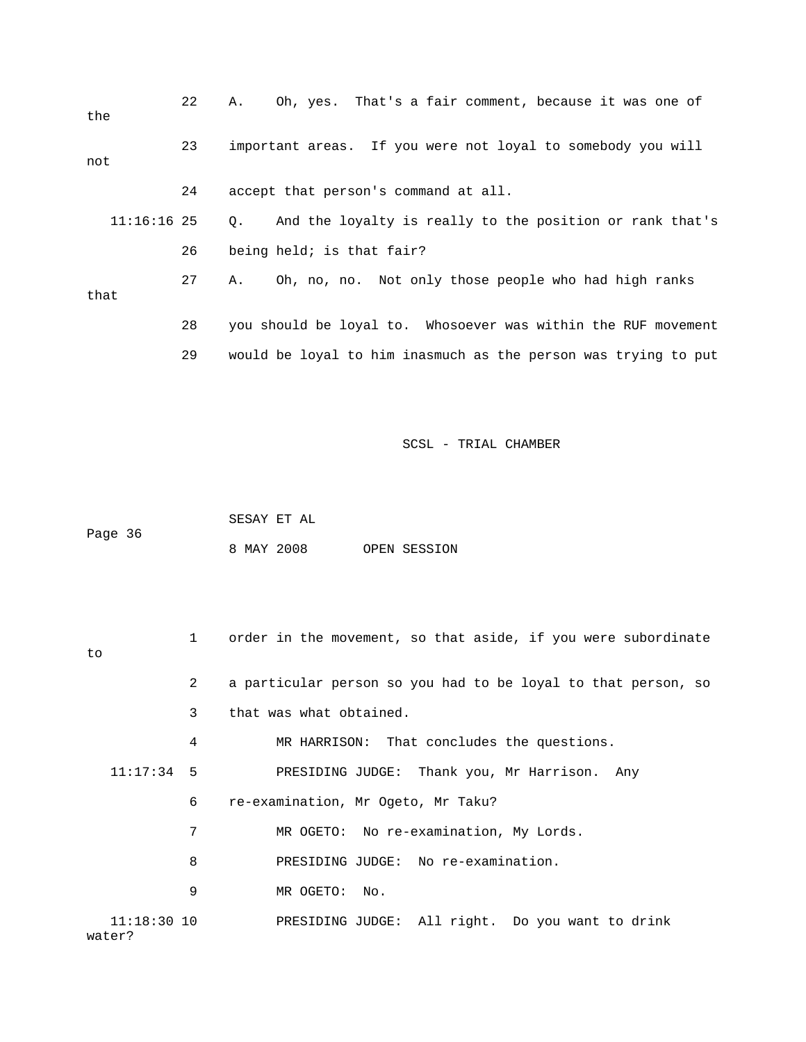| the           | 22 | Oh, yes. That's a fair comment, because it was one of<br>Α.           |
|---------------|----|-----------------------------------------------------------------------|
| not           | 23 | important areas. If you were not loyal to somebody you will           |
|               | 24 | accept that person's command at all.                                  |
| $11:16:16$ 25 |    | And the loyalty is really to the position or rank that's<br>$\circ$ . |
|               | 26 | being held; is that fair?                                             |
| that          | 27 | Oh, no, no. Not only those people who had high ranks<br>Α.            |
|               | 28 | you should be loyal to. Whosoever was within the RUF movement         |
|               | 29 | would be loyal to him inasmuch as the person was trying to put        |

| Page 36 |  | SESAY ET AL |  |              |
|---------|--|-------------|--|--------------|
|         |  | 8 MAY 2008  |  | OPEN SESSION |

| to                      | $\mathbf{1}$ | order in the movement, so that aside, if you were subordinate |
|-------------------------|--------------|---------------------------------------------------------------|
|                         | 2            | a particular person so you had to be loyal to that person, so |
|                         | 3            | that was what obtained.                                       |
|                         | 4            | MR HARRISON: That concludes the questions.                    |
| $11:17:34$ 5            |              | PRESIDING JUDGE: Thank you, Mr Harrison. Any                  |
|                         | 6            | re-examination, Mr Ogeto, Mr Taku?                            |
|                         | 7            | MR OGETO: No re-examination, My Lords.                        |
|                         | 8            | PRESIDING JUDGE: No re-examination.                           |
|                         | 9            | MR OGETO:<br>No.                                              |
| $11:18:30$ 10<br>water? |              | PRESIDING JUDGE: All right. Do you want to drink              |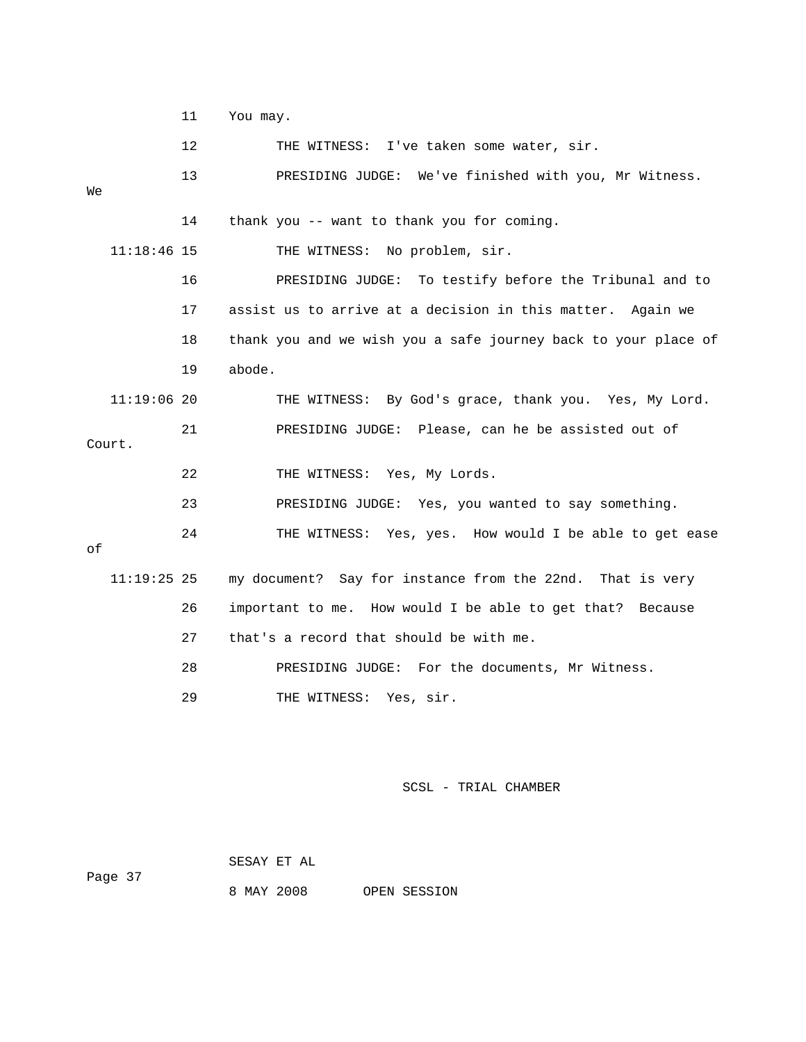11 You may.

12 THE WITNESS: I've taken some water, sir. 13 PRESIDING JUDGE: We've finished with you, Mr Witness. We 14 thank you -- want to thank you for coming. 11:18:46 15 THE WITNESS: No problem, sir. 16 PRESIDING JUDGE: To testify before the Tribunal and to 17 assist us to arrive at a decision in this matter. Again we 18 thank you and we wish you a safe journey back to your place of 19 abode. 11:19:06 20 THE WITNESS: By God's grace, thank you. Yes, My Lord. 21 PRESIDING JUDGE: Please, can he be assisted out of Court. 22 THE WITNESS: Yes, My Lords. 23 PRESIDING JUDGE: Yes, you wanted to say something. 24 THE WITNESS: Yes, yes. How would I be able to get ease of 11:19:25 25 my document? Say for instance from the 22nd. That is very 26 important to me. How would I be able to get that? Because 27 that's a record that should be with me. 28 PRESIDING JUDGE: For the documents, Mr Witness.

29 THE WITNESS: Yes, sir.

### SCSL - TRIAL CHAMBER

SESAY ET AL

8 MAY 2008 OPEN SESSION

Page 37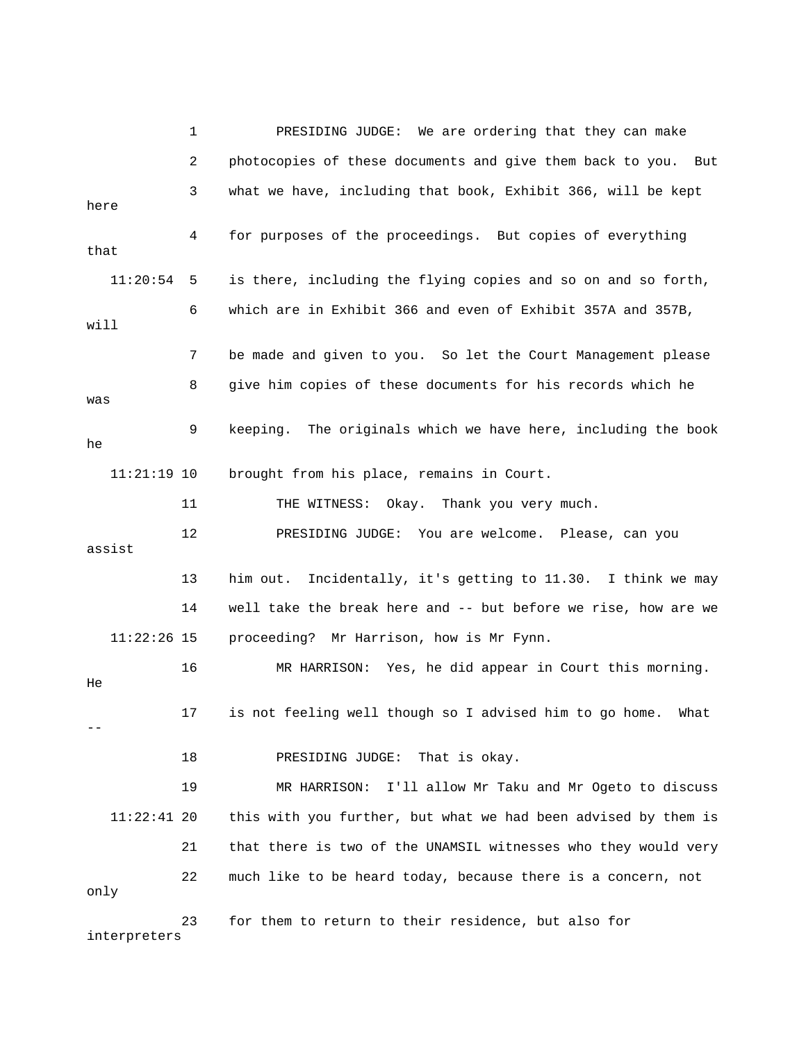1 PRESIDING JUDGE: We are ordering that they can make 2 photocopies of these documents and give them back to you. But 3 what we have, including that book, Exhibit 366, will be kept here 4 for purposes of the proceedings. But copies of everything that 11:20:54 5 is there, including the flying copies and so on and so forth, 6 which are in Exhibit 366 and even of Exhibit 357A and 357B, will 7 be made and given to you. So let the Court Management please 8 give him copies of these documents for his records which he was 9 keeping. The originals which we have here, including the book he 11:21:19 10 brought from his place, remains in Court. 11 THE WITNESS: Okay. Thank you very much. 12 PRESIDING JUDGE: You are welcome. Please, can you assist 13 him out. Incidentally, it's getting to 11.30. I think we may 14 well take the break here and -- but before we rise, how are we 11:22:26 15 proceeding? Mr Harrison, how is Mr Fynn. 16 MR HARRISON: Yes, he did appear in Court this morning. He 17 is not feeling well though so I advised him to go home. What -- 18 PRESIDING JUDGE: That is okay. 19 MR HARRISON: I'll allow Mr Taku and Mr Ogeto to discuss 11:22:41 20 this with you further, but what we had been advised by them is 21 that there is two of the UNAMSIL witnesses who they would very 22 much like to be heard today, because there is a concern, not only 23 for them to return to their residence, but also for

interpreters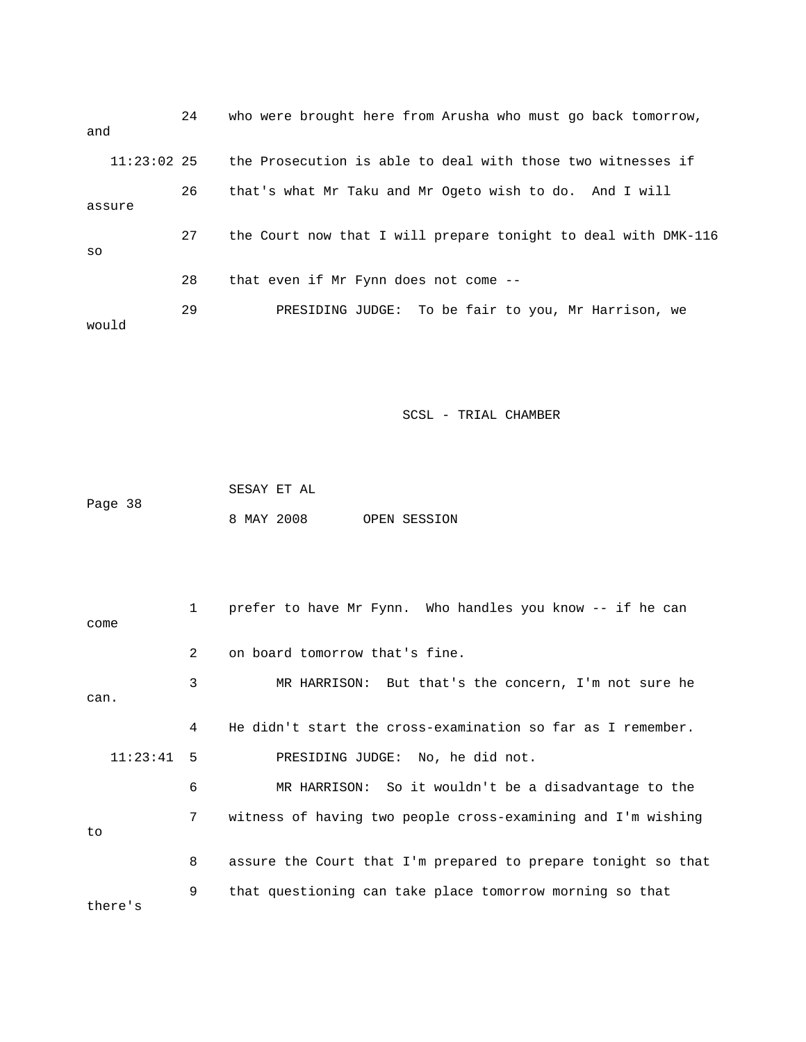| and           | 24 | who were brought here from Arusha who must go back tomorrow,   |
|---------------|----|----------------------------------------------------------------|
| $11:23:02$ 25 |    | the Prosecution is able to deal with those two witnesses if    |
| assure        | 26 | that's what Mr Taku and Mr Ogeto wish to do. And I will        |
| SO            | 27 | the Court now that I will prepare tonight to deal with DMK-116 |
|               | 28 | that even if Mr Fynn does not come --                          |
| would         | 29 | PRESIDING JUDGE: To be fair to you, Mr Harrison, we            |

 SESAY ET AL Page 38 8 MAY 2008 OPEN SESSION

 1 prefer to have Mr Fynn. Who handles you know -- if he can come 2 on board tomorrow that's fine. 3 MR HARRISON: But that's the concern, I'm not sure he can. 4 He didn't start the cross-examination so far as I remember. 11:23:41 5 PRESIDING JUDGE: No, he did not. 6 MR HARRISON: So it wouldn't be a disadvantage to the 7 witness of having two people cross-examining and I'm wishing to 8 assure the Court that I'm prepared to prepare tonight so that 9 that questioning can take place tomorrow morning so that there's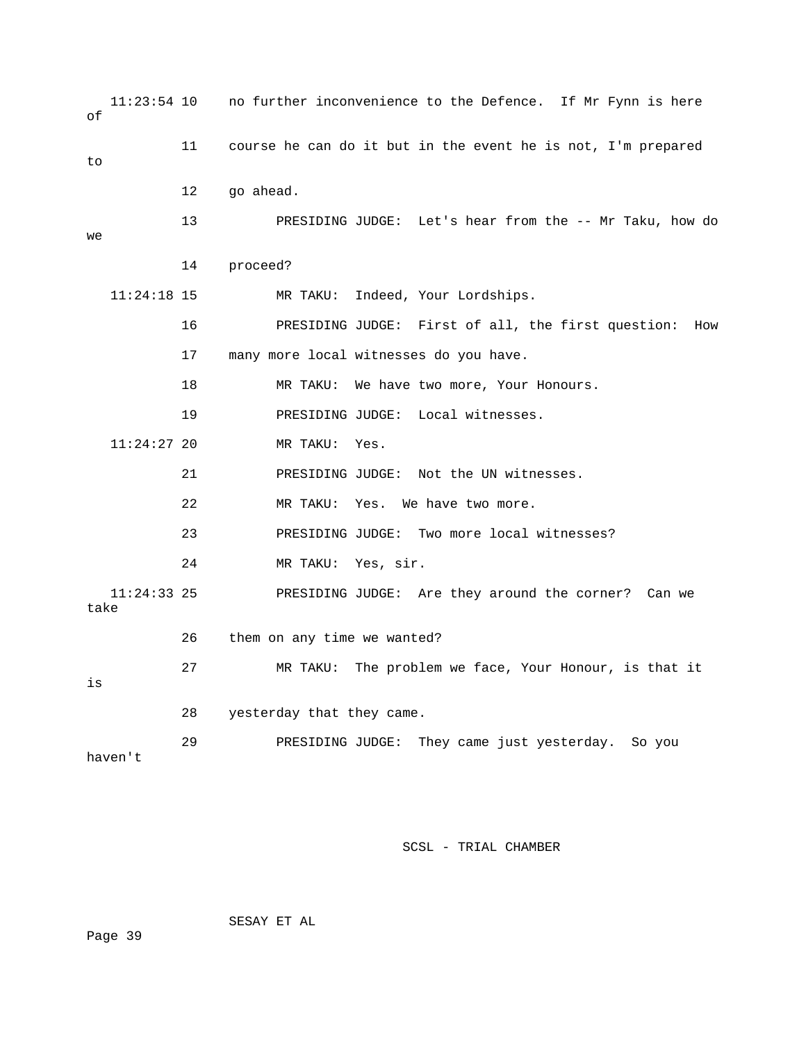| оf   | $11:23:54$ 10 |    | no further inconvenience to the Defence. If Mr Fynn is here  |
|------|---------------|----|--------------------------------------------------------------|
| to   |               | 11 | course he can do it but in the event he is not, I'm prepared |
|      |               | 12 | go ahead.                                                    |
| we   |               | 13 | PRESIDING JUDGE: Let's hear from the -- Mr Taku, how do      |
|      |               | 14 | proceed?                                                     |
|      | $11:24:18$ 15 |    | Indeed, Your Lordships.<br>MR TAKU:                          |
|      |               | 16 | PRESIDING JUDGE: First of all, the first question: How       |
|      |               | 17 | many more local witnesses do you have.                       |
|      |               | 18 | We have two more, Your Honours.<br>MR TAKU:                  |
|      |               | 19 | PRESIDING JUDGE: Local witnesses.                            |
|      | $11:24:27$ 20 |    | MR TAKU:<br>Yes.                                             |
|      |               | 21 | PRESIDING JUDGE: Not the UN witnesses.                       |
|      |               | 22 | Yes. We have two more.<br>MR TAKU:                           |
|      |               | 23 | PRESIDING JUDGE: Two more local witnesses?                   |
|      |               | 24 | MR TAKU: Yes, sir.                                           |
| take | $11:24:33$ 25 |    | PRESIDING JUDGE: Are they around the corner? Can we          |
|      |               | 26 | them on any time we wanted?                                  |
| is   |               | 27 | MR TAKU: The problem we face, Your Honour, is that it        |
|      |               | 28 | yesterday that they came.                                    |
|      | haven't       | 29 | They came just yesterday.<br>PRESIDING JUDGE:<br>So you      |

SESAY ET AL

Page 39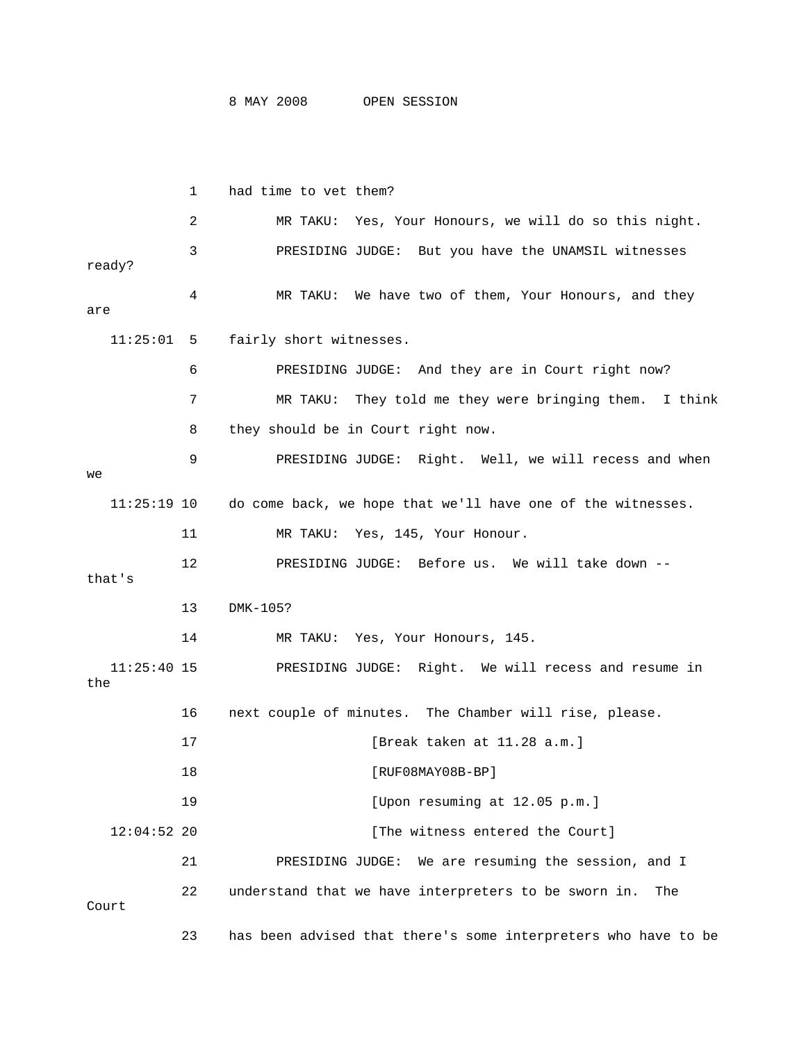|                      | 1  | had time to vet them?                                          |
|----------------------|----|----------------------------------------------------------------|
|                      | 2  | Yes, Your Honours, we will do so this night.<br>MR TAKU:       |
| ready?               | 3  | PRESIDING JUDGE: But you have the UNAMSIL witnesses            |
| are                  | 4  | MR TAKU: We have two of them, Your Honours, and they           |
| 11:25:01             | 5  | fairly short witnesses.                                        |
|                      | 6  | PRESIDING JUDGE: And they are in Court right now?              |
|                      | 7  | MR TAKU:<br>They told me they were bringing them.<br>I think   |
|                      | 8  | they should be in Court right now.                             |
| we                   | 9  | PRESIDING JUDGE: Right. Well, we will recess and when          |
| $11:25:19$ 10        |    | do come back, we hope that we'll have one of the witnesses.    |
|                      | 11 | Yes, 145, Your Honour.<br>MR TAKU:                             |
| that's               | 12 | PRESIDING JUDGE: Before us. We will take down --               |
|                      | 13 | DMK-105?                                                       |
|                      | 14 | MR TAKU: Yes, Your Honours, 145.                               |
| $11:25:40$ 15<br>the |    | PRESIDING JUDGE: Right. We will recess and resume in           |
|                      | 16 | next couple of minutes. The Chamber will rise, please.         |
|                      | 17 | [Break taken at 11.28 a.m.]                                    |
|                      | 18 | $[RUF08MAY08B-BP]$                                             |
|                      | 19 | [Upon resuming at 12.05 p.m.]                                  |
| $12:04:52$ 20        |    | [The witness entered the Court]                                |
|                      | 21 | PRESIDING JUDGE:<br>We are resuming the session, and I         |
| Court                | 22 | understand that we have interpreters to be sworn in.<br>The    |
|                      | 23 | has been advised that there's some interpreters who have to be |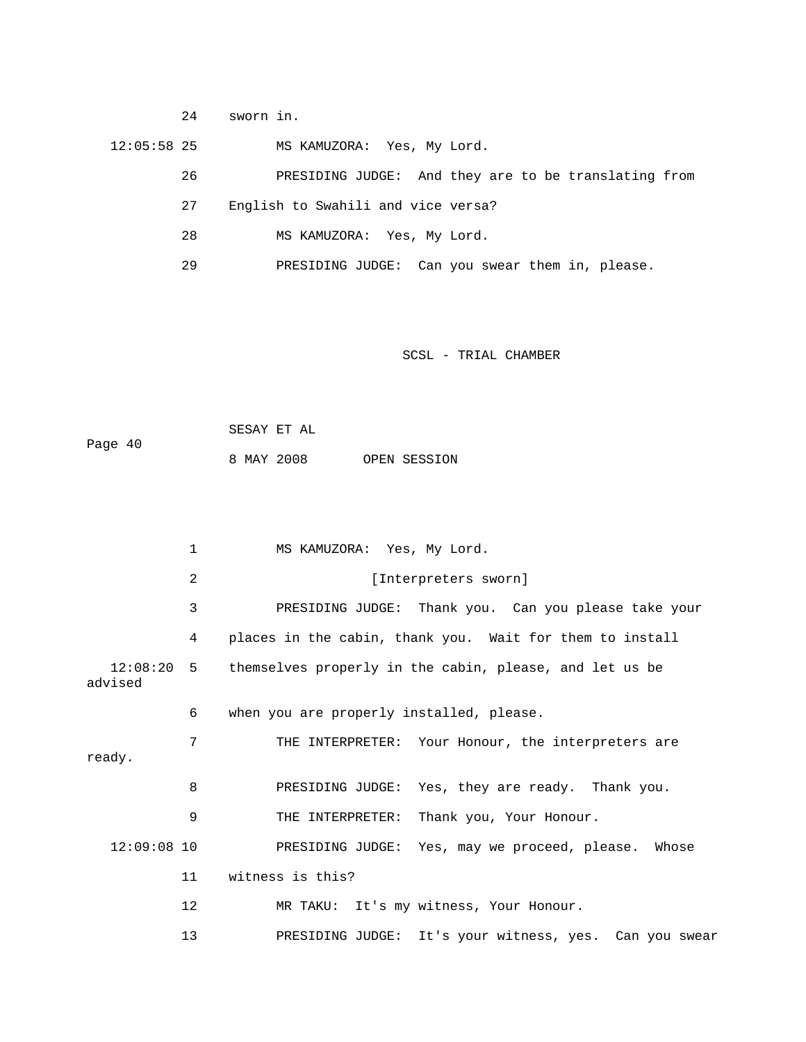12:05:58 25 MS KAMUZORA: Yes, My Lord. 26 PRESIDING JUDGE: And they are to be translating from 27 English to Swahili and vice versa? 28 MS KAMUZORA: Yes, My Lord. 29 PRESIDING JUDGE: Can you swear them in, please.

SCSL - TRIAL CHAMBER

|         | SESAY ET AL |  |              |
|---------|-------------|--|--------------|
| Page 40 |             |  |              |
|         | 8 MAY 2008  |  | OPEN SESSION |

24 sworn in.

|               | 1       | MS KAMUZORA: Yes, My Lord.                                         |
|---------------|---------|--------------------------------------------------------------------|
|               | 2       | [Interpreters sworn]                                               |
|               | 3       | PRESIDING JUDGE: Thank you. Can you please take your               |
|               | 4       | places in the cabin, thank you. Wait for them to install           |
| advised       |         | 12:08:20 5 themselves properly in the cabin, please, and let us be |
|               | 6       | when you are properly installed, please.                           |
| ready.        | 7       | THE INTERPRETER: Your Honour, the interpreters are                 |
|               | 8       | PRESIDING JUDGE: Yes, they are ready. Thank you.                   |
|               | 9       | THE INTERPRETER: Thank you, Your Honour.                           |
| $12:09:08$ 10 |         | PRESIDING JUDGE: Yes, may we proceed, please. Whose                |
|               | 11      | witness is this?                                                   |
|               | $12 \,$ | MR TAKU: It's my witness, Your Honour.                             |
|               | 13      | PRESIDING JUDGE: It's your witness, yes. Can you swear             |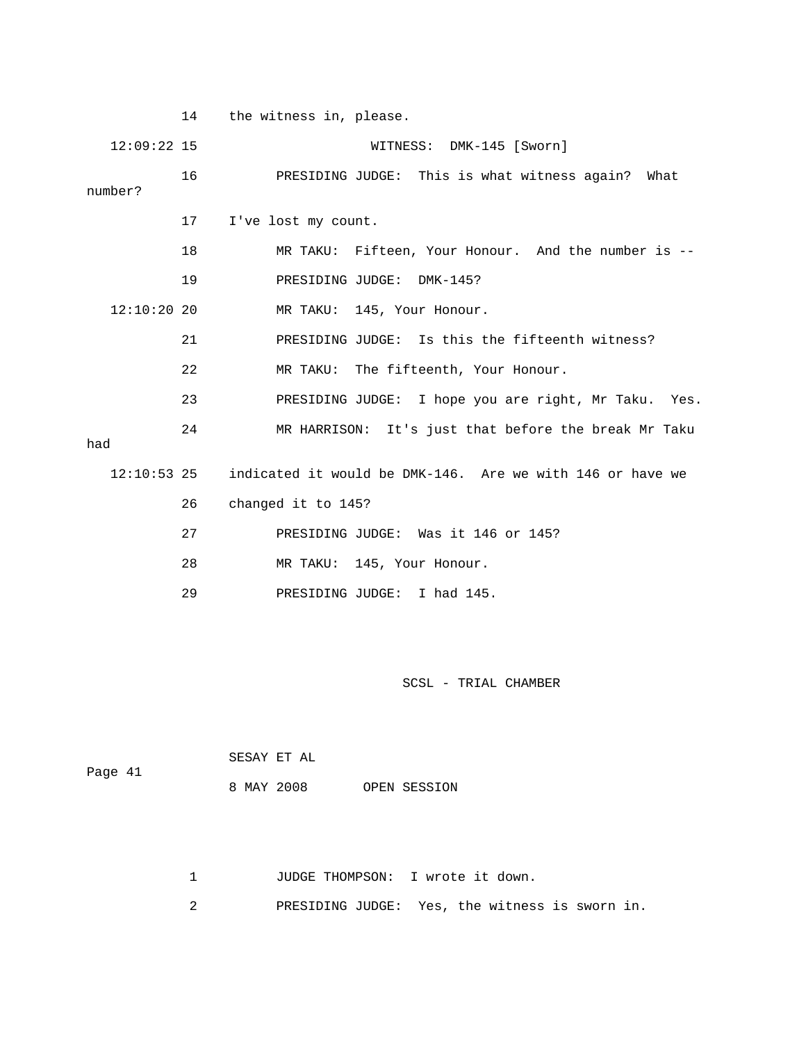|               | 14 | the witness in, please.                                   |
|---------------|----|-----------------------------------------------------------|
| $12:09:22$ 15 |    | WITNESS: DMK-145 [Sworn]                                  |
| number?       | 16 | PRESIDING JUDGE: This is what witness again? What         |
|               | 17 | I've lost my count.                                       |
|               | 18 | MR TAKU: Fifteen, Your Honour. And the number is --       |
|               | 19 | PRESIDING JUDGE: DMK-145?                                 |
| $12:10:20$ 20 |    | MR TAKU: 145, Your Honour.                                |
|               | 21 | PRESIDING JUDGE: Is this the fifteenth witness?           |
|               | 22 | MR TAKU: The fifteenth, Your Honour.                      |
|               | 23 | PRESIDING JUDGE: I hope you are right, Mr Taku. Yes.      |
| had           | 24 | MR HARRISON: It's just that before the break Mr Taku      |
| $12:10:53$ 25 |    | indicated it would be DMK-146. Are we with 146 or have we |
|               | 26 | changed it to 145?                                        |
|               | 27 | PRESIDING JUDGE: Was it 146 or 145?                       |
|               | 28 | MR TAKU: 145, Your Honour.                                |
|               | 29 | PRESIDING JUDGE: I had 145.                               |

|         | SESAY ET AL |  |              |
|---------|-------------|--|--------------|
| Page 41 | 8 MAY 2008  |  | OPEN SESSION |
|         |             |  |              |

1 JUDGE THOMPSON: I wrote it down.

2 PRESIDING JUDGE: Yes, the witness is sworn in.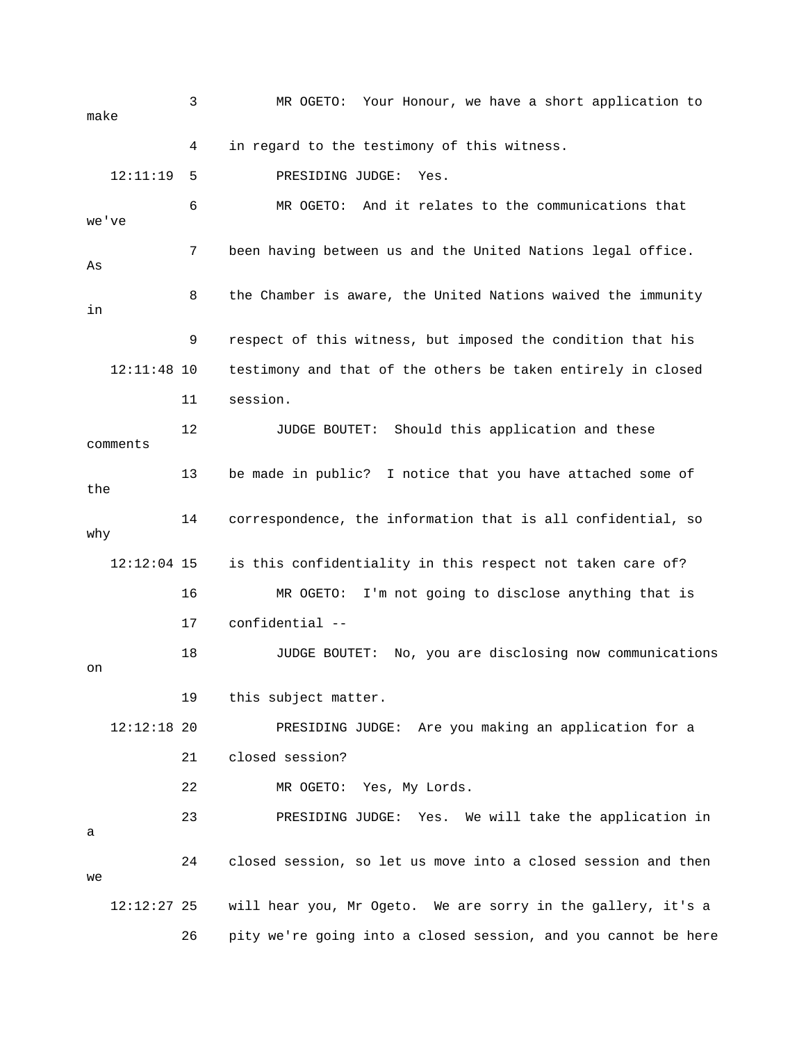3 MR OGETO: Your Honour, we have a short application to make 4 in regard to the testimony of this witness. 12:11:19 5 PRESIDING JUDGE: Yes. 6 MR OGETO: And it relates to the communications that we've 7 been having between us and the United Nations legal office. As 8 the Chamber is aware, the United Nations waived the immunity in 9 respect of this witness, but imposed the condition that his 12:11:48 10 testimony and that of the others be taken entirely in closed 11 session. 12 JUDGE BOUTET: Should this application and these comments 13 be made in public? I notice that you have attached some of the 14 correspondence, the information that is all confidential, so why 12:12:04 15 is this confidentiality in this respect not taken care of? 16 MR OGETO: I'm not going to disclose anything that is 17 confidential -- 18 JUDGE BOUTET: No, you are disclosing now communications on 19 this subject matter. 12:12:18 20 PRESIDING JUDGE: Are you making an application for a 21 closed session? 22 MR OGETO: Yes, My Lords. 23 PRESIDING JUDGE: Yes. We will take the application in a 24 closed session, so let us move into a closed session and then we 12:12:27 25 will hear you, Mr Ogeto. We are sorry in the gallery, it's a 26 pity we're going into a closed session, and you cannot be here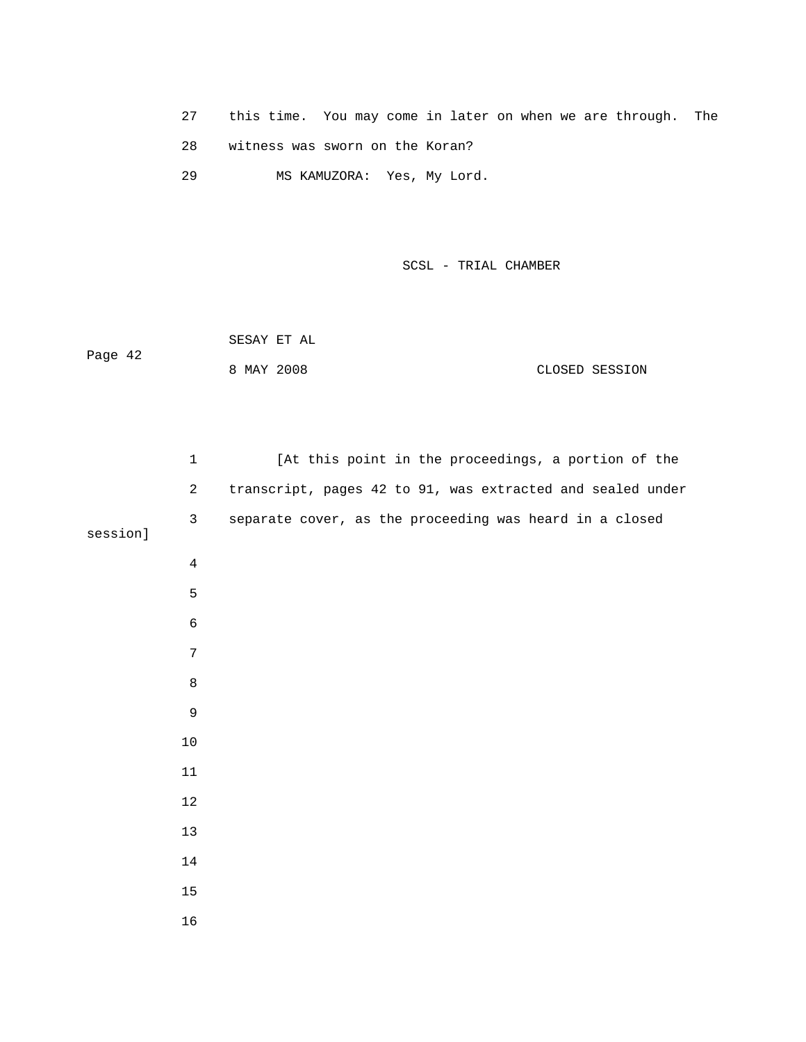- 27 this time. You may come in later on when we are through. The
- 28 witness was sworn on the Koran?

29 MS KAMUZORA: Yes, My Lord.

SCSL - TRIAL CHAMBER

 SESAY ET AL Page 42 8 MAY 2008 CLOSED SESSION

|          | $1\,$          | [At this point in the proceedings, a portion of the        |
|----------|----------------|------------------------------------------------------------|
|          | $\overline{a}$ | transcript, pages 42 to 91, was extracted and sealed under |
| session] | $\mathbf{3}$   | separate cover, as the proceeding was heard in a closed    |
|          |                |                                                            |
|          | $\overline{4}$ |                                                            |
|          | 5              |                                                            |
|          | $\epsilon$     |                                                            |
|          | $\sqrt{ }$     |                                                            |
|          | $\,8\,$        |                                                            |
|          | $\mathsf 9$    |                                                            |
|          | $10\,$         |                                                            |
|          | 11             |                                                            |
|          | $1\,2$         |                                                            |
|          | 13             |                                                            |
|          | 14             |                                                            |
|          | $15\,$         |                                                            |
|          | 16             |                                                            |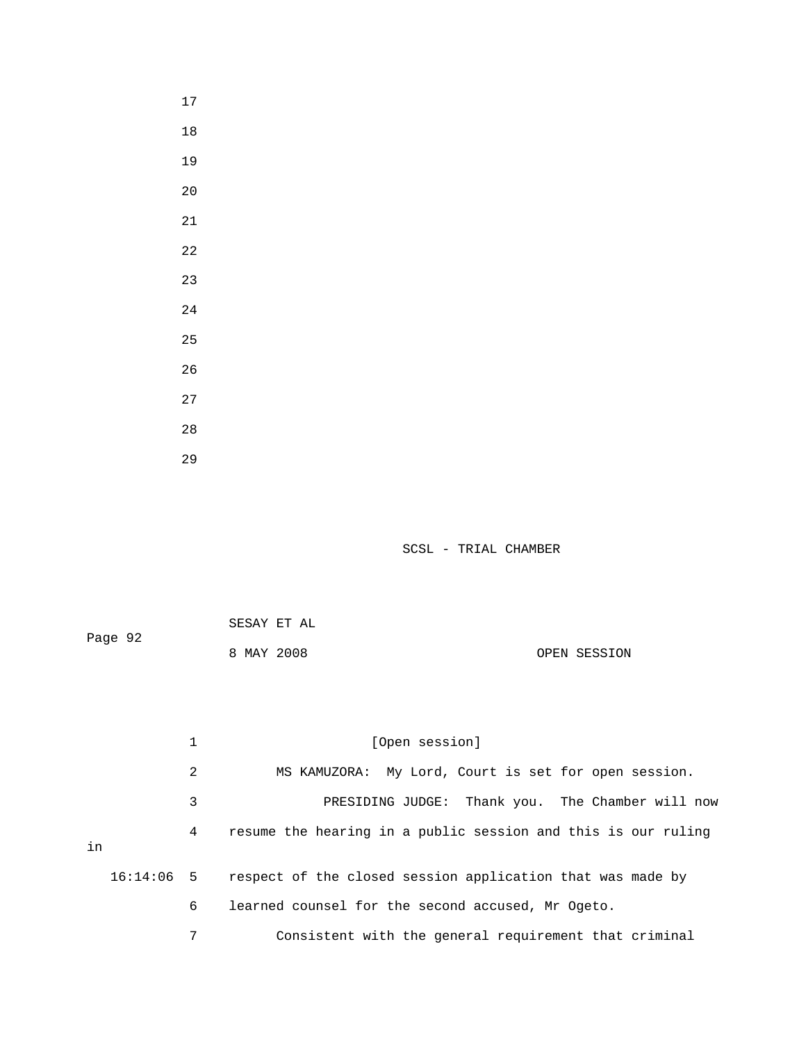17 18 19 20 21 22 23 24 25 26 27 28 29

|         | SESAY ET AL |              |
|---------|-------------|--------------|
| Page 92 |             |              |
|         | 8 MAY 2008  | OPEN SESSION |

|    |   | 1                                                     | [Open session]                                                        |  |  |  |  |
|----|---|-------------------------------------------------------|-----------------------------------------------------------------------|--|--|--|--|
|    |   | 2                                                     | MS KAMUZORA: My Lord, Court is set for open session.                  |  |  |  |  |
| in |   | 3                                                     | PRESIDING JUDGE: Thank you. The Chamber will now                      |  |  |  |  |
|    |   | 4                                                     | resume the hearing in a public session and this is our ruling         |  |  |  |  |
|    |   |                                                       | 16:14:06 5 respect of the closed session application that was made by |  |  |  |  |
|    | 6 | learned counsel for the second accused, Mr Ogeto.     |                                                                       |  |  |  |  |
|    | 7 | Consistent with the general requirement that criminal |                                                                       |  |  |  |  |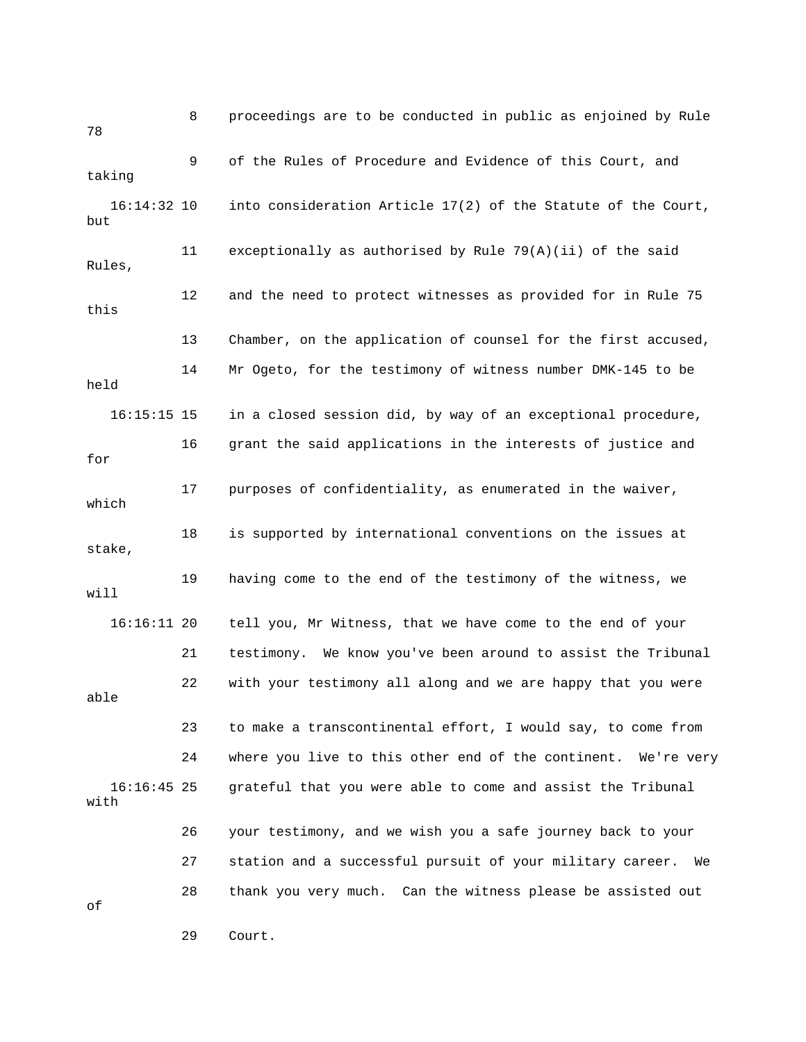8 proceedings are to be conducted in public as enjoined by Rule 78 9 of the Rules of Procedure and Evidence of this Court, and taking 16:14:32 10 into consideration Article 17(2) of the Statute of the Court, but 11 exceptionally as authorised by Rule 79(A)(ii) of the said Rules, 12 and the need to protect witnesses as provided for in Rule 75 this 13 Chamber, on the application of counsel for the first accused, 14 Mr Ogeto, for the testimony of witness number DMK-145 to be held 16:15:15 15 in a closed session did, by way of an exceptional procedure, 16 grant the said applications in the interests of justice and for 17 purposes of confidentiality, as enumerated in the waiver, which 18 is supported by international conventions on the issues at stake, 19 having come to the end of the testimony of the witness, we will 16:16:11 20 tell you, Mr Witness, that we have come to the end of your 21 testimony. We know you've been around to assist the Tribunal 22 with your testimony all along and we are happy that you were able 23 to make a transcontinental effort, I would say, to come from 24 where you live to this other end of the continent. We're very 16:16:45 25 grateful that you were able to come and assist the Tribunal with 26 your testimony, and we wish you a safe journey back to your 27 station and a successful pursuit of your military career. We 28 thank you very much. Can the witness please be assisted out of

29 Court.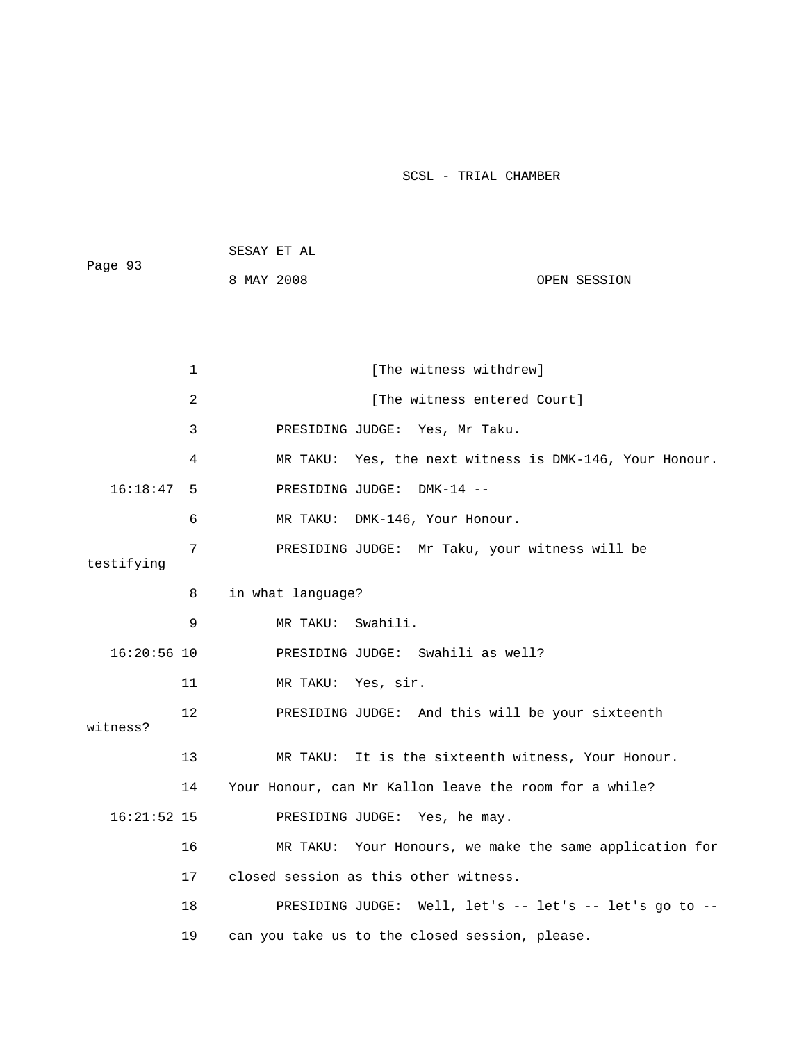| Page 93 | SESAY ET AL |              |
|---------|-------------|--------------|
|         | 8 MAY 2008  | OPEN SESSION |

|               | $\mathbf 1$ | [The witness withdrew]                                  |
|---------------|-------------|---------------------------------------------------------|
|               | 2           | [The witness entered Court]                             |
|               | 3           | PRESIDING JUDGE: Yes, Mr Taku.                          |
|               | 4           | MR TAKU: Yes, the next witness is DMK-146, Your Honour. |
| $16:18:47$ 5  |             | PRESIDING JUDGE: DMK-14 --                              |
|               | 6           | MR TAKU: DMK-146, Your Honour.                          |
| testifying    | 7           | PRESIDING JUDGE: Mr Taku, your witness will be          |
|               | 8           | in what language?                                       |
|               | 9           | MR TAKU: Swahili.                                       |
| $16:20:56$ 10 |             | PRESIDING JUDGE: Swahili as well?                       |
|               | 11          | MR TAKU: Yes, sir.                                      |
| witness?      | 12          | PRESIDING JUDGE: And this will be your sixteenth        |
|               | 13          | MR TAKU: It is the sixteenth witness, Your Honour.      |
|               | 14          | Your Honour, can Mr Kallon leave the room for a while?  |
| $16:21:52$ 15 |             | PRESIDING JUDGE: Yes, he may.                           |
|               | 16          | MR TAKU: Your Honours, we make the same application for |
|               | 17          | closed session as this other witness.                   |
|               | 18          | PRESIDING JUDGE: Well, let's -- let's -- let's go to -- |
|               | 19          | can you take us to the closed session, please.          |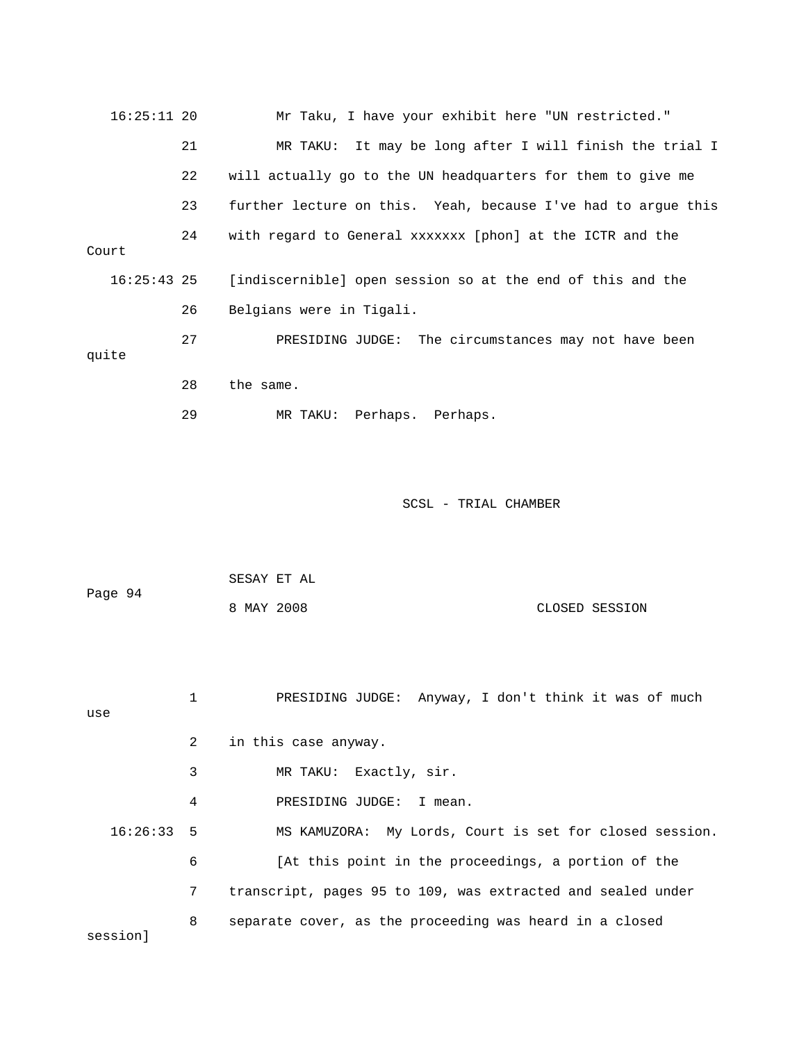| 16:25:11 20   |    | Mr Taku, I have your exhibit here "UN restricted."            |  |  |  |  |
|---------------|----|---------------------------------------------------------------|--|--|--|--|
|               | 21 | MR TAKU: It may be long after I will finish the trial I       |  |  |  |  |
|               | 22 | will actually go to the UN headquarters for them to give me   |  |  |  |  |
|               | 23 | further lecture on this. Yeah, because I've had to arque this |  |  |  |  |
| Court         | 24 | with regard to General xxxxxxx [phon] at the ICTR and the     |  |  |  |  |
| $16:25:43$ 25 |    | [indiscernible] open session so at the end of this and the    |  |  |  |  |
|               | 26 | Belgians were in Tigali.                                      |  |  |  |  |
| quite         | 27 | PRESIDING JUDGE: The circumstances may not have been          |  |  |  |  |
|               | 28 | the same.                                                     |  |  |  |  |
|               | 29 | MR TAKU: Perhaps. Perhaps.                                    |  |  |  |  |
|               |    |                                                               |  |  |  |  |

| Page 94 | SESAY ET AL |  |                |
|---------|-------------|--|----------------|
|         | 8 MAY 2008  |  | CLOSED SESSION |

 1 PRESIDING JUDGE: Anyway, I don't think it was of much use 2 in this case anyway. 3 MR TAKU: Exactly, sir. 4 PRESIDING JUDGE: I mean. 16:26:33 5 MS KAMUZORA: My Lords, Court is set for closed session. 6 [At this point in the proceedings, a portion of the 7 transcript, pages 95 to 109, was extracted and sealed under 8 separate cover, as the proceeding was heard in a closed session]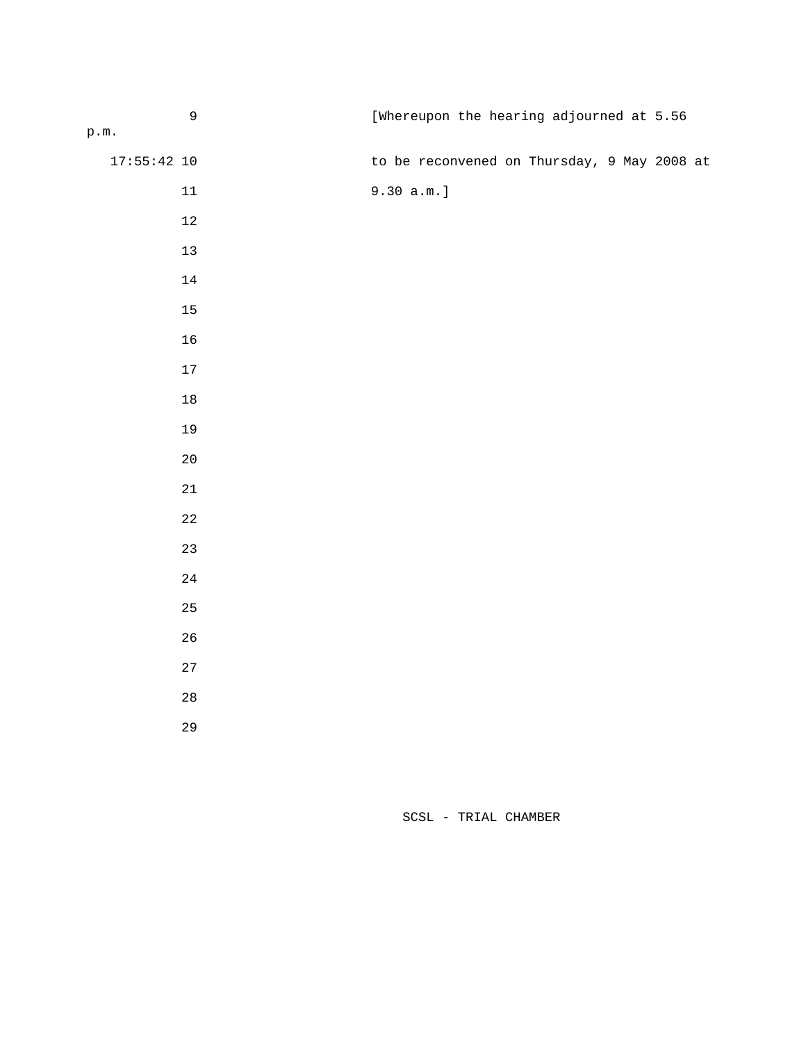| $\overline{9}$  | [Whereupon the hearing adjourned at 5.56    |
|-----------------|---------------------------------------------|
| $\texttt{p.m.}$ |                                             |
| $17:55:42$ 10   | to be reconvened on Thursday, 9 May 2008 at |
| $11\,$          | $9.30 a.m.$ ]                               |
| $12\,$          |                                             |
| $13\,$          |                                             |
| $14\,$          |                                             |
| $15\,$          |                                             |
| $16$            |                                             |
| $17\,$          |                                             |
| $18\,$          |                                             |
| 19              |                                             |
| $20\,$          |                                             |
| $2\sqrt{1}$     |                                             |
| $2\sqrt{2}$     |                                             |
| 23              |                                             |
| $2\sqrt{4}$     |                                             |
| $25\,$          |                                             |
| $26\,$          |                                             |
| 27              |                                             |
| $2\,8$          |                                             |
| 29              |                                             |
|                 |                                             |